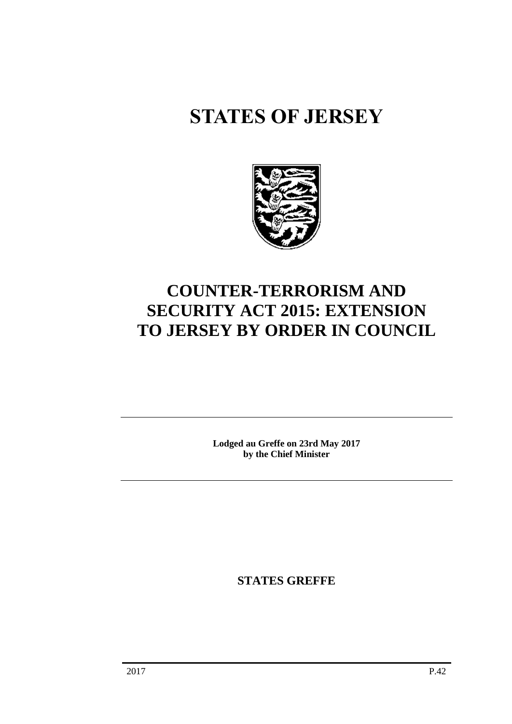# **STATES OF JERSEY**



# **COUNTER-TERRORISM AND SECURITY ACT 2015: EXTENSION TO JERSEY BY ORDER IN COUNCIL**

**Lodged au Greffe on 23rd May 2017 by the Chief Minister**

**STATES GREFFE**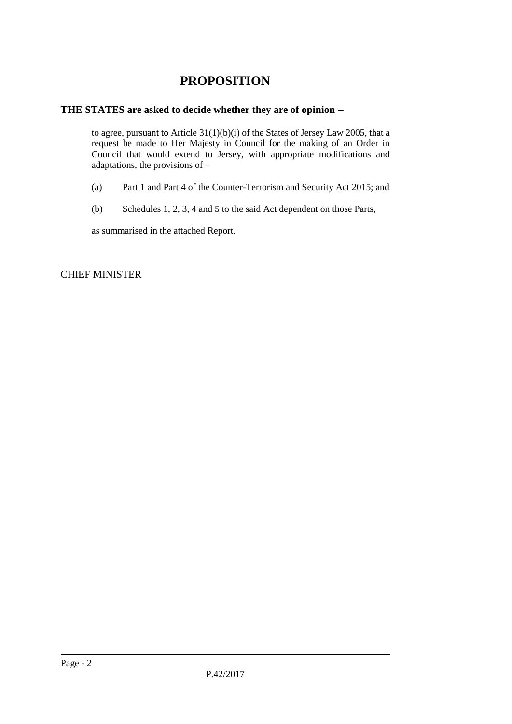# **PROPOSITION**

### **THE STATES are asked to decide whether they are of opinion**

to agree, pursuant to Article 31(1)(b)(i) of the States of Jersey Law 2005, that a request be made to Her Majesty in Council for the making of an Order in Council that would extend to Jersey, with appropriate modifications and adaptations, the provisions of –

- (a) Part 1 and Part 4 of the Counter-Terrorism and Security Act 2015; and
- (b) Schedules 1, 2, 3, 4 and 5 to the said Act dependent on those Parts,

as summarised in the attached Report.

CHIEF MINISTER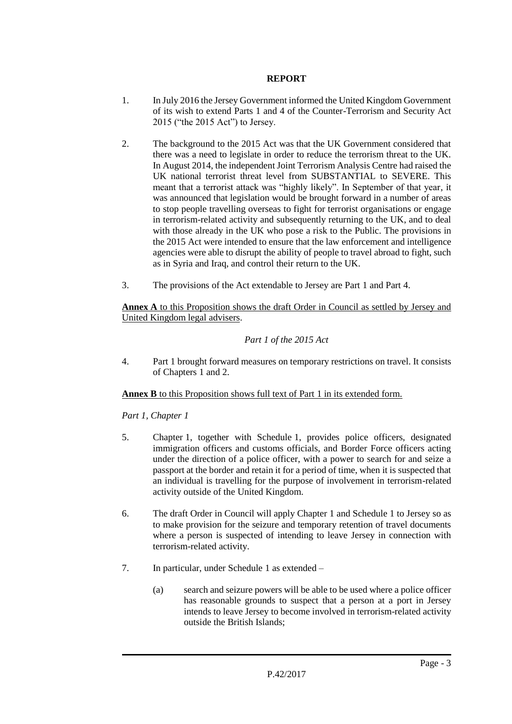#### **REPORT**

- 1. In July 2016 the Jersey Government informed the United Kingdom Government of its wish to extend Parts 1 and 4 of the Counter-Terrorism and Security Act 2015 ("the 2015 Act") to Jersey.
- 2. The background to the 2015 Act was that the UK Government considered that there was a need to legislate in order to reduce the terrorism threat to the UK. In August 2014, the independent Joint Terrorism Analysis Centre had raised the UK national terrorist threat level from SUBSTANTIAL to SEVERE. This meant that a terrorist attack was "highly likely". In September of that year, it was announced that legislation would be brought forward in a number of areas to stop people travelling overseas to fight for terrorist organisations or engage in terrorism-related activity and subsequently returning to the UK, and to deal with those already in the UK who pose a risk to the Public. The provisions in the 2015 Act were intended to ensure that the law enforcement and intelligence agencies were able to disrupt the ability of people to travel abroad to fight, such as in Syria and Iraq, and control their return to the UK.
- 3. The provisions of the Act extendable to Jersey are Part 1 and Part 4.

**Annex A** to this Proposition shows the draft Order in Council as settled by Jersey and United Kingdom legal advisers.

## *Part 1 of the 2015 Act*

4. Part 1 brought forward measures on temporary restrictions on travel. It consists of Chapters 1 and 2.

#### **Annex B** to this Proposition shows full text of Part 1 in its extended form.

#### *Part 1, Chapter 1*

- 5. Chapter 1, together with Schedule 1, provides police officers, designated immigration officers and customs officials, and Border Force officers acting under the direction of a police officer, with a power to search for and seize a passport at the border and retain it for a period of time, when it is suspected that an individual is travelling for the purpose of involvement in terrorism-related activity outside of the United Kingdom.
- 6. The draft Order in Council will apply Chapter 1 and Schedule 1 to Jersey so as to make provision for the seizure and temporary retention of travel documents where a person is suspected of intending to leave Jersey in connection with terrorism-related activity.
- 7. In particular, under Schedule 1 as extended
	- (a) search and seizure powers will be able to be used where a police officer has reasonable grounds to suspect that a person at a port in Jersey intends to leave Jersey to become involved in terrorism-related activity outside the British Islands;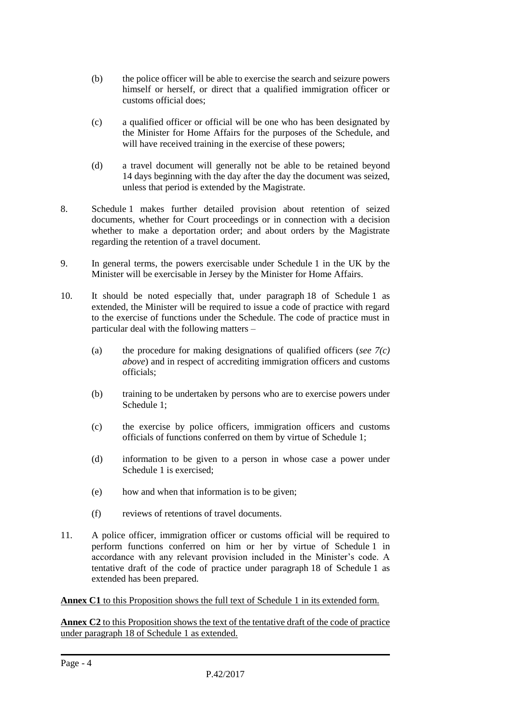- (b) the police officer will be able to exercise the search and seizure powers himself or herself, or direct that a qualified immigration officer or customs official does;
- (c) a qualified officer or official will be one who has been designated by the Minister for Home Affairs for the purposes of the Schedule, and will have received training in the exercise of these powers;
- (d) a travel document will generally not be able to be retained beyond 14 days beginning with the day after the day the document was seized, unless that period is extended by the Magistrate.
- 8. Schedule 1 makes further detailed provision about retention of seized documents, whether for Court proceedings or in connection with a decision whether to make a deportation order; and about orders by the Magistrate regarding the retention of a travel document.
- 9. In general terms, the powers exercisable under Schedule 1 in the UK by the Minister will be exercisable in Jersey by the Minister for Home Affairs.
- 10. It should be noted especially that, under paragraph 18 of Schedule 1 as extended, the Minister will be required to issue a code of practice with regard to the exercise of functions under the Schedule. The code of practice must in particular deal with the following matters –
	- (a) the procedure for making designations of qualified officers (*see 7(c) above*) and in respect of accrediting immigration officers and customs officials;
	- (b) training to be undertaken by persons who are to exercise powers under Schedule 1;
	- (c) the exercise by police officers, immigration officers and customs officials of functions conferred on them by virtue of Schedule 1;
	- (d) information to be given to a person in whose case a power under Schedule 1 is exercised;
	- (e) how and when that information is to be given;
	- (f) reviews of retentions of travel documents.
- 11. A police officer, immigration officer or customs official will be required to perform functions conferred on him or her by virtue of Schedule 1 in accordance with any relevant provision included in the Minister's code. A tentative draft of the code of practice under paragraph 18 of Schedule 1 as extended has been prepared.

**Annex C1** to this Proposition shows the full text of Schedule 1 in its extended form.

**Annex C2** to this Proposition shows the text of the tentative draft of the code of practice under paragraph 18 of Schedule 1 as extended.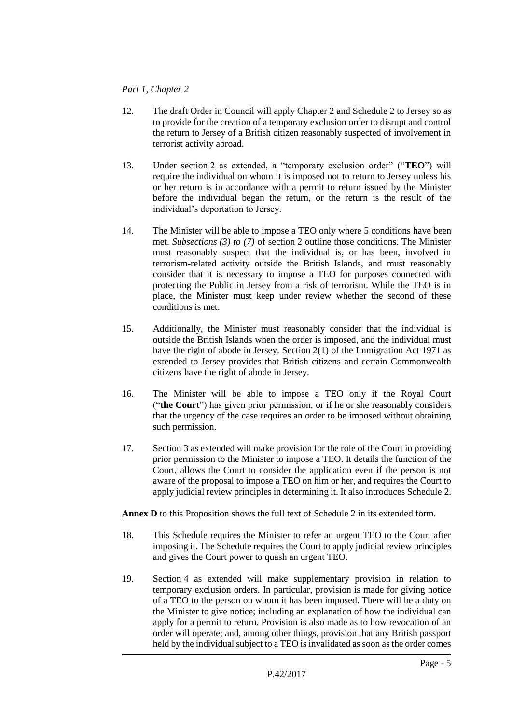#### *Part 1, Chapter 2*

- 12. The draft Order in Council will apply Chapter 2 and Schedule 2 to Jersey so as to provide for the creation of a temporary exclusion order to disrupt and control the return to Jersey of a British citizen reasonably suspected of involvement in terrorist activity abroad.
- 13. Under section 2 as extended, a "temporary exclusion order" ("**TEO**") will require the individual on whom it is imposed not to return to Jersey unless his or her return is in accordance with a permit to return issued by the Minister before the individual began the return, or the return is the result of the individual's deportation to Jersey.
- 14. The Minister will be able to impose a TEO only where 5 conditions have been met. *Subsections (3) to (7)* of section 2 outline those conditions. The Minister must reasonably suspect that the individual is, or has been, involved in terrorism-related activity outside the British Islands, and must reasonably consider that it is necessary to impose a TEO for purposes connected with protecting the Public in Jersey from a risk of terrorism. While the TEO is in place, the Minister must keep under review whether the second of these conditions is met.
- 15. Additionally, the Minister must reasonably consider that the individual is outside the British Islands when the order is imposed, and the individual must have the right of abode in Jersey. Section 2(1) of the Immigration Act 1971 as extended to Jersey provides that British citizens and certain Commonwealth citizens have the right of abode in Jersey.
- 16. The Minister will be able to impose a TEO only if the Royal Court ("**the Court**") has given prior permission, or if he or she reasonably considers that the urgency of the case requires an order to be imposed without obtaining such permission.
- 17. Section 3 as extended will make provision for the role of the Court in providing prior permission to the Minister to impose a TEO. It details the function of the Court, allows the Court to consider the application even if the person is not aware of the proposal to impose a TEO on him or her, and requires the Court to apply judicial review principles in determining it. It also introduces Schedule 2.

#### **Annex D** to this Proposition shows the full text of Schedule 2 in its extended form.

- 18. This Schedule requires the Minister to refer an urgent TEO to the Court after imposing it. The Schedule requires the Court to apply judicial review principles and gives the Court power to quash an urgent TEO.
- 19. Section 4 as extended will make supplementary provision in relation to temporary exclusion orders. In particular, provision is made for giving notice of a TEO to the person on whom it has been imposed. There will be a duty on the Minister to give notice; including an explanation of how the individual can apply for a permit to return. Provision is also made as to how revocation of an order will operate; and, among other things, provision that any British passport held by the individual subject to a TEO is invalidated as soon as the order comes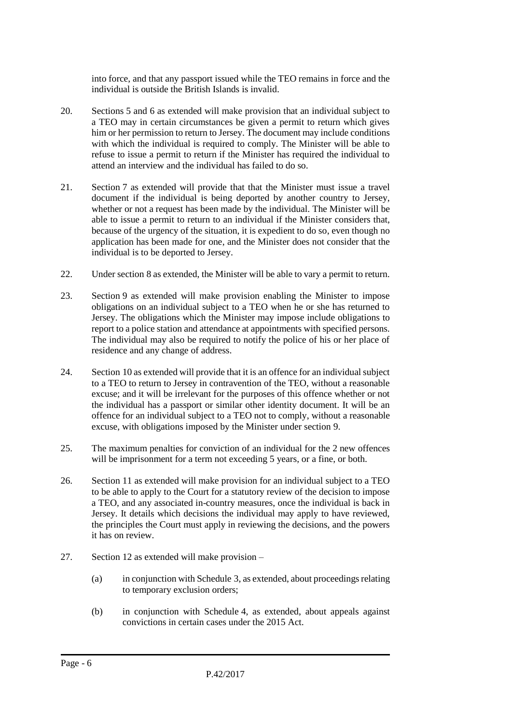into force, and that any passport issued while the TEO remains in force and the individual is outside the British Islands is invalid.

- 20. Sections 5 and 6 as extended will make provision that an individual subject to a TEO may in certain circumstances be given a permit to return which gives him or her permission to return to Jersey. The document may include conditions with which the individual is required to comply. The Minister will be able to refuse to issue a permit to return if the Minister has required the individual to attend an interview and the individual has failed to do so.
- 21. Section 7 as extended will provide that that the Minister must issue a travel document if the individual is being deported by another country to Jersey, whether or not a request has been made by the individual. The Minister will be able to issue a permit to return to an individual if the Minister considers that, because of the urgency of the situation, it is expedient to do so, even though no application has been made for one, and the Minister does not consider that the individual is to be deported to Jersey.
- 22. Under section 8 as extended, the Minister will be able to vary a permit to return.
- 23. Section 9 as extended will make provision enabling the Minister to impose obligations on an individual subject to a TEO when he or she has returned to Jersey. The obligations which the Minister may impose include obligations to report to a police station and attendance at appointments with specified persons. The individual may also be required to notify the police of his or her place of residence and any change of address.
- 24. Section 10 as extended will provide that it is an offence for an individual subject to a TEO to return to Jersey in contravention of the TEO, without a reasonable excuse; and it will be irrelevant for the purposes of this offence whether or not the individual has a passport or similar other identity document. It will be an offence for an individual subject to a TEO not to comply, without a reasonable excuse, with obligations imposed by the Minister under section 9.
- 25. The maximum penalties for conviction of an individual for the 2 new offences will be imprisonment for a term not exceeding 5 years, or a fine, or both.
- 26. Section 11 as extended will make provision for an individual subject to a TEO to be able to apply to the Court for a statutory review of the decision to impose a TEO, and any associated in-country measures, once the individual is back in Jersey. It details which decisions the individual may apply to have reviewed, the principles the Court must apply in reviewing the decisions, and the powers it has on review.
- 27. Section 12 as extended will make provision
	- (a) in conjunction with Schedule 3, as extended, about proceedings relating to temporary exclusion orders;
	- (b) in conjunction with Schedule 4, as extended, about appeals against convictions in certain cases under the 2015 Act.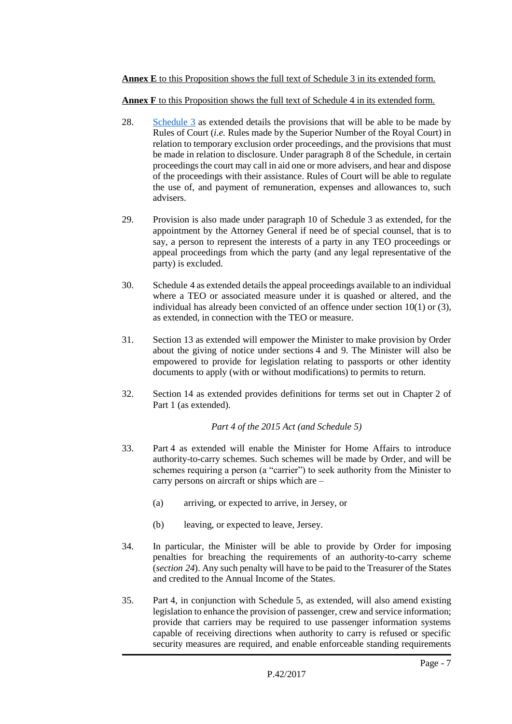#### **Annex E** to this Proposition shows the full text of Schedule 3 in its extended form.

**Annex F** to this Proposition shows the full text of Schedule 4 in its extended form.

- 28. [Schedule 3](http://www.legislation.gov.uk/ukpga/2015/6/schedule/3) as extended details the provisions that will be able to be made by Rules of Court (*i.e.* Rules made by the Superior Number of the Royal Court) in relation to temporary exclusion order proceedings, and the provisions that must be made in relation to disclosure. Under paragraph 8 of the Schedule, in certain proceedings the court may call in aid one or more advisers, and hear and dispose of the proceedings with their assistance. Rules of Court will be able to regulate the use of, and payment of remuneration, expenses and allowances to, such advisers.
- 29. Provision is also made under paragraph 10 of Schedule 3 as extended, for the appointment by the Attorney General if need be of special counsel, that is to say, a person to represent the interests of a party in any TEO proceedings or appeal proceedings from which the party (and any legal representative of the party) is excluded.
- 30. Schedule 4 as extended details the appeal proceedings available to an individual where a TEO or associated measure under it is quashed or altered, and the individual has already been convicted of an offence under section 10(1) or (3), as extended, in connection with the TEO or measure.
- 31. Section 13 as extended will empower the Minister to make provision by Order about the giving of notice under sections 4 and 9. The Minister will also be empowered to provide for legislation relating to passports or other identity documents to apply (with or without modifications) to permits to return.
- 32. Section 14 as extended provides definitions for terms set out in Chapter 2 of Part 1 (as extended).

#### *Part 4 of the 2015 Act (and Schedule 5)*

- 33. Part 4 as extended will enable the Minister for Home Affairs to introduce authority-to-carry schemes. Such schemes will be made by Order, and will be schemes requiring a person (a "carrier") to seek authority from the Minister to carry persons on aircraft or ships which are –
	- (a) arriving, or expected to arrive, in Jersey, or
	- (b) leaving, or expected to leave, Jersey.
- 34. In particular, the Minister will be able to provide by Order for imposing penalties for breaching the requirements of an authority-to-carry scheme (*section 24*). Any such penalty will have to be paid to the Treasurer of the States and credited to the Annual Income of the States.
- 35. Part 4, in conjunction with Schedule 5, as extended, will also amend existing legislation to enhance the provision of passenger, crew and service information; provide that carriers may be required to use passenger information systems capable of receiving directions when authority to carry is refused or specific security measures are required, and enable enforceable standing requirements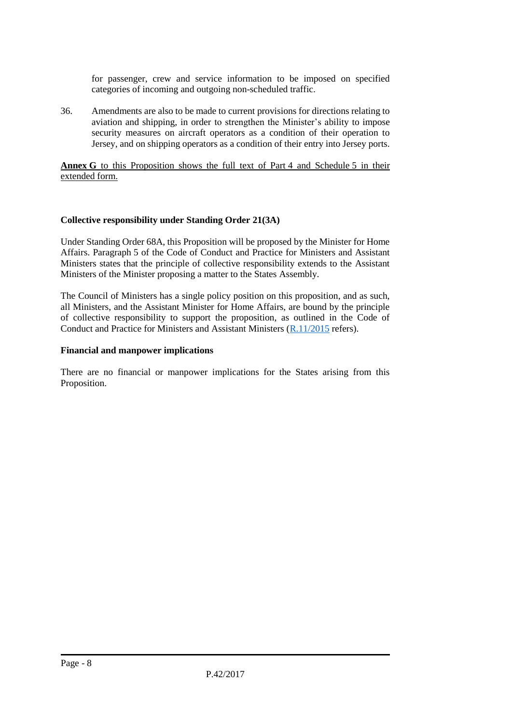for passenger, crew and service information to be imposed on specified categories of incoming and outgoing non-scheduled traffic.

36. Amendments are also to be made to current provisions for directions relating to aviation and shipping, in order to strengthen the Minister's ability to impose security measures on aircraft operators as a condition of their operation to Jersey, and on shipping operators as a condition of their entry into Jersey ports.

**Annex G** to this Proposition shows the full text of Part 4 and Schedule 5 in their extended form.

#### **Collective responsibility under Standing Order 21(3A)**

Under Standing Order 68A, this Proposition will be proposed by the Minister for Home Affairs. Paragraph 5 of the Code of Conduct and Practice for Ministers and Assistant Ministers states that the principle of collective responsibility extends to the Assistant Ministers of the Minister proposing a matter to the States Assembly.

The Council of Ministers has a single policy position on this proposition, and as such, all Ministers, and the Assistant Minister for Home Affairs, are bound by the principle of collective responsibility to support the proposition, as outlined in the Code of Conduct and Practice for Ministers and Assistant Ministers [\(R.11/2015](http://www.statesassembly.gov.je/AssemblyReports/2015/R.11-2015.pdf) refers).

#### **Financial and manpower implications**

There are no financial or manpower implications for the States arising from this Proposition.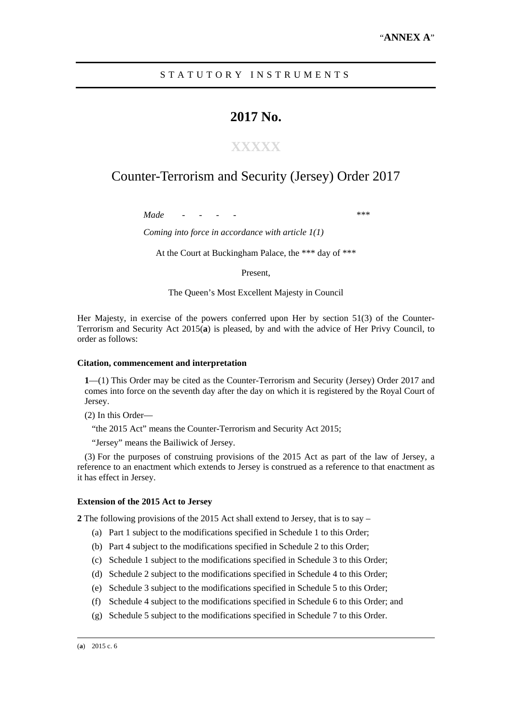#### STATUTORY INSTRUMENTS

# **2017 No.**

## **XXXXX**

# Counter-Terrorism and Security (Jersey) Order 2017

*Made - - - - \*\*\** 

*Coming into force in accordance with article 1(1)* 

At the Court at Buckingham Palace, the \*\*\* day of \*\*\*

Present,

The Queen's Most Excellent Majesty in Council

Her Majesty, in exercise of the powers conferred upon Her by section 51(3) of the Counter-Terrorism and Security Act 2015(**a**) is pleased, by and with the advice of Her Privy Council, to order as follows:

#### **Citation, commencement and interpretation**

**1**—(1) This Order may be cited as the Counter-Terrorism and Security (Jersey) Order 2017 and comes into force on the seventh day after the day on which it is registered by the Royal Court of Jersey.

(2) In this Order—

"the 2015 Act" means the Counter-Terrorism and Security Act 2015;

"Jersey" means the Bailiwick of Jersey.

(3) For the purposes of construing provisions of the 2015 Act as part of the law of Jersey, a reference to an enactment which extends to Jersey is construed as a reference to that enactment as it has effect in Jersey.

#### **Extension of the 2015 Act to Jersey**

**2** The following provisions of the 2015 Act shall extend to Jersey, that is to say –

- (a) Part 1 subject to the modifications specified in Schedule 1 to this Order;
- (b) Part 4 subject to the modifications specified in Schedule 2 to this Order;
- (c) Schedule 1 subject to the modifications specified in Schedule 3 to this Order;
- (d) Schedule 2 subject to the modifications specified in Schedule 4 to this Order;
- (e) Schedule 3 subject to the modifications specified in Schedule 5 to this Order;
- (f) Schedule 4 subject to the modifications specified in Schedule 6 to this Order; and
- (g) Schedule 5 subject to the modifications specified in Schedule 7 to this Order.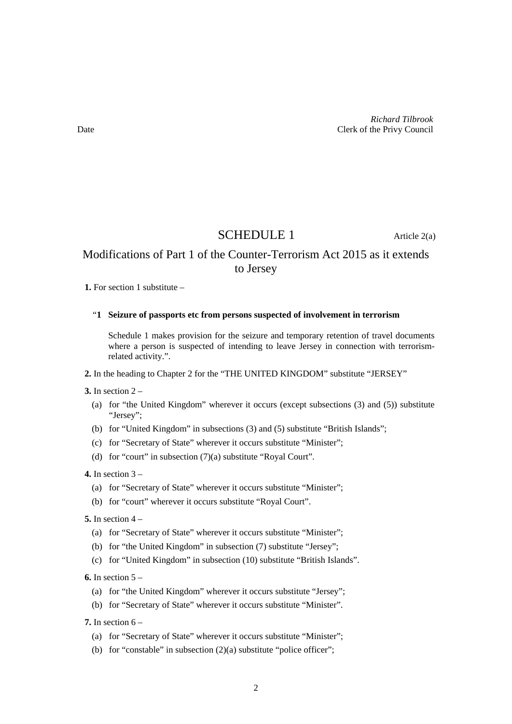## SCHEDULE 1 Article 2(a)

## Modifications of Part 1 of the Counter-Terrorism Act 2015 as it extends to Jersey

**1.** For section 1 substitute –

#### "**1 Seizure of passports etc from persons suspected of involvement in terrorism**

Schedule 1 makes provision for the seizure and temporary retention of travel documents where a person is suspected of intending to leave Jersey in connection with terrorismrelated activity.".

**2.** In the heading to Chapter 2 for the "THE UNITED KINGDOM" substitute "JERSEY"

**3.** In section 2 –

- (a) for "the United Kingdom" wherever it occurs (except subsections (3) and (5)) substitute "Jersey";
- (b) for "United Kingdom" in subsections (3) and (5) substitute "British Islands";
- (c) for "Secretary of State" wherever it occurs substitute "Minister";
- (d) for "court" in subsection (7)(a) substitute "Royal Court".

**4.** In section 3 –

- (a) for "Secretary of State" wherever it occurs substitute "Minister";
- (b) for "court" wherever it occurs substitute "Royal Court".

**5.** In section 4 –

- (a) for "Secretary of State" wherever it occurs substitute "Minister";
- (b) for "the United Kingdom" in subsection (7) substitute "Jersey";
- (c) for "United Kingdom" in subsection (10) substitute "British Islands".

**6.** In section 5 –

- (a) for "the United Kingdom" wherever it occurs substitute "Jersey";
- (b) for "Secretary of State" wherever it occurs substitute "Minister".

**7.** In section 6 –

- (a) for "Secretary of State" wherever it occurs substitute "Minister";
- (b) for "constable" in subsection  $(2)(a)$  substitute "police officer";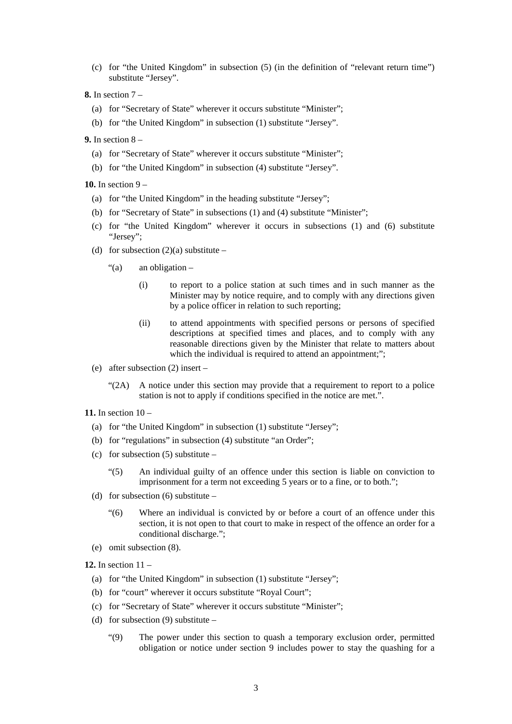- (c) for "the United Kingdom" in subsection (5) (in the definition of "relevant return time") substitute "Jersey".
- **8.** In section 7
	- (a) for "Secretary of State" wherever it occurs substitute "Minister";
	- (b) for "the United Kingdom" in subsection (1) substitute "Jersey".
- **9.** In section 8
	- (a) for "Secretary of State" wherever it occurs substitute "Minister";
	- (b) for "the United Kingdom" in subsection (4) substitute "Jersey".

**10.** In section 9 –

- (a) for "the United Kingdom" in the heading substitute "Jersey";
- (b) for "Secretary of State" in subsections (1) and (4) substitute "Minister";
- (c) for "the United Kingdom" wherever it occurs in subsections (1) and (6) substitute "Jersey";
- (d) for subsection  $(2)(a)$  substitute
	- "(a) an obligation
		- (i) to report to a police station at such times and in such manner as the Minister may by notice require, and to comply with any directions given by a police officer in relation to such reporting;
		- (ii) to attend appointments with specified persons or persons of specified descriptions at specified times and places, and to comply with any reasonable directions given by the Minister that relate to matters about which the individual is required to attend an appointment;";
- (e) after subsection (2) insert
	- $\mathcal{L}(2A)$  A notice under this section may provide that a requirement to report to a police station is not to apply if conditions specified in the notice are met.".
- **11.** In section 10
	- (a) for "the United Kingdom" in subsection (1) substitute "Jersey";
	- (b) for "regulations" in subsection (4) substitute "an Order";
	- (c) for subsection  $(5)$  substitute
		- "(5) An individual guilty of an offence under this section is liable on conviction to imprisonment for a term not exceeding 5 years or to a fine, or to both.";
	- (d) for subsection  $(6)$  substitute
		- "(6) Where an individual is convicted by or before a court of an offence under this section, it is not open to that court to make in respect of the offence an order for a conditional discharge.";
	- (e) omit subsection (8).

**12.** In section 11 –

- (a) for "the United Kingdom" in subsection (1) substitute "Jersey";
- (b) for "court" wherever it occurs substitute "Royal Court";
- (c) for "Secretary of State" wherever it occurs substitute "Minister";
- (d) for subsection  $(9)$  substitute
	- "(9) The power under this section to quash a temporary exclusion order, permitted obligation or notice under section 9 includes power to stay the quashing for a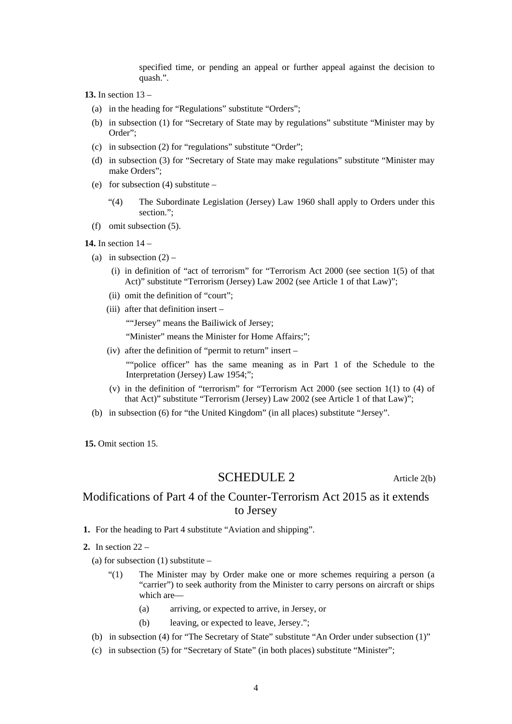specified time, or pending an appeal or further appeal against the decision to quash.".

**13.** In section 13 –

- (a) in the heading for "Regulations" substitute "Orders";
- (b) in subsection (1) for "Secretary of State may by regulations" substitute "Minister may by Order";
- (c) in subsection (2) for "regulations" substitute "Order";
- (d) in subsection (3) for "Secretary of State may make regulations" substitute "Minister may make Orders";
- (e) for subsection (4) substitute
	- "(4) The Subordinate Legislation (Jersey) Law 1960 shall apply to Orders under this section.";
- (f) omit subsection (5).

#### **14.** In section 14 –

- (a) in subsection  $(2)$ 
	- (i) in definition of "act of terrorism" for "Terrorism Act 2000 (see section 1(5) of that Act)" substitute "Terrorism (Jersey) Law 2002 (see Article 1 of that Law)";
	- (ii) omit the definition of "court";
	- (iii) after that definition insert –

""Jersey" means the Bailiwick of Jersey;

"Minister" means the Minister for Home Affairs;";

(iv) after the definition of "permit to return" insert –

""police officer" has the same meaning as in Part 1 of the Schedule to the Interpretation (Jersey) Law 1954;";

- (v) in the definition of "terrorism" for "Terrorism Act 2000 (see section 1(1) to (4) of that Act)" substitute "Terrorism (Jersey) Law 2002 (see Article 1 of that Law)";
- (b) in subsection (6) for "the United Kingdom" (in all places) substitute "Jersey".

**15.** Omit section 15.

#### SCHEDULE 2 Article 2(b)

## Modifications of Part 4 of the Counter-Terrorism Act 2015 as it extends to Jersey

- **1.** For the heading to Part 4 substitute "Aviation and shipping".
- **2.** In section 22
	- (a) for subsection  $(1)$  substitute
		- "(1) The Minister may by Order make one or more schemes requiring a person (a "carrier") to seek authority from the Minister to carry persons on aircraft or ships which are—
			- (a) arriving, or expected to arrive, in Jersey, or
			- (b) leaving, or expected to leave, Jersey.";
	- (b) in subsection (4) for "The Secretary of State" substitute "An Order under subsection (1)"
	- (c) in subsection (5) for "Secretary of State" (in both places) substitute "Minister";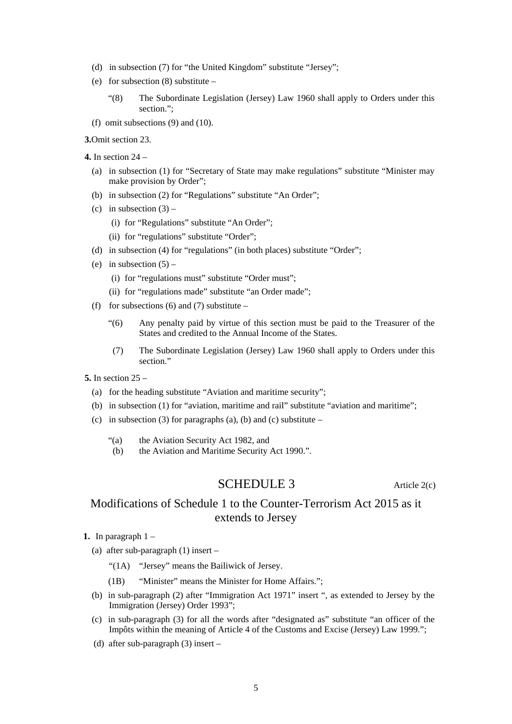- (d) in subsection (7) for "the United Kingdom" substitute "Jersey";
- (e) for subsection (8) substitute
	- "(8) The Subordinate Legislation (Jersey) Law 1960 shall apply to Orders under this section.";
- (f) omit subsections (9) and (10).

**3.**Omit section 23.

- **4.** In section 24
	- (a) in subsection (1) for "Secretary of State may make regulations" substitute "Minister may make provision by Order";
	- (b) in subsection (2) for "Regulations" substitute "An Order";
	- (c) in subsection  $(3)$ 
		- (i) for "Regulations" substitute "An Order";
		- (ii) for "regulations" substitute "Order";
	- (d) in subsection (4) for "regulations" (in both places) substitute "Order";
	- (e) in subsection  $(5)$ 
		- (i) for "regulations must" substitute "Order must";
		- (ii) for "regulations made" substitute "an Order made";
	- (f) for subsections (6) and (7) substitute
		- "(6) Any penalty paid by virtue of this section must be paid to the Treasurer of the States and credited to the Annual Income of the States.
		- (7) The Subordinate Legislation (Jersey) Law 1960 shall apply to Orders under this section."
- **5.** In section 25
	- (a) for the heading substitute "Aviation and maritime security";
	- (b) in subsection (1) for "aviation, maritime and rail" substitute "aviation and maritime";
	- (c) in subsection (3) for paragraphs (a), (b) and (c) substitute
		- "(a) the Aviation Security Act 1982, and
		- (b) the Aviation and Maritime Security Act 1990.".

## SCHEDULE 3 Article 2(c)

# Modifications of Schedule 1 to the Counter-Terrorism Act 2015 as it extends to Jersey

- **1.** In paragraph 1
	- (a) after sub-paragraph (1) insert
		- "(1A) "Jersey" means the Bailiwick of Jersey.
		- (1B) "Minister" means the Minister for Home Affairs.";
	- (b) in sub-paragraph (2) after "Immigration Act 1971" insert ", as extended to Jersey by the Immigration (Jersey) Order 1993";
	- (c) in sub-paragraph (3) for all the words after "designated as" substitute "an officer of the Impôts within the meaning of Article 4 of the Customs and Excise (Jersey) Law 1999.";
	- (d) after sub-paragraph (3) insert –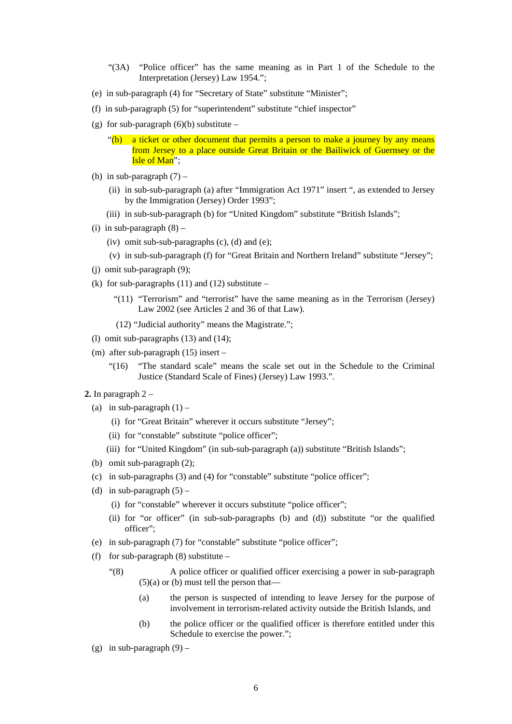- "(3A) "Police officer" has the same meaning as in Part 1 of the Schedule to the Interpretation (Jersey) Law 1954.";
- (e) in sub-paragraph (4) for "Secretary of State" substitute "Minister";
- (f) in sub-paragraph (5) for "superintendent" substitute "chief inspector"
- (g) for sub-paragraph  $(6)(b)$  substitute
	- "(b) a ticket or other document that permits a person to make a journey by any means from Jersey to a place outside Great Britain or the Bailiwick of Guernsey or the **Isle of Man**":
- (h) in sub-paragraph  $(7)$ 
	- (ii) in sub-sub-paragraph (a) after "Immigration Act 1971" insert ", as extended to Jersey by the Immigration (Jersey) Order 1993";
	- (iii) in sub-sub-paragraph (b) for "United Kingdom" substitute "British Islands";
- (i) in sub-paragraph  $(8)$ 
	- (iv) omit sub-sub-paragraphs (c), (d) and (e);
	- (v) in sub-sub-paragraph (f) for "Great Britain and Northern Ireland" substitute "Jersey";
- (j) omit sub-paragraph (9);
- (k) for sub-paragraphs  $(11)$  and  $(12)$  substitute
	- "(11) "Terrorism" and "terrorist" have the same meaning as in the Terrorism (Jersey) Law 2002 (see Articles 2 and 36 of that Law).
	- (12) "Judicial authority" means the Magistrate.";
- (l) omit sub-paragraphs (13) and (14);
- (m) after sub-paragraph (15) insert
	- "(16) "The standard scale" means the scale set out in the Schedule to the Criminal Justice (Standard Scale of Fines) (Jersey) Law 1993.".
- **2.** In paragraph 2
	- (a) in sub-paragraph  $(1)$ 
		- (i) for "Great Britain" wherever it occurs substitute "Jersey";
		- (ii) for "constable" substitute "police officer";
		- (iii) for "United Kingdom" (in sub-sub-paragraph (a)) substitute "British Islands";
	- (b) omit sub-paragraph (2);
	- (c) in sub-paragraphs (3) and (4) for "constable" substitute "police officer";
	- (d) in sub-paragraph  $(5)$ 
		- (i) for "constable" wherever it occurs substitute "police officer";
		- (ii) for "or officer" (in sub-sub-paragraphs (b) and (d)) substitute "or the qualified officer";
	- (e) in sub-paragraph (7) for "constable" substitute "police officer";
	- (f) for sub-paragraph  $(8)$  substitute
		- "(8) A police officer or qualified officer exercising a power in sub-paragraph  $(5)(a)$  or  $(b)$  must tell the person that—
			- (a) the person is suspected of intending to leave Jersey for the purpose of involvement in terrorism-related activity outside the British Islands, and
			- (b) the police officer or the qualified officer is therefore entitled under this Schedule to exercise the power.";
	- (g) in sub-paragraph  $(9)$  –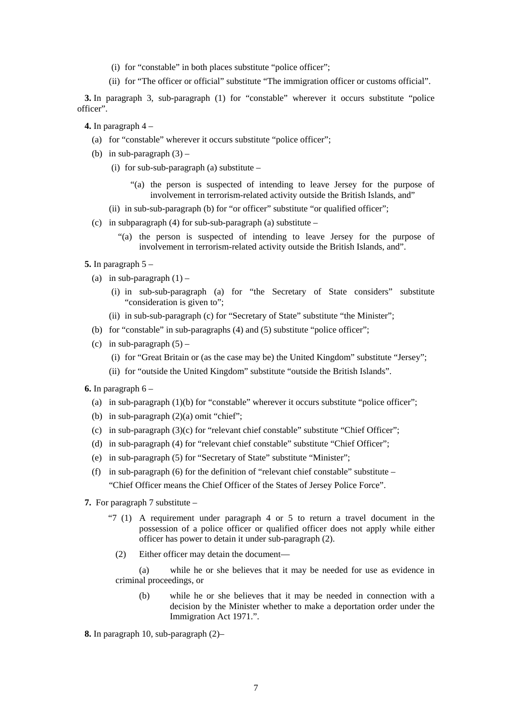- (i) for "constable" in both places substitute "police officer";
- (ii) for "The officer or official" substitute "The immigration officer or customs official".

**3.** In paragraph 3, sub-paragraph (1) for "constable" wherever it occurs substitute "police officer".

**4.** In paragraph 4 –

- (a) for "constable" wherever it occurs substitute "police officer";
- (b) in sub-paragraph  $(3)$ 
	- (i) for sub-sub-paragraph (a) substitute  $-$ 
		- "(a) the person is suspected of intending to leave Jersey for the purpose of involvement in terrorism-related activity outside the British Islands, and"
	- (ii) in sub-sub-paragraph (b) for "or officer" substitute "or qualified officer";
- (c) in subparagraph (4) for sub-sub-paragraph (a) substitute  $-$ 
	- "(a) the person is suspected of intending to leave Jersey for the purpose of involvement in terrorism-related activity outside the British Islands, and".
- **5.** In paragraph 5
	- (a) in sub-paragraph  $(1)$ 
		- (i) in sub-sub-paragraph (a) for "the Secretary of State considers" substitute "consideration is given to";
		- (ii) in sub-sub-paragraph (c) for "Secretary of State" substitute "the Minister";
	- (b) for "constable" in sub-paragraphs (4) and (5) substitute "police officer";
	- (c) in sub-paragraph  $(5)$ 
		- (i) for "Great Britain or (as the case may be) the United Kingdom" substitute "Jersey";
		- (ii) for "outside the United Kingdom" substitute "outside the British Islands".
- **6.** In paragraph 6
	- (a) in sub-paragraph (1)(b) for "constable" wherever it occurs substitute "police officer";
	- (b) in sub-paragraph (2)(a) omit "chief";
	- (c) in sub-paragraph  $(3)(c)$  for "relevant chief constable" substitute "Chief Officer";
	- (d) in sub-paragraph (4) for "relevant chief constable" substitute "Chief Officer";
	- (e) in sub-paragraph (5) for "Secretary of State" substitute "Minister";
	- (f) in sub-paragraph (6) for the definition of "relevant chief constable" substitute "Chief Officer means the Chief Officer of the States of Jersey Police Force".
- **7.** For paragraph 7 substitute
	- "7 (1) A requirement under paragraph 4 or 5 to return a travel document in the possession of a police officer or qualified officer does not apply while either officer has power to detain it under sub-paragraph (2).
		- (2) Either officer may detain the document—

(a) while he or she believes that it may be needed for use as evidence in criminal proceedings, or

(b) while he or she believes that it may be needed in connection with a decision by the Minister whether to make a deportation order under the Immigration Act 1971.".

**8.** In paragraph 10, sub-paragraph (2)–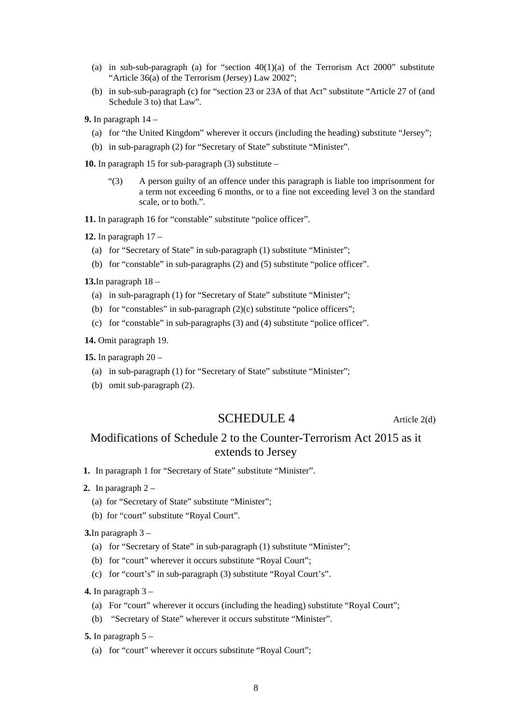- (a) in sub-sub-paragraph (a) for "section  $40(1)(a)$  of the Terrorism Act 2000" substitute "Article 36(a) of the Terrorism (Jersey) Law 2002";
- (b) in sub-sub-paragraph (c) for "section 23 or 23A of that Act" substitute "Article 27 of (and Schedule 3 to) that Law".
- **9.** In paragraph 14
	- (a) for "the United Kingdom" wherever it occurs (including the heading) substitute "Jersey";
	- (b) in sub-paragraph (2) for "Secretary of State" substitute "Minister".

**10.** In paragraph 15 for sub-paragraph (3) substitute –

"(3) A person guilty of an offence under this paragraph is liable too imprisonment for a term not exceeding 6 months, or to a fine not exceeding level 3 on the standard scale, or to both.".

**11.** In paragraph 16 for "constable" substitute "police officer".

**12.** In paragraph 17 –

- (a) for "Secretary of State" in sub-paragraph (1) substitute "Minister";
- (b) for "constable" in sub-paragraphs (2) and (5) substitute "police officer".

**13.**In paragraph 18 –

- (a) in sub-paragraph (1) for "Secretary of State" substitute "Minister";
- (b) for "constables" in sub-paragraph  $(2)(c)$  substitute "police officers";
- (c) for "constable" in sub-paragraphs (3) and (4) substitute "police officer".

**14.** Omit paragraph 19.

**15.** In paragraph 20 –

- (a) in sub-paragraph (1) for "Secretary of State" substitute "Minister";
- (b) omit sub-paragraph (2).

### SCHEDULE 4 Article 2(d)

## Modifications of Schedule 2 to the Counter-Terrorism Act 2015 as it extends to Jersey

**1.** In paragraph 1 for "Secretary of State" substitute "Minister".

- **2.** In paragraph 2
	- (a) for "Secretary of State" substitute "Minister";
	- (b) for "court" substitute "Royal Court".

**3.**In paragraph 3 –

- (a) for "Secretary of State" in sub-paragraph (1) substitute "Minister";
- (b) for "court" wherever it occurs substitute "Royal Court";
- (c) for "court's" in sub-paragraph (3) substitute "Royal Court's".

**4.** In paragraph 3 –

- (a) For "court" wherever it occurs (including the heading) substitute "Royal Court";
- (b) "Secretary of State" wherever it occurs substitute "Minister".

**5.** In paragraph 5 –

(a) for "court" wherever it occurs substitute "Royal Court";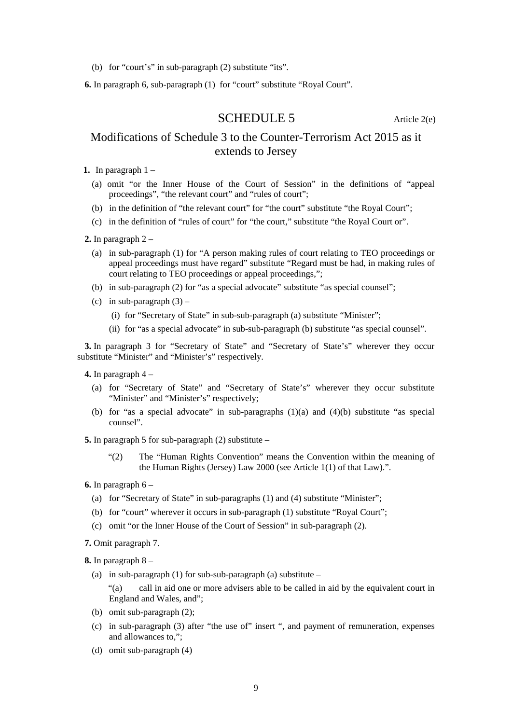(b) for "court's" in sub-paragraph (2) substitute "its".

**6.** In paragraph 6, sub-paragraph (1) for "court" substitute "Royal Court".

SCHEDULE 5 Article 2(e)

## Modifications of Schedule 3 to the Counter-Terrorism Act 2015 as it extends to Jersey

**1.** In paragraph  $1 -$ 

- (a) omit "or the Inner House of the Court of Session" in the definitions of "appeal proceedings", "the relevant court" and "rules of court";
- (b) in the definition of "the relevant court" for "the court" substitute "the Royal Court";
- (c) in the definition of "rules of court" for "the court," substitute "the Royal Court or".
- **2.** In paragraph 2
	- (a) in sub-paragraph (1) for "A person making rules of court relating to TEO proceedings or appeal proceedings must have regard" substitute "Regard must be had, in making rules of court relating to TEO proceedings or appeal proceedings,";
	- (b) in sub-paragraph (2) for "as a special advocate" substitute "as special counsel";
	- (c) in sub-paragraph  $(3)$ 
		- (i) for "Secretary of State" in sub-sub-paragraph (a) substitute "Minister";
		- (ii) for "as a special advocate" in sub-sub-paragraph (b) substitute "as special counsel".

**3.** In paragraph 3 for "Secretary of State" and "Secretary of State's" wherever they occur substitute "Minister" and "Minister's" respectively.

**4.** In paragraph 4 –

- (a) for "Secretary of State" and "Secretary of State's" wherever they occur substitute "Minister" and "Minister's" respectively;
- (b) for "as a special advocate" in sub-paragraphs  $(1)(a)$  and  $(4)(b)$  substitute "as special counsel".

**5.** In paragraph 5 for sub-paragraph (2) substitute –

"(2) The "Human Rights Convention" means the Convention within the meaning of the Human Rights (Jersey) Law 2000 (see Article 1(1) of that Law).".

- (a) for "Secretary of State" in sub-paragraphs (1) and (4) substitute "Minister";
- (b) for "court" wherever it occurs in sub-paragraph (1) substitute "Royal Court";
- (c) omit "or the Inner House of the Court of Session" in sub-paragraph (2).
- **7.** Omit paragraph 7.

**8.** In paragraph 8 –

(a) in sub-paragraph (1) for sub-sub-paragraph (a) substitute  $-$ 

"(a) call in aid one or more advisers able to be called in aid by the equivalent court in England and Wales, and";

- (b) omit sub-paragraph (2);
- (c) in sub-paragraph (3) after "the use of" insert ", and payment of remuneration, expenses and allowances to,";
- (d) omit sub-paragraph (4)

**<sup>6.</sup>** In paragraph 6 –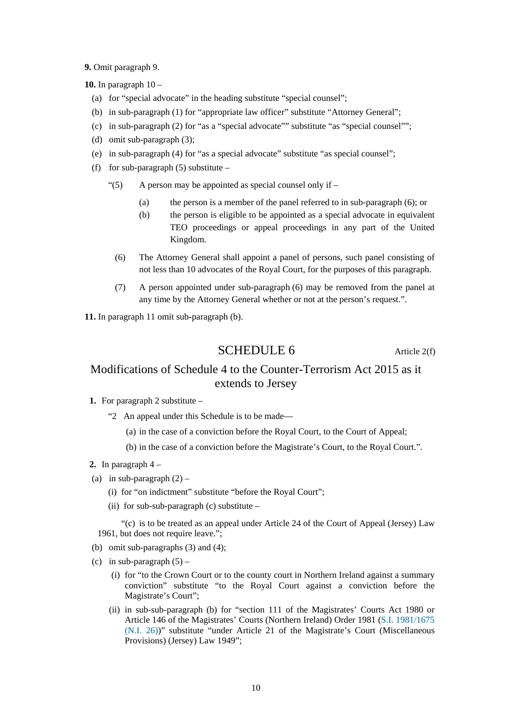**9.** Omit paragraph 9.

**10.** In paragraph 10 –

- (a) for "special advocate" in the heading substitute "special counsel";
- (b) in sub-paragraph (1) for "appropriate law officer" substitute "Attorney General";
- (c) in sub-paragraph (2) for "as a "special advocate"" substitute "as "special counsel"";
- (d) omit sub-paragraph (3);
- (e) in sub-paragraph (4) for "as a special advocate" substitute "as special counsel";
- (f) for sub-paragraph  $(5)$  substitute
	- "(5) A person may be appointed as special counsel only if  $-$ 
		- (a) the person is a member of the panel referred to in sub-paragraph (6); or
		- (b) the person is eligible to be appointed as a special advocate in equivalent TEO proceedings or appeal proceedings in any part of the United Kingdom.
		- (6) The Attorney General shall appoint a panel of persons, such panel consisting of not less than 10 advocates of the Royal Court, for the purposes of this paragraph.
		- (7) A person appointed under sub-paragraph (6) may be removed from the panel at any time by the Attorney General whether or not at the person's request.".

**11.** In paragraph 11 omit sub-paragraph (b).

SCHEDULE 6 Article 2(f)

## Modifications of Schedule 4 to the Counter-Terrorism Act 2015 as it extends to Jersey

- **1.** For paragraph 2 substitute
	- "2 An appeal under this Schedule is to be made—
		- (a) in the case of a conviction before the Royal Court, to the Court of Appeal;

(b) in the case of a conviction before the Magistrate's Court, to the Royal Court.".

- **2.** In paragraph 4 –
- (a) in sub-paragraph  $(2)$ 
	- (i) for "on indictment" substitute "before the Royal Court";
	- (ii) for sub-sub-paragraph (c) substitute  $-$

"(c) is to be treated as an appeal under Article 24 of the Court of Appeal (Jersey) Law 1961, but does not require leave.";

- (b) omit sub-paragraphs (3) and (4);
- (c) in sub-paragraph  $(5)$ 
	- (i) for "to the Crown Court or to the county court in Northern Ireland against a summary conviction" substitute "to the Royal Court against a conviction before the Magistrate's Court";
	- (ii) in sub-sub-paragraph (b) for "section 111 of the Magistrates' Courts Act 1980 or Article 146 of the Magistrates' Courts (Northern Ireland) Order 1981 (S.I. 1981/1675 (N.I. 26))" substitute "under Article 21 of the Magistrate's Court (Miscellaneous Provisions) (Jersey) Law 1949";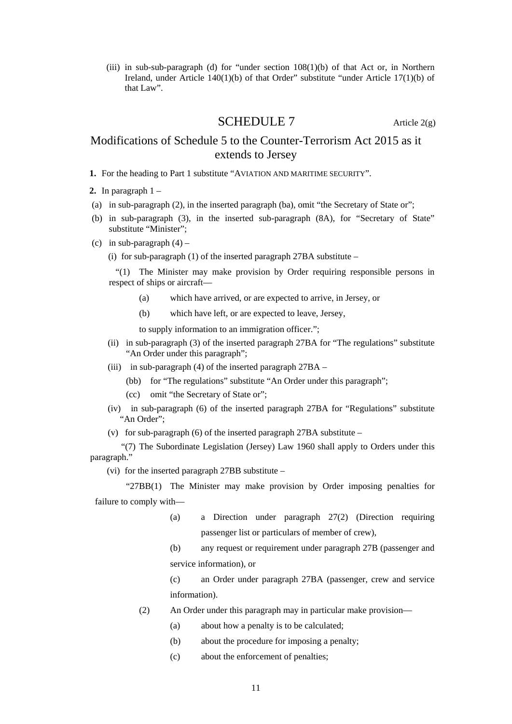(iii) in sub-sub-paragraph (d) for "under section  $108(1)$ (b) of that Act or, in Northern Ireland, under Article 140(1)(b) of that Order" substitute "under Article 17(1)(b) of that Law".

#### **SCHEDULE 7** Article  $2(g)$

## Modifications of Schedule 5 to the Counter-Terrorism Act 2015 as it extends to Jersey

- **1.** For the heading to Part 1 substitute "AVIATION AND MARITIME SECURITY".
- **2.** In paragraph 1 –
- (a) in sub-paragraph (2), in the inserted paragraph (ba), omit "the Secretary of State or";
- (b) in sub-paragraph (3), in the inserted sub-paragraph (8A), for "Secretary of State" substitute "Minister";
- (c) in sub-paragraph  $(4)$ 
	- (i) for sub-paragraph (1) of the inserted paragraph  $27BA$  substitute –

"(1) The Minister may make provision by Order requiring responsible persons in respect of ships or aircraft—

- (a) which have arrived, or are expected to arrive, in Jersey, or
- (b) which have left, or are expected to leave, Jersey,

to supply information to an immigration officer.";

- (ii) in sub-paragraph (3) of the inserted paragraph 27BA for "The regulations" substitute "An Order under this paragraph";
- (iii) in sub-paragraph (4) of the inserted paragraph 27BA
	- (bb) for "The regulations" substitute "An Order under this paragraph";
	- (cc) omit "the Secretary of State or";
- (iv) in sub-paragraph (6) of the inserted paragraph 27BA for "Regulations" substitute "An Order";
- (v) for sub-paragraph (6) of the inserted paragraph  $27BA$  substitute –

"(7) The Subordinate Legislation (Jersey) Law 1960 shall apply to Orders under this paragraph."

(vi) for the inserted paragraph 27BB substitute –

"27BB(1) The Minister may make provision by Order imposing penalties for failure to comply with—

- (a) a Direction under paragraph 27(2) (Direction requiring passenger list or particulars of member of crew),
- (b) any request or requirement under paragraph 27B (passenger and service information), or

(c) an Order under paragraph 27BA (passenger, crew and service information).

- (2) An Order under this paragraph may in particular make provision—
	- (a) about how a penalty is to be calculated;
	- (b) about the procedure for imposing a penalty;
	- (c) about the enforcement of penalties;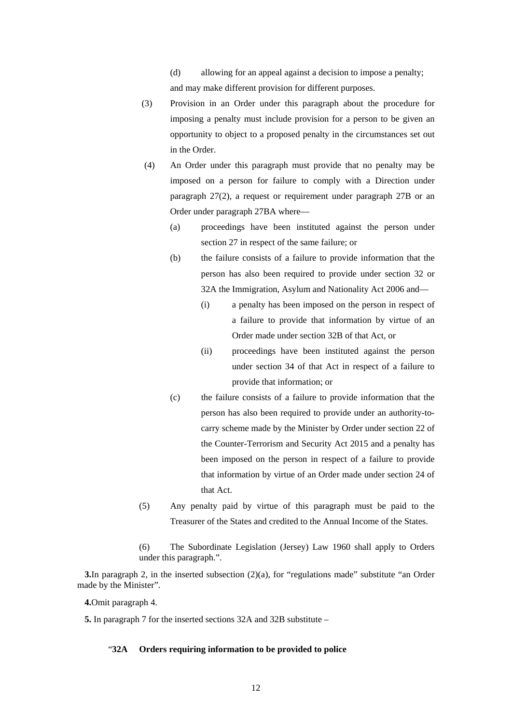(d) allowing for an appeal against a decision to impose a penalty;

and may make different provision for different purposes.

- (3) Provision in an Order under this paragraph about the procedure for imposing a penalty must include provision for a person to be given an opportunity to object to a proposed penalty in the circumstances set out in the Order.
- (4) An Order under this paragraph must provide that no penalty may be imposed on a person for failure to comply with a Direction under paragraph 27(2), a request or requirement under paragraph 27B or an Order under paragraph 27BA where—
	- (a) proceedings have been instituted against the person under section 27 in respect of the same failure; or
	- (b) the failure consists of a failure to provide information that the person has also been required to provide under section 32 or 32A the Immigration, Asylum and Nationality Act 2006 and—
		- (i) a penalty has been imposed on the person in respect of a failure to provide that information by virtue of an Order made under section 32B of that Act, or
		- (ii) proceedings have been instituted against the person under section 34 of that Act in respect of a failure to provide that information; or
	- (c) the failure consists of a failure to provide information that the person has also been required to provide under an authority-tocarry scheme made by the Minister by Order under section 22 of the Counter-Terrorism and Security Act 2015 and a penalty has been imposed on the person in respect of a failure to provide that information by virtue of an Order made under section 24 of that Act.
- (5) Any penalty paid by virtue of this paragraph must be paid to the Treasurer of the States and credited to the Annual Income of the States.
- (6) The Subordinate Legislation (Jersey) Law 1960 shall apply to Orders under this paragraph.".

**3.**In paragraph 2, in the inserted subsection (2)(a), for "regulations made" substitute "an Order made by the Minister".

**4.**Omit paragraph 4.

**5.** In paragraph 7 for the inserted sections 32A and 32B substitute –

#### "**32A Orders requiring information to be provided to police**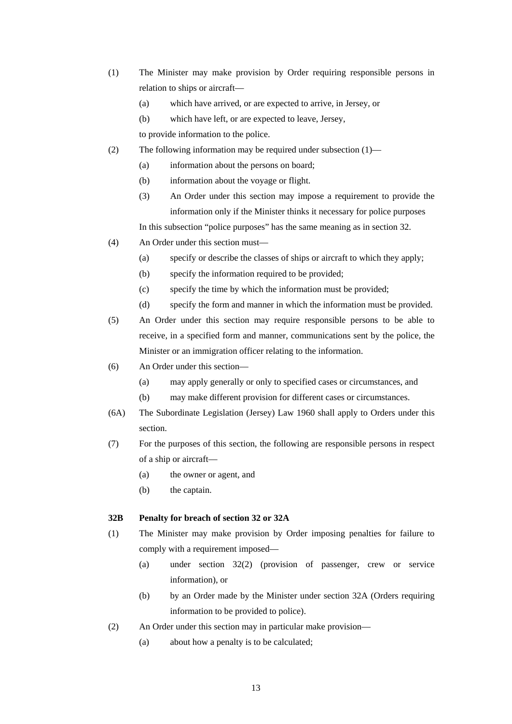- (1) The Minister may make provision by Order requiring responsible persons in relation to ships or aircraft—
	- (a) which have arrived, or are expected to arrive, in Jersey, or
	- (b) which have left, or are expected to leave, Jersey,
	- to provide information to the police.
- (2) The following information may be required under subsection (1)—
	- (a) information about the persons on board;
	- (b) information about the voyage or flight.
	- (3) An Order under this section may impose a requirement to provide the information only if the Minister thinks it necessary for police purposes

In this subsection "police purposes" has the same meaning as in section 32.

- (4) An Order under this section must—
	- (a) specify or describe the classes of ships or aircraft to which they apply;
	- (b) specify the information required to be provided;
	- (c) specify the time by which the information must be provided;
	- (d) specify the form and manner in which the information must be provided.
- (5) An Order under this section may require responsible persons to be able to receive, in a specified form and manner, communications sent by the police, the Minister or an immigration officer relating to the information.
- (6) An Order under this section—
	- (a) may apply generally or only to specified cases or circumstances, and
	- (b) may make different provision for different cases or circumstances.
- (6A) The Subordinate Legislation (Jersey) Law 1960 shall apply to Orders under this section.
- (7) For the purposes of this section, the following are responsible persons in respect of a ship or aircraft—
	- (a) the owner or agent, and
	- (b) the captain.

#### **32B Penalty for breach of section 32 or 32A**

- (1) The Minister may make provision by Order imposing penalties for failure to comply with a requirement imposed—
	- (a) under section 32(2) (provision of passenger, crew or service information), or
	- (b) by an Order made by the Minister under section 32A (Orders requiring information to be provided to police).
- (2) An Order under this section may in particular make provision—
	- (a) about how a penalty is to be calculated;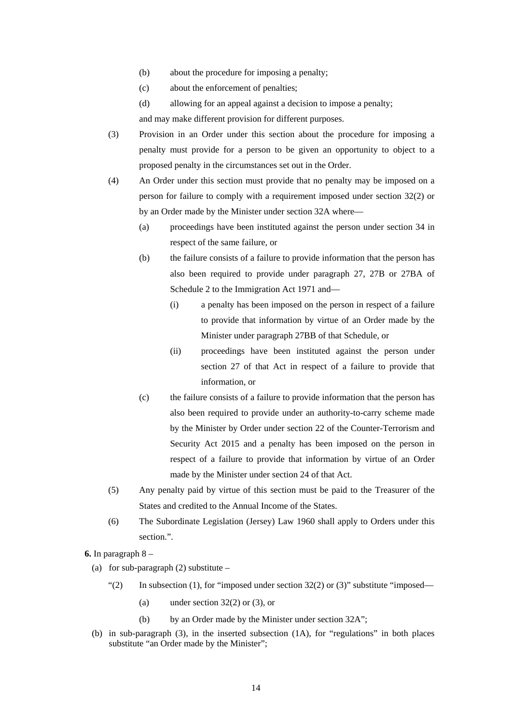- (b) about the procedure for imposing a penalty;
- (c) about the enforcement of penalties;
- (d) allowing for an appeal against a decision to impose a penalty;

and may make different provision for different purposes.

- (3) Provision in an Order under this section about the procedure for imposing a penalty must provide for a person to be given an opportunity to object to a proposed penalty in the circumstances set out in the Order.
- (4) An Order under this section must provide that no penalty may be imposed on a person for failure to comply with a requirement imposed under section 32(2) or by an Order made by the Minister under section 32A where—
	- (a) proceedings have been instituted against the person under section 34 in respect of the same failure, or
	- (b) the failure consists of a failure to provide information that the person has also been required to provide under paragraph 27, 27B or 27BA of Schedule 2 to the Immigration Act 1971 and—
		- (i) a penalty has been imposed on the person in respect of a failure to provide that information by virtue of an Order made by the Minister under paragraph 27BB of that Schedule, or
		- (ii) proceedings have been instituted against the person under section 27 of that Act in respect of a failure to provide that information, or
	- (c) the failure consists of a failure to provide information that the person has also been required to provide under an authority-to-carry scheme made by the Minister by Order under section 22 of the Counter-Terrorism and Security Act 2015 and a penalty has been imposed on the person in respect of a failure to provide that information by virtue of an Order made by the Minister under section 24 of that Act.
- (5) Any penalty paid by virtue of this section must be paid to the Treasurer of the States and credited to the Annual Income of the States.
- (6) The Subordinate Legislation (Jersey) Law 1960 shall apply to Orders under this section.".

**6.** In paragraph 8 –

- (a) for sub-paragraph  $(2)$  substitute
	- "(2) In subsection (1), for "imposed under section  $32(2)$  or (3)" substitute "imposed—
		- (a) under section  $32(2)$  or  $(3)$ , or
		- (b) by an Order made by the Minister under section 32A";
- (b) in sub-paragraph (3), in the inserted subsection (1A), for "regulations" in both places substitute "an Order made by the Minister";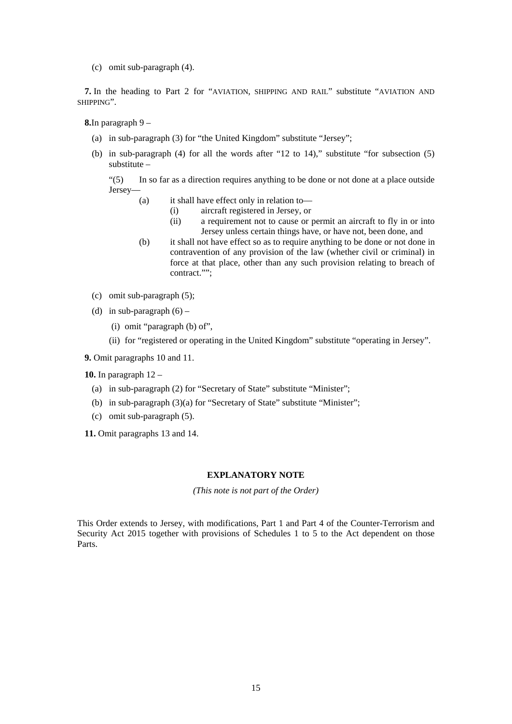(c) omit sub-paragraph (4).

**7.** In the heading to Part 2 for "AVIATION, SHIPPING AND RAIL" substitute "AVIATION AND SHIPPING".

**8.**In paragraph 9 –

- (a) in sub-paragraph (3) for "the United Kingdom" substitute "Jersey";
- (b) in sub-paragraph  $(4)$  for all the words after "12 to 14)," substitute "for subsection  $(5)$ substitute –

"(5) In so far as a direction requires anything to be done or not done at a place outside Jersey—

- (a) it shall have effect only in relation to—
	- (i) aircraft registered in Jersey, or
	- (ii) a requirement not to cause or permit an aircraft to fly in or into Jersey unless certain things have, or have not, been done, and
- (b) it shall not have effect so as to require anything to be done or not done in contravention of any provision of the law (whether civil or criminal) in force at that place, other than any such provision relating to breach of contract."";
- (c) omit sub-paragraph (5);
- (d) in sub-paragraph  $(6)$ 
	- (i) omit "paragraph (b) of",
	- (ii) for "registered or operating in the United Kingdom" substitute "operating in Jersey".

**9.** Omit paragraphs 10 and 11.

**10.** In paragraph 12 –

- (a) in sub-paragraph (2) for "Secretary of State" substitute "Minister";
- (b) in sub-paragraph (3)(a) for "Secretary of State" substitute "Minister";
- (c) omit sub-paragraph (5).

**11.** Omit paragraphs 13 and 14.

#### **EXPLANATORY NOTE**

*(This note is not part of the Order)* 

This Order extends to Jersey, with modifications, Part 1 and Part 4 of the Counter-Terrorism and Security Act 2015 together with provisions of Schedules 1 to 5 to the Act dependent on those Parts.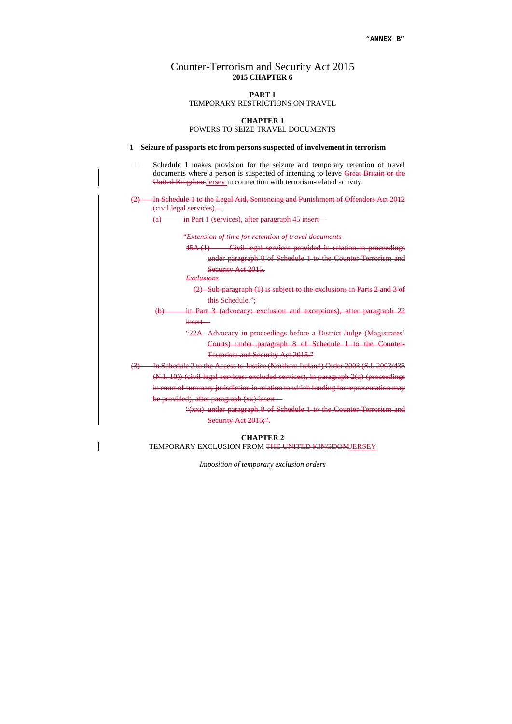# Counter-Terrorism and Security Act 2015 **2015 CHAPTER 6**

#### **PART 1**

#### TEMPORARY RESTRICTIONS ON TRAVEL

#### **CHAPTER 1**

POWERS TO SEIZE TRAVEL DOCUMENTS

#### **1 Seizure of passports etc from persons suspected of involvement in terrorism**

- (1) Schedule 1 makes provision for the seizure and temporary retention of travel documents where a person is suspected of intending to leave Great Britain or the United Kingdom Jersey in connection with terrorism-related activity.
- (2) In Schedule 1 to the Legal Aid, Sentencing and Punishment of Offenders Act 2012 (civil legal services)—

(a) in Part 1 (services), after paragraph 45 insert—

"*Extension of time for retention of travel documents* 

45A (1) Civil legal services provided in relation to proceedings

under paragraph 8 of Schedule 1 to the Counter-Terrorism and Security Act 2015.

*Exclusions* 

- (2) Sub-paragraph (1) is subject to the exclusions in Parts 2 and 3 of this Schedule.";
- (b) in Part 3 (advocacy: exclusion and exceptions), after paragraph 22 insert—
	- "22A Advocacy in proceedings before a District Judge (Magistrates' Courts) under paragraph 8 of Schedule 1 to the Counter-Terrorism and Security Act 2015."
- (3) In Schedule 2 to the Access to Justice (Northern Ireland) Order 2003 (S.I. 2003/435 (N.I. 10)) (civil legal services: excluded services), in paragraph 2(d) (proceedings in court of summary jurisdiction in relation to which funding for representation may be provided), after paragraph (xx) insert—
	- "(xxi) under paragraph 8 of Schedule 1 to the Counter-Terrorism and Security Act 2015;".

#### **CHAPTER 2** TEMPORARY EXCLUSION FROM THE UNITED KINGDOMJERSEY

*Imposition of temporary exclusion orders*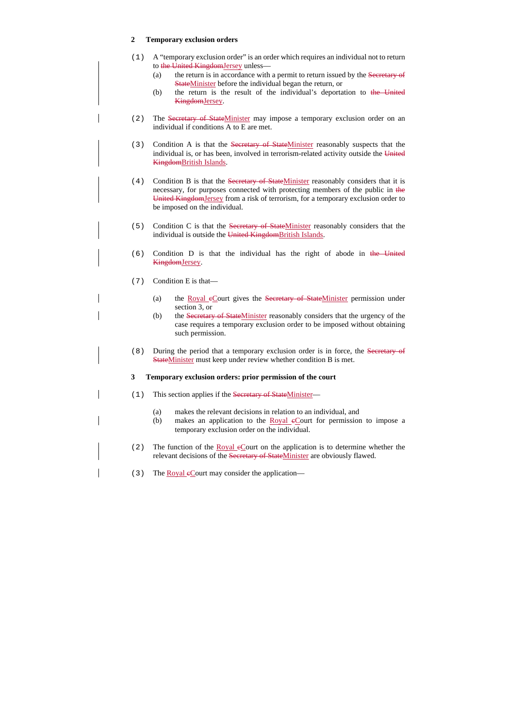## **2 Temporary exclusion orders**

- (1) A "temporary exclusion order" is an order which requires an individual not to return to the United KingdomJersey unless—
	- (a) the return is in accordance with a permit to return issued by the Secretary of StateMinister before the individual began the return, or
	- (b) the return is the result of the individual's deportation to the United KingdomJersey.
- (2) The Secretary of StateMinister may impose a temporary exclusion order on an individual if conditions A to E are met.
- (3) Condition A is that the Secretary of StateMinister reasonably suspects that the individual is, or has been, involved in terrorism-related activity outside the United KingdomBritish Islands.
- (4) Condition B is that the Secretary of StateMinister reasonably considers that it is necessary, for purposes connected with protecting members of the public in the United KingdomJersey from a risk of terrorism, for a temporary exclusion order to be imposed on the individual.
- (5) Condition C is that the Secretary of StateMinister reasonably considers that the individual is outside the United KingdomBritish Islands.
- (6) Condition D is that the individual has the right of abode in the United KingdomJersey.
- (7) Condition E is that—
	- (a) the Royal eCourt gives the Secretary of StateMinister permission under section 3, or
	- (b) the Secretary of StateMinister reasonably considers that the urgency of the case requires a temporary exclusion order to be imposed without obtaining such permission.
- (8) During the period that a temporary exclusion order is in force, the Secretary of StateMinister must keep under review whether condition B is met.

#### **3 Temporary exclusion orders: prior permission of the court**

- (1) This section applies if the Secretary of StateMinister—
	- (a) makes the relevant decisions in relation to an individual, and
	- (b) makes an application to the  $Royal eCourt for permission to impose a$ temporary exclusion order on the individual.
- (2) The function of the Royal  $e$ Court on the application is to determine whether the relevant decisions of the Secretary of StateMinister are obviously flawed.
- (3) The Royal eCourt may consider the application—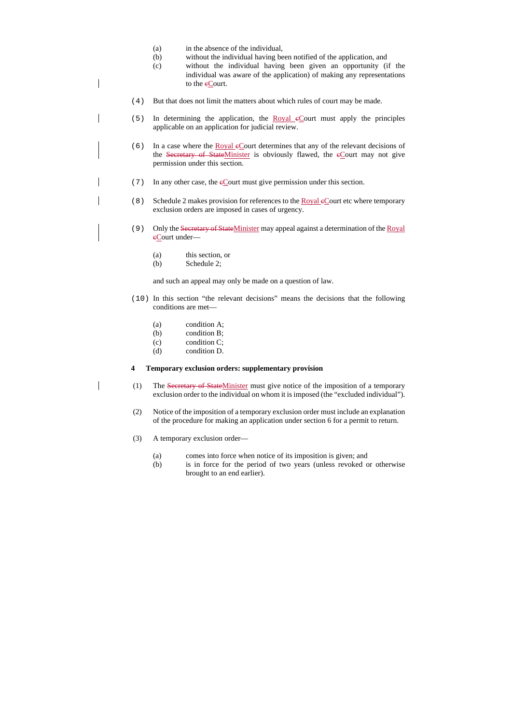- (a) in the absence of the individual,
- (b) without the individual having been notified of the application, and
- (c) without the individual having been given an opportunity (if the individual was aware of the application) of making any representations to the eCourt.
- (4) But that does not limit the matters about which rules of court may be made.
- (5) In determining the application, the Royal cCourt must apply the principles applicable on an application for judicial review.
- (6) In a case where the <u>Royal eCourt determines</u> that any of the relevant decisions of the Secretary of StateMinister is obviously flawed, the  $e$ Court may not give permission under this section.
- (7) In any other case, the cCourt must give permission under this section.
- $(8)$  Schedule 2 makes provision for references to the Royal eCourt etc where temporary exclusion orders are imposed in cases of urgency.
- (9) Only the Secretary of StateMinister may appeal against a determination of the Royal eCourt under-
	- (a) this section, or
	- (b) Schedule 2;

and such an appeal may only be made on a question of law.

- (10) In this section "the relevant decisions" means the decisions that the following conditions are met—
	- (a) condition A;
	- (b) condition B;
	- (c) condition C;
	- (d) condition D.

#### **4 Temporary exclusion orders: supplementary provision**

- (1) The Secretary of StateMinister must give notice of the imposition of a temporary exclusion order to the individual on whom it is imposed (the "excluded individual").
- (2) Notice of the imposition of a temporary exclusion order must include an explanation of the procedure for making an application under section 6 for a permit to return.
- (3) A temporary exclusion order—
	- (a) comes into force when notice of its imposition is given; and
	- (b) is in force for the period of two years (unless revoked or otherwise brought to an end earlier).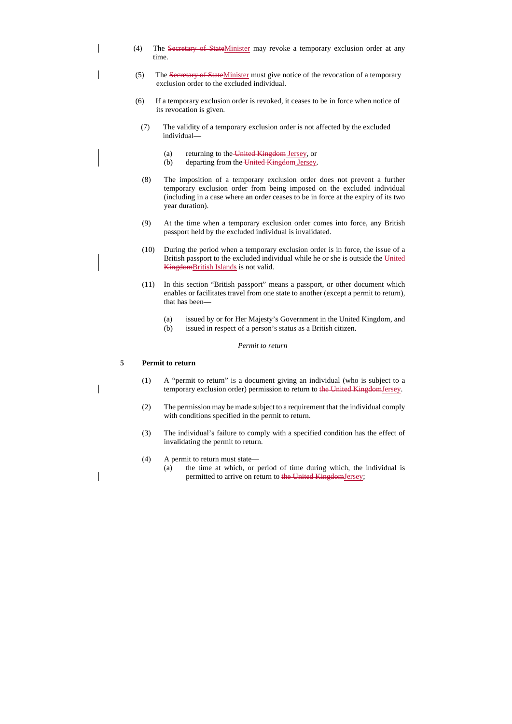- (4) The Secretary of StateMinister may revoke a temporary exclusion order at any time.
- (5) The Secretary of StateMinister must give notice of the revocation of a temporary exclusion order to the excluded individual.
- (6) If a temporary exclusion order is revoked, it ceases to be in force when notice of its revocation is given.
	- (7) The validity of a temporary exclusion order is not affected by the excluded individual—
		- (a) returning to the United Kingdom Jersey, or
		- (b) departing from the United Kingdom Jersey.
	- (8) The imposition of a temporary exclusion order does not prevent a further temporary exclusion order from being imposed on the excluded individual (including in a case where an order ceases to be in force at the expiry of its two year duration).
	- (9) At the time when a temporary exclusion order comes into force, any British passport held by the excluded individual is invalidated.
	- (10) During the period when a temporary exclusion order is in force, the issue of a British passport to the excluded individual while he or she is outside the United KingdomBritish Islands is not valid.
	- (11) In this section "British passport" means a passport, or other document which enables or facilitates travel from one state to another (except a permit to return), that has been—
		- (a) issued by or for Her Majesty's Government in the United Kingdom, and
		- (b) issued in respect of a person's status as a British citizen.

#### *Permit to return*

#### **5 Permit to return**

- (1) A "permit to return" is a document giving an individual (who is subject to a temporary exclusion order) permission to return to the United KingdomJersey.
- (2) The permission may be made subject to a requirement that the individual comply with conditions specified in the permit to return.
- (3) The individual's failure to comply with a specified condition has the effect of invalidating the permit to return.
- (4) A permit to return must state—
	- (a) the time at which, or period of time during which, the individual is permitted to arrive on return to the United KingdomJersey;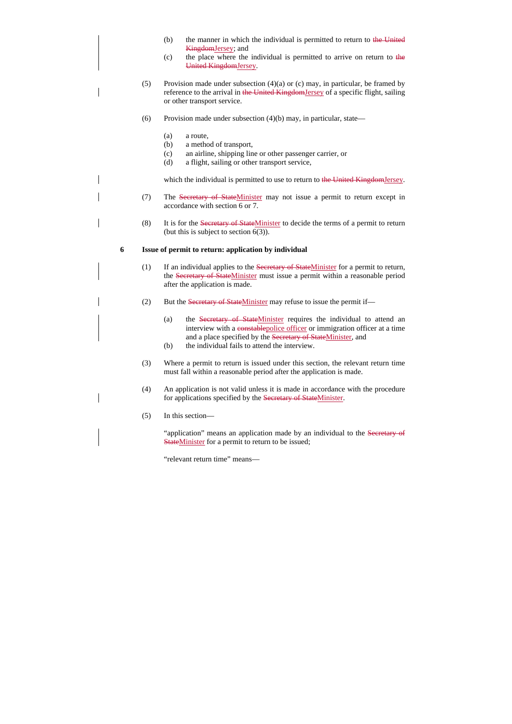- (b) the manner in which the individual is permitted to return to the United KingdomJersey; and
- (c) the place where the individual is permitted to arrive on return to the United KingdomJersey.
- (5) Provision made under subsection  $(4)(a)$  or  $(c)$  may, in particular, be framed by reference to the arrival in the United KingdomJersey of a specific flight, sailing or other transport service.
- (6) Provision made under subsection  $(4)(b)$  may, in particular, state—
	- (a) a route,
	- (b) a method of transport,
	- (c) an airline, shipping line or other passenger carrier, or
	- (d) a flight, sailing or other transport service,

which the individual is permitted to use to return to the United KingdomJersey.

- (7) The Secretary of StateMinister may not issue a permit to return except in accordance with section 6 or 7.
- (8) It is for the Secretary of StateMinister to decide the terms of a permit to return (but this is subject to section  $6(3)$ ).

#### **6 Issue of permit to return: application by individual**

- (1) If an individual applies to the Secretary of StateMinister for a permit to return, the Secretary of StateMinister must issue a permit within a reasonable period after the application is made.
- (2) But the Secretary of StateMinister may refuse to issue the permit if—
	- (a) the Secretary of StateMinister requires the individual to attend an interview with a constablepolice officer or immigration officer at a time and a place specified by the Secretary of StateMinister, and
	- (b) the individual fails to attend the interview.
- (3) Where a permit to return is issued under this section, the relevant return time must fall within a reasonable period after the application is made.
- (4) An application is not valid unless it is made in accordance with the procedure for applications specified by the Secretary of StateMinister.
- (5) In this section—

"application" means an application made by an individual to the Secretary of **StateMinister for a permit to return to be issued;** 

"relevant return time" means—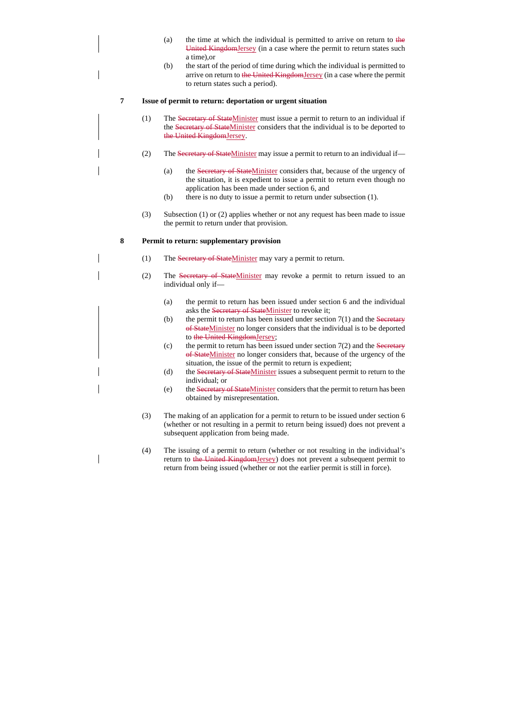- (a) the time at which the individual is permitted to arrive on return to the United KingdomJersey (in a case where the permit to return states such a time),or
- (b) the start of the period of time during which the individual is permitted to arrive on return to the United KingdomJersey (in a case where the permit to return states such a period).

#### **7 Issue of permit to return: deportation or urgent situation**

- (1) The Secretary of StateMinister must issue a permit to return to an individual if the Secretary of StateMinister considers that the individual is to be deported to the United KingdomJersey.
- (2) The Secretary of StateMinister may issue a permit to return to an individual if—
	- (a) the Secretary of StateMinister considers that, because of the urgency of the situation, it is expedient to issue a permit to return even though no application has been made under section 6, and
	- (b) there is no duty to issue a permit to return under subsection (1).
- (3) Subsection (1) or (2) applies whether or not any request has been made to issue the permit to return under that provision.

#### **8 Permit to return: supplementary provision**

- (1) The Secretary of StateMinister may vary a permit to return.
- (2) The Secretary of StateMinister may revoke a permit to return issued to an individual only if—
	- (a) the permit to return has been issued under section 6 and the individual asks the Secretary of StateMinister to revoke it;
	- (b) the permit to return has been issued under section  $7(1)$  and the Secretary of StateMinister no longer considers that the individual is to be deported to the United KingdomJersey;
	- (c) the permit to return has been issued under section  $7(2)$  and the Secretary of StateMinister no longer considers that, because of the urgency of the situation, the issue of the permit to return is expedient;
	- (d) the Secretary of StateMinister issues a subsequent permit to return to the individual; or
	- (e) the Secretary of StateMinister considers that the permit to return has been obtained by misrepresentation.
- (3) The making of an application for a permit to return to be issued under section 6 (whether or not resulting in a permit to return being issued) does not prevent a subsequent application from being made.
- (4) The issuing of a permit to return (whether or not resulting in the individual's return to the United KingdomJersey) does not prevent a subsequent permit to return from being issued (whether or not the earlier permit is still in force).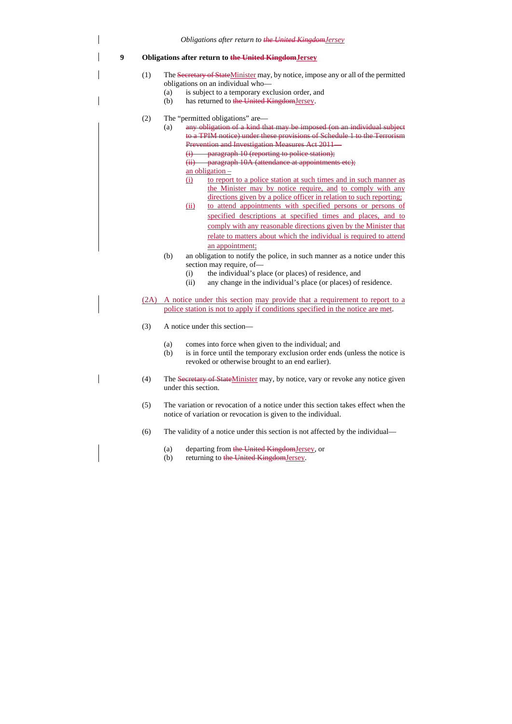*Obligations after return to the United KingdomJersey*

## **9 Obligations after return to the United KingdomJersey**

- (1) The Secretary of StateMinister may, by notice, impose any or all of the permitted obligations on an individual who—
	- (a) is subject to a temporary exclusion order, and
	- (b) has returned to the United KingdomJersey.
- (2) The "permitted obligations" are—
	- (a) any obligation of a kind that may be imposed (on an individual subject to a TPIM notice) under these provisions of Schedule 1 to the Terrorism Prevention and Investigation Measures Act 2011—
		- (i) paragraph 10 (reporting to police station);
		- (ii) paragraph 10A (attendance at appointments etc);
		- an obligation –
		- (i) to report to a police station at such times and in such manner as the Minister may by notice require, and to comply with any directions given by a police officer in relation to such reporting;
		- (ii) to attend appointments with specified persons or persons of specified descriptions at specified times and places, and to comply with any reasonable directions given by the Minister that relate to matters about which the individual is required to attend an appointment;
	- (b) an obligation to notify the police, in such manner as a notice under this section may require, of—
		- (i) the individual's place (or places) of residence, and
		- (ii) any change in the individual's place (or places) of residence.
- (2A) A notice under this section may provide that a requirement to report to a police station is not to apply if conditions specified in the notice are met.
- (3) A notice under this section—
	- (a) comes into force when given to the individual; and
	- (b) is in force until the temporary exclusion order ends (unless the notice is revoked or otherwise brought to an end earlier).
- (4) The Secretary of StateMinister may, by notice, vary or revoke any notice given under this section.
- (5) The variation or revocation of a notice under this section takes effect when the notice of variation or revocation is given to the individual.
- (6) The validity of a notice under this section is not affected by the individual—
	- (a) departing from the United KingdomJersey, or
	- (b) returning to the United KingdomJersey.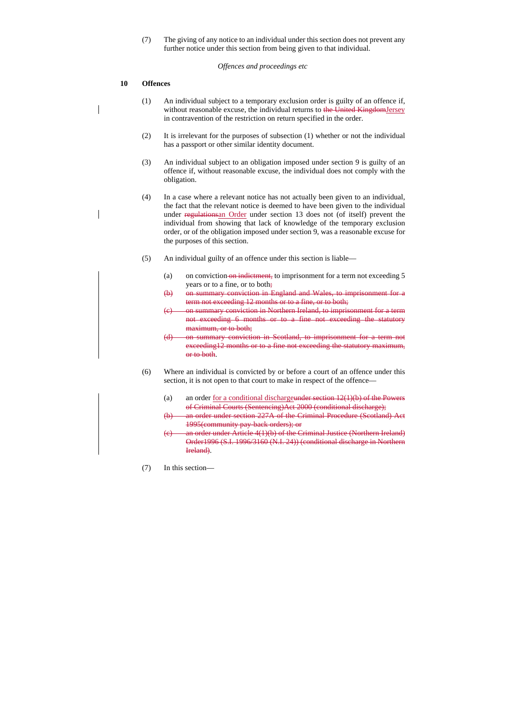(7) The giving of any notice to an individual under this section does not prevent any further notice under this section from being given to that individual.

#### *Offences and proceedings etc*

## **10 Offences**

- (1) An individual subject to a temporary exclusion order is guilty of an offence if, without reasonable excuse, the individual returns to the United KingdomJersey in contravention of the restriction on return specified in the order.
- (2) It is irrelevant for the purposes of subsection (1) whether or not the individual has a passport or other similar identity document.
- (3) An individual subject to an obligation imposed under section 9 is guilty of an offence if, without reasonable excuse, the individual does not comply with the obligation.
- (4) In a case where a relevant notice has not actually been given to an individual, the fact that the relevant notice is deemed to have been given to the individual under regulationsan Order under section 13 does not (of itself) prevent the individual from showing that lack of knowledge of the temporary exclusion order, or of the obligation imposed under section 9, was a reasonable excuse for the purposes of this section.
- (5) An individual guilty of an offence under this section is liable—
	- (a) on conviction on indictment, to imprisonment for a term not exceeding  $5$ years or to a fine, or to both;
	- (b) on summary conviction in England and Wales, to imprisonment for a term not exceeding 12 months or to a fine, or to both;
	- (c) on summary conviction in Northern Ireland, to imprisonment for a term not exceeding 6 months or to a fine not exceeding the statutory maximum, or to both;
	- (d) on summary conviction in Scotland, to imprisonment for a term not exceeding12 months or to a fine not exceeding the statutory maximum, or to both.
- (6) Where an individual is convicted by or before a court of an offence under this section, it is not open to that court to make in respect of the offence—
	- (a) an order <u>for a conditional dischargeunder section  $12(1)(b)$  of the Powers</u> of Criminal Courts (Sentencing)Act 2000 (conditional discharge);
	- (b) an order under section 227A of the Criminal Procedure (Scotland) Act 1995(community pay-back orders); or
	- (c) an order under Article 4(1)(b) of the Criminal Justice (Northern Ireland) Order1996 (S.I. 1996/3160 (N.I. 24)) (conditional discharge in Northern Ireland).
- (7) In this section—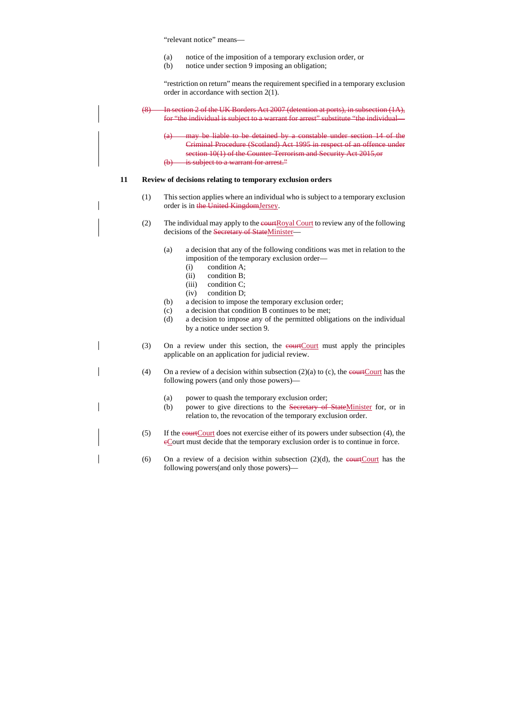"relevant notice" means—

- (a) notice of the imposition of a temporary exclusion order, or
- (b) notice under section 9 imposing an obligation;

"restriction on return" means the requirement specified in a temporary exclusion order in accordance with section 2(1).

(8) In section 2 of the UK Borders Act 2007 (detention at ports), in subsection (1A), for "the individual is subject to a warrant for arrest" substitute "the individual—

(a) may be liable to be detained by a constable under section 14 of the Criminal Procedure (Scotland) Act 1995 in respect of an offence under section 10(1) of the Counter-Terrorism and Security Act 2015, or (b) is subject to a warrant for arrest."

#### **11 Review of decisions relating to temporary exclusion orders**

- (1) This section applies where an individual who is subject to a temporary exclusion order is in the United KingdomJersey.
- (2) The individual may apply to the equational Court to review any of the following decisions of the Secretary of StateMinister—
	- (a) a decision that any of the following conditions was met in relation to the imposition of the temporary exclusion order—
		- (i) condition A;
		- (ii) condition B;
		- (iii) condition C;
		- (iv) condition D;
	- (b) a decision to impose the temporary exclusion order;
	- (c) a decision that condition B continues to be met;
	- (d) a decision to impose any of the permitted obligations on the individual by a notice under section 9.
- (3) On a review under this section, the  $\frac{1}{\sqrt{C\cdot C\cdot C}}$  must apply the principles applicable on an application for judicial review.
- (4) On a review of a decision within subsection  $(2)(a)$  to  $(c)$ , the equat Court has the following powers (and only those powers)—
	- (a) power to quash the temporary exclusion order;
	- (b) power to give directions to the Secretary of StateMinister for, or in relation to, the revocation of the temporary exclusion order.
- (5) If the courtCourt does not exercise either of its powers under subsection (4), the cCourt must decide that the temporary exclusion order is to continue in force.
- (6) On a review of a decision within subsection  $(2)(d)$ , the example that the following powers(and only those powers)—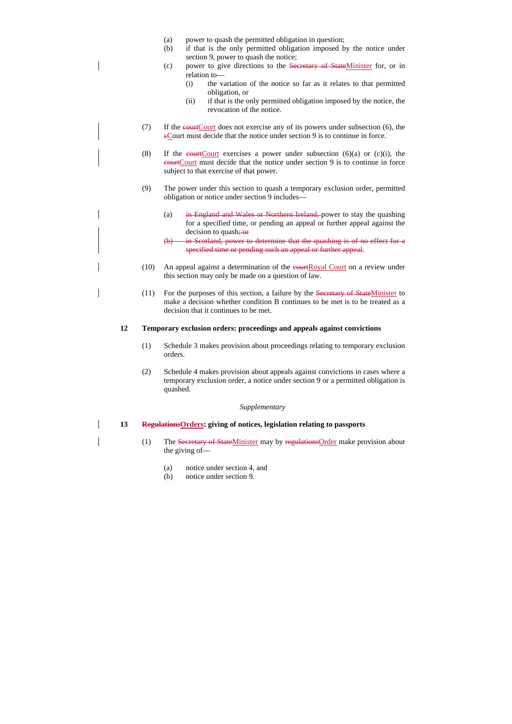- (a) power to quash the permitted obligation in question;
- (b) if that is the only permitted obligation imposed by the notice under section 9, power to quash the notice;
- (c) power to give directions to the Secretary of StateMinister for, or in relation to—
	- (i) the variation of the notice so far as it relates to that permitted obligation, or
	- (ii) if that is the only permitted obligation imposed by the notice, the revocation of the notice.
- (7) If the  $\epsilon$ -equal term of exercise any of its powers under subsection (6), the cCourt must decide that the notice under section 9 is to continue in force.
- (8) If the essection (6)(a) or (c)(i), the courtCourt must decide that the notice under section 9 is to continue in force subject to that exercise of that power.
- (9) The power under this section to quash a temporary exclusion order, permitted obligation or notice under section 9 includes—
	- (a) in England and Wales or Northern Ireland, power to stay the quashing for a specified time, or pending an appeal or further appeal against the decision to quash; or
	- (b) in Scotland, power to determine that the quashing is of no effect for a specified time or pending such an appeal or further appeal.
- $(10)$  An appeal against a determination of the example court on a review under this section may only be made on a question of law.
- (11) For the purposes of this section, a failure by the Secretary of StateMinister to make a decision whether condition B continues to be met is to be treated as a decision that it continues to be met.

#### **12 Temporary exclusion orders: proceedings and appeals against convictions**

- (1) Schedule 3 makes provision about proceedings relating to temporary exclusion orders.
- (2) Schedule 4 makes provision about appeals against convictions in cases where a temporary exclusion order, a notice under section 9 or a permitted obligation is quashed.

#### *Supplementary*

#### **13 RegulationsOrders: giving of notices, legislation relating to passports**

- (1) The Secretary of StateMinister may by regulationsOrder make provision about the giving of—
	- (a) notice under section 4, and
	- (b) notice under section 9.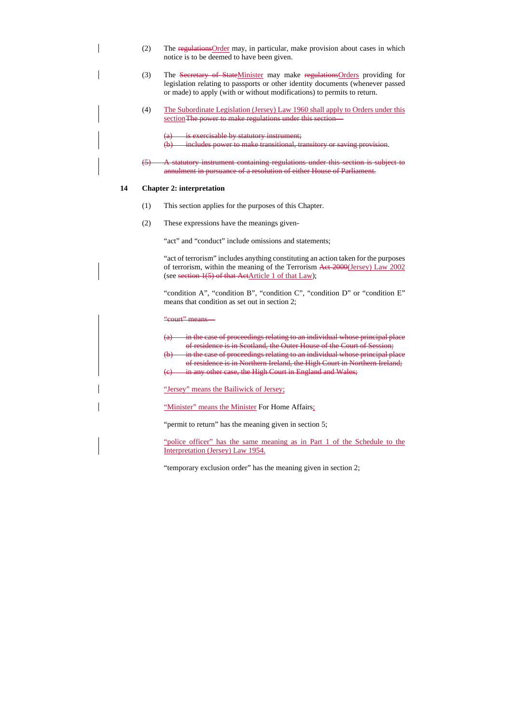- (2) The regulationsOrder may, in particular, make provision about cases in which notice is to be deemed to have been given.
- (3) The Secretary of StateMinister may make regulations Orders providing for legislation relating to passports or other identity documents (whenever passed or made) to apply (with or without modifications) to permits to return.
- (4) The Subordinate Legislation (Jersey) Law 1960 shall apply to Orders under this section The power to make regulations under this section—

(a) is exercisable by statutory instrument; (b) includes power to make transitional, transitory or saving provision.

(5) A statutory instrument containing regulations under this section is subject to annulment in pursuance of a resolution of either House of Parliament.

#### **14 Chapter 2: interpretation**

- (1) This section applies for the purposes of this Chapter.
- (2) These expressions have the meanings given-

"act" and "conduct" include omissions and statements;

"act of terrorism" includes anything constituting an action taken for the purposes of terrorism, within the meaning of the Terrorism Act 2000(Jersey) Law 2002 (see section 1(5) of that ActArticle 1 of that Law);

"condition A", "condition B", "condition C", "condition D" or "condition E" means that condition as set out in section 2;

"court" means—

- $(a)$  in the case of proceedings relating to an individual whose principal place of residence is in Scotland, the Outer House of the Court of Session;
- $(b)$  in the case of proceedings relating to an individual whose principal place of residence is in Northern Ireland, the High Court in Northern Ireland;
- (c) in any other case, the High Court in England and Wales;

"Jersey" means the Bailiwick of Jersey;

"Minister" means the Minister For Home Affairs;

"permit to return" has the meaning given in section 5;

"police officer" has the same meaning as in Part 1 of the Schedule to the Interpretation (Jersey) Law 1954.

"temporary exclusion order" has the meaning given in section 2;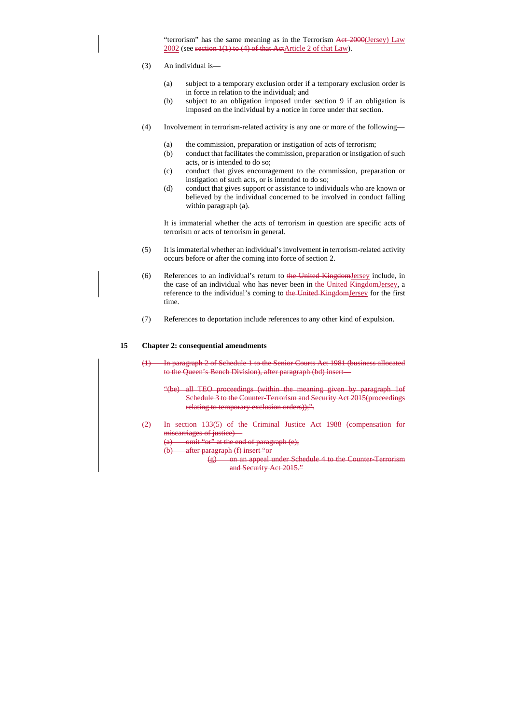"terrorism" has the same meaning as in the Terrorism Act 2000(Jersey) Law 2002 (see section 1(1) to (4) of that ActArticle 2 of that Law).

- (3) An individual is—
	- (a) subject to a temporary exclusion order if a temporary exclusion order is in force in relation to the individual; and
	- (b) subject to an obligation imposed under section 9 if an obligation is imposed on the individual by a notice in force under that section.
- (4) Involvement in terrorism-related activity is any one or more of the following—
	- (a) the commission, preparation or instigation of acts of terrorism;
	- (b) conduct that facilitates the commission, preparation or instigation of such acts, or is intended to do so;
	- (c) conduct that gives encouragement to the commission, preparation or instigation of such acts, or is intended to do so;
	- (d) conduct that gives support or assistance to individuals who are known or believed by the individual concerned to be involved in conduct falling within paragraph (a).

It is immaterial whether the acts of terrorism in question are specific acts of terrorism or acts of terrorism in general.

- (5) It is immaterial whether an individual's involvement in terrorism-related activity occurs before or after the coming into force of section 2.
- (6) References to an individual's return to the United KingdomJersey include, in the case of an individual who has never been in the United KingdomJersey, a reference to the individual's coming to the United KingdomJersey for the first time.
- (7) References to deportation include references to any other kind of expulsion.

#### **15 Chapter 2: consequential amendments**

(1) In paragraph 2 of Schedule 1 to the Senior Courts Act 1981 (business allocated to the Queen's Bench Division), after paragraph (bd) insert—

- "(be) all TEO proceedings (within the meaning given by paragraph 1of Schedule 3 to the Counter-Terrorism and Security Act 2015(proceedings relating to temporary exclusion orders));".
- (2) In section 133(5) of the Criminal Justice Act 1988 (compensation for miscarriages of justice)—
	- (a) omit "or" at the end of paragraph  $(e)$ ;
	- (b) after paragraph (f) insert "or
		- (g) on an appeal under Schedule 4 to the Counter-Terrorism and Security Act 2015."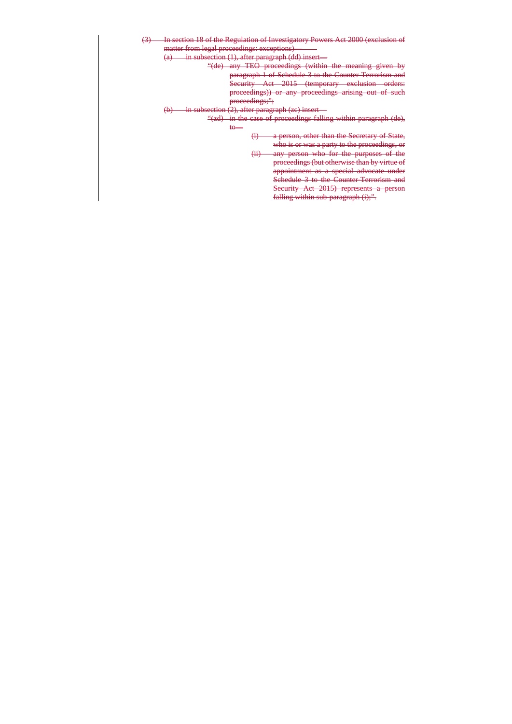- (3) In section 18 of the Regulation of Investigatory Powers Act 2000 (exclusion of matter from legal proceedings: exceptions)
	- $(a)$  in subsection  $(1)$ , after paragraph  $(dd)$  insert—
		- "(de) any TEO proceedings (within the meaning given by paragraph 1 of Schedule 3 to the Counter-Terrorism and Security Act 2015 (temporary exclusion orders: proceedings)) or any proceedings arising out of such proceedings;";
	- $(b)$  in subsection (2), after paragraph (zc) insert—
		- "(zd) in the case of proceedings falling within paragraph (de),
			- to—
- (i) a person, other than the Secretary of State, who is or was a party to the proceedings, or
- (ii) any person who for the purposes of the proceedings (but otherwise than by virtue of appointment as a special advocate under Schedule 3 to the Counter-Terrorism and Security Act 2015) represents a person falling within sub-paragraph (i);".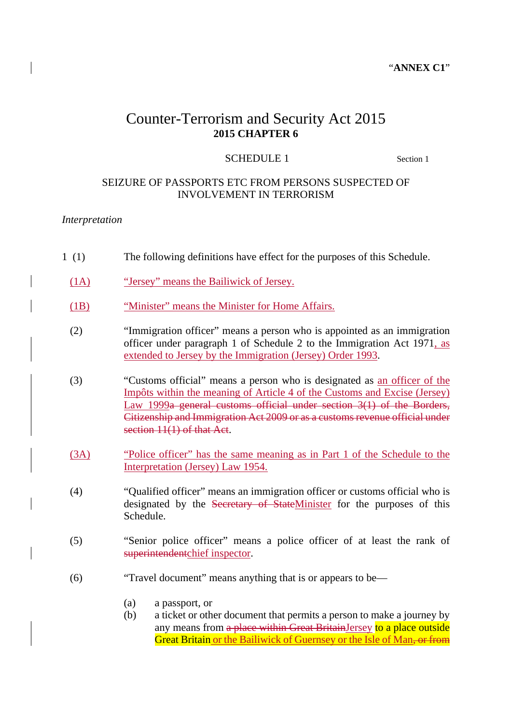#### "**ANNEX C1**"

# Counter-Terrorism and Security Act 2015 **2015 CHAPTER 6**

#### SCHEDULE 1 Section 1

#### SEIZURE OF PASSPORTS ETC FROM PERSONS SUSPECTED OF INVOLVEMENT IN TERRORISM

#### *Interpretation*

- 1 (1) The following definitions have effect for the purposes of this Schedule.
- (1A) "Jersey" means the Bailiwick of Jersey.
- (1B) "Minister" means the Minister for Home Affairs.
- (2) "Immigration officer" means a person who is appointed as an immigration officer under paragraph 1 of Schedule 2 to the Immigration Act 1971, as extended to Jersey by the Immigration (Jersey) Order 1993.
- (3) "Customs official" means a person who is designated as an officer of the Impôts within the meaning of Article 4 of the Customs and Excise (Jersey) Law 1999a general customs official under section 3(1) of the Borders, Citizenship and Immigration Act 2009 or as a customs revenue official under section 11(1) of that Act.
- (3A) "Police officer" has the same meaning as in Part 1 of the Schedule to the Interpretation (Jersey) Law 1954.
- (4) "Qualified officer" means an immigration officer or customs official who is designated by the Secretary of StateMinister for the purposes of this Schedule.
- (5) "Senior police officer" means a police officer of at least the rank of superintendentchief inspector.
- (6) "Travel document" means anything that is or appears to be—
	- (a) a passport, or
	- (b) a ticket or other document that permits a person to make a journey by any means from a place within Great BritainJersey to a place outside Great Britain or the Bailiwick of Guernsey or the Isle of Man, or from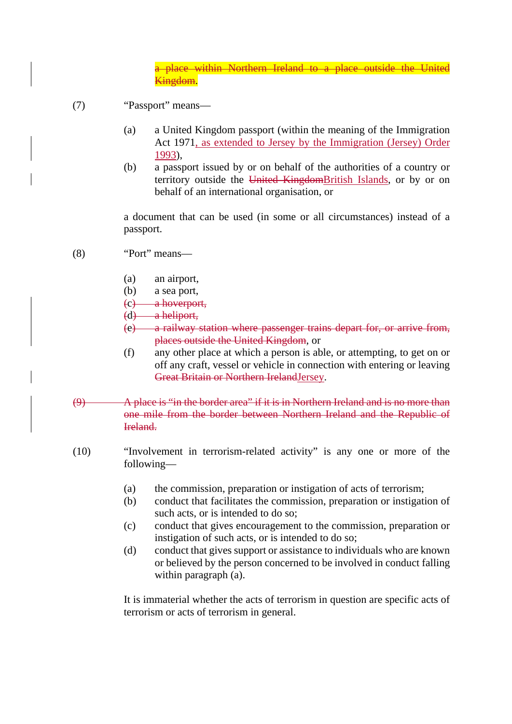a place within Northern Ireland to a place outside the United Kingdom.

- (7) "Passport" means—
	- (a) a United Kingdom passport (within the meaning of the Immigration Act 1971, as extended to Jersey by the Immigration (Jersey) Order 1993),
	- (b) a passport issued by or on behalf of the authorities of a country or territory outside the United KingdomBritish Islands, or by or on behalf of an international organisation, or

a document that can be used (in some or all circumstances) instead of a passport.

- (8) "Port" means—
	- (a) an airport,
	- (b) a sea port,
	- (c) a hoverport,
	- (d) a heliport,
	- (e) a railway station where passenger trains depart for, or arrive from, places outside the United Kingdom, or
	- (f) any other place at which a person is able, or attempting, to get on or off any craft, vessel or vehicle in connection with entering or leaving Great Britain or Northern IrelandJersey.
- (9) A place is "in the border area" if it is in Northern Ireland and is no more than one mile from the border between Northern Ireland and the Republic of Ireland.
- (10) "Involvement in terrorism-related activity" is any one or more of the following—
	- (a) the commission, preparation or instigation of acts of terrorism;
	- (b) conduct that facilitates the commission, preparation or instigation of such acts, or is intended to do so;
	- (c) conduct that gives encouragement to the commission, preparation or instigation of such acts, or is intended to do so;
	- (d) conduct that gives support or assistance to individuals who are known or believed by the person concerned to be involved in conduct falling within paragraph (a).

It is immaterial whether the acts of terrorism in question are specific acts of terrorism or acts of terrorism in general.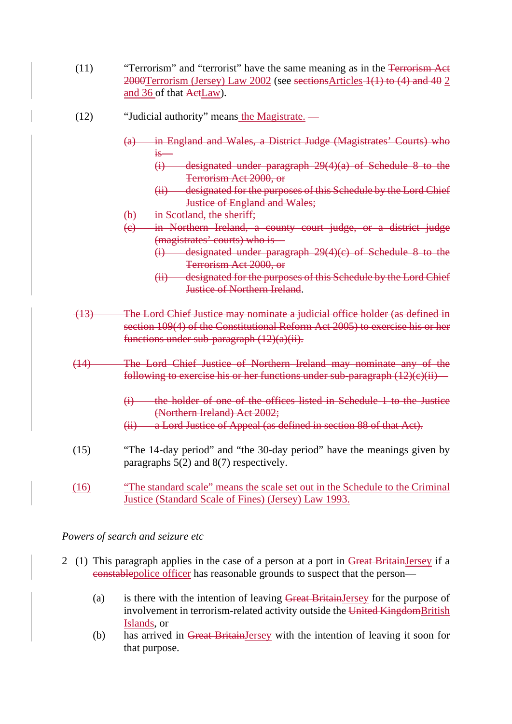- (11) "Terrorism" and "terrorist" have the same meaning as in the Terrorism Act 2000Terrorism (Jersey) Law 2002 (see sectionsArticles 1(1) to (4) and 40 2 and 36 of that ActLaw).
- (12) "Judicial authority" means the Magistrate.—
	- (a) in England and Wales, a District Judge (Magistrates' Courts) who is—
		- (i) designated under paragraph 29(4)(a) of Schedule 8 to the Terrorism Act 2000, or
		- (ii) designated for the purposes of this Schedule by the Lord Chief Justice of England and Wales;
	- (b) in Scotland, the sheriff;
	- (c) in Northern Ireland, a county court judge, or a district judge (magistrates' courts) who is—
		- (i) designated under paragraph 29(4)(c) of Schedule 8 to the Terrorism Act 2000, or
		- (ii) designated for the purposes of this Schedule by the Lord Chief Justice of Northern Ireland.
- (13) The Lord Chief Justice may nominate a judicial office holder (as defined in section 109(4) of the Constitutional Reform Act 2005) to exercise his or her functions under sub-paragraph  $(12)(a)(ii)$ .
- (14) The Lord Chief Justice of Northern Ireland may nominate any of the following to exercise his or her functions under sub-paragraph  $(12)(e)(ii)$ 
	- (i) the holder of one of the offices listed in Schedule 1 to the Justice (Northern Ireland) Act 2002;
	- (ii) a Lord Justice of Appeal (as defined in section 88 of that Act).
- (15) "The 14-day period" and "the 30-day period" have the meanings given by paragraphs 5(2) and 8(7) respectively.
- (16) "The standard scale" means the scale set out in the Schedule to the Criminal Justice (Standard Scale of Fines) (Jersey) Law 1993.

#### *Powers of search and seizure etc*

- 2 (1) This paragraph applies in the case of a person at a port in Great BritainJersey if a constablepolice officer has reasonable grounds to suspect that the person—
	- (a) is there with the intention of leaving Great BritainJersey for the purpose of involvement in terrorism-related activity outside the United KingdomBritish Islands, or
	- (b) has arrived in Great BritainJersey with the intention of leaving it soon for that purpose.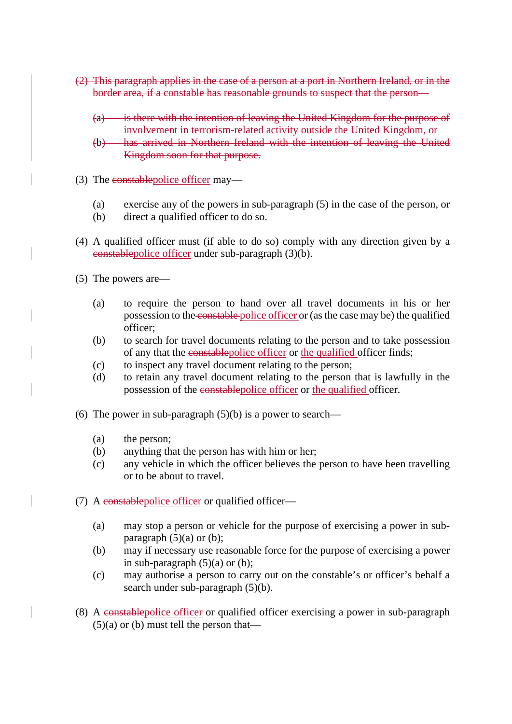- (2) This paragraph applies in the case of a person at a port in Northern Ireland, or in the border area, if a constable has reasonable grounds to suspect that the person—
	- (a) is there with the intention of leaving the United Kingdom for the purpose of involvement in terrorism-related activity outside the United Kingdom, or
	- (b) has arrived in Northern Ireland with the intention of leaving the United Kingdom soon for that purpose.
- (3) The constablepolice officer may—
	- (a) exercise any of the powers in sub-paragraph (5) in the case of the person, or
	- (b) direct a qualified officer to do so.
- (4) A qualified officer must (if able to do so) comply with any direction given by a constablepolice officer under sub-paragraph (3)(b).
- (5) The powers are—
	- (a) to require the person to hand over all travel documents in his or her possession to the constable police officer or (as the case may be) the qualified officer;
	- (b) to search for travel documents relating to the person and to take possession of any that the constablepolice officer or the qualified officer finds;
	- (c) to inspect any travel document relating to the person;
	- (d) to retain any travel document relating to the person that is lawfully in the possession of the constablepolice officer or the qualified officer.
- (6) The power in sub-paragraph  $(5)(b)$  is a power to search—
	- (a) the person;
	- (b) anything that the person has with him or her;
	- (c) any vehicle in which the officer believes the person to have been travelling or to be about to travel.
- (7) A constablepolice officer or qualified officer—
	- (a) may stop a person or vehicle for the purpose of exercising a power in subparagraph  $(5)(a)$  or  $(b)$ ;
	- (b) may if necessary use reasonable force for the purpose of exercising a power in sub-paragraph  $(5)(a)$  or  $(b)$ ;
	- (c) may authorise a person to carry out on the constable's or officer's behalf a search under sub-paragraph (5)(b).
- (8) A constablepolice officer or qualified officer exercising a power in sub-paragraph  $(5)(a)$  or (b) must tell the person that—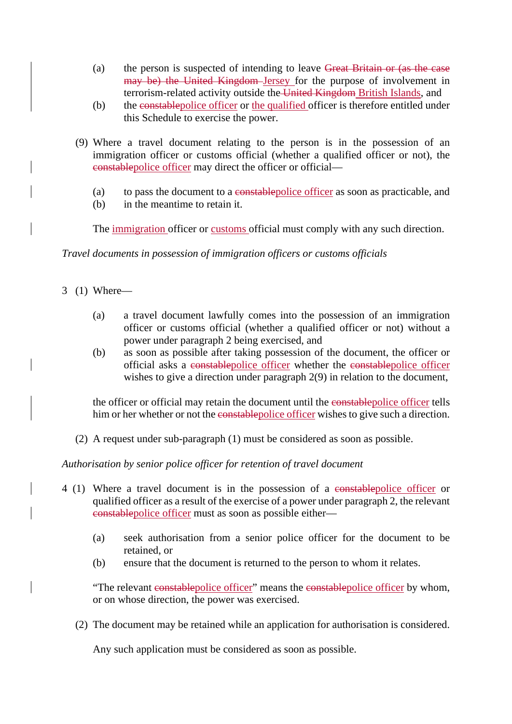- (a) the person is suspected of intending to leave Great Britain or (as the case may be) the United Kingdom Jersey for the purpose of involvement in terrorism-related activity outside the United Kingdom British Islands, and
- (b) the constablepolice officer or the qualified officer is therefore entitled under this Schedule to exercise the power.
- (9) Where a travel document relating to the person is in the possession of an immigration officer or customs official (whether a qualified officer or not), the constablepolice officer may direct the officer or official—
	- (a) to pass the document to a constablepolice officer as soon as practicable, and
	- (b) in the meantime to retain it.

The <u>immigration</u> officer or customs official must comply with any such direction.

*Travel documents in possession of immigration officers or customs officials*

- 3 (1) Where—
	- (a) a travel document lawfully comes into the possession of an immigration officer or customs official (whether a qualified officer or not) without a power under paragraph 2 being exercised, and
	- (b) as soon as possible after taking possession of the document, the officer or official asks a constablepolice officer whether the constablepolice officer wishes to give a direction under paragraph 2(9) in relation to the document,

the officer or official may retain the document until the constablepolice officer tells him or her whether or not the constable police officer wishes to give such a direction.

(2) A request under sub-paragraph (1) must be considered as soon as possible.

*Authorisation by senior police officer for retention of travel document*

- 4 (1) Where a travel document is in the possession of a constablepolice officer or qualified officer as a result of the exercise of a power under paragraph 2, the relevant constablepolice officer must as soon as possible either—
	- (a) seek authorisation from a senior police officer for the document to be retained, or
	- (b) ensure that the document is returned to the person to whom it relates.

"The relevant constable police officer" means the constable police officer by whom, or on whose direction, the power was exercised.

(2) The document may be retained while an application for authorisation is considered.

Any such application must be considered as soon as possible.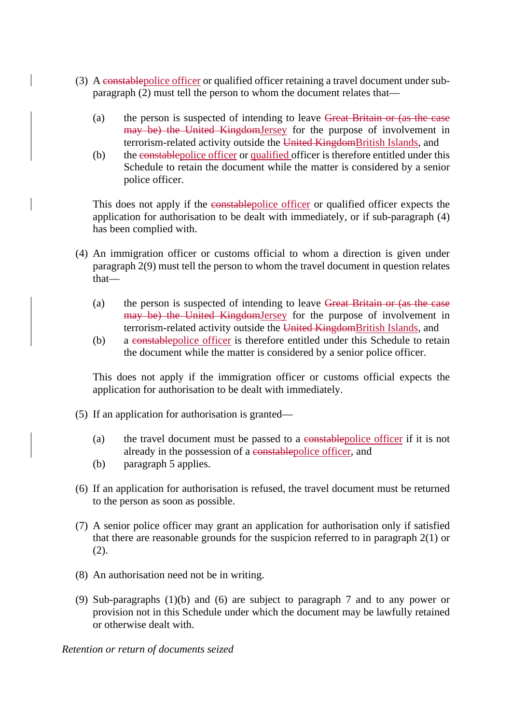- (3) A constablepolice officer or qualified officer retaining a travel document under subparagraph (2) must tell the person to whom the document relates that—
	- (a) the person is suspected of intending to leave Great Britain or (as the case may be) the United KingdomJersey for the purpose of involvement in terrorism-related activity outside the United KingdomBritish Islands, and
	- (b) the constablepolice officer or qualified officer is therefore entitled under this Schedule to retain the document while the matter is considered by a senior police officer.

This does not apply if the constablepolice officer or qualified officer expects the application for authorisation to be dealt with immediately, or if sub-paragraph (4) has been complied with.

- (4) An immigration officer or customs official to whom a direction is given under paragraph 2(9) must tell the person to whom the travel document in question relates that—
	- (a) the person is suspected of intending to leave Great Britain or (as the case may be) the United KingdomJersey for the purpose of involvement in terrorism-related activity outside the United KingdomBritish Islands, and
	- (b) a constablepolice officer is therefore entitled under this Schedule to retain the document while the matter is considered by a senior police officer.

This does not apply if the immigration officer or customs official expects the application for authorisation to be dealt with immediately.

- (5) If an application for authorisation is granted—
	- (a) the travel document must be passed to a constable police officer if it is not already in the possession of a constablepolice officer, and
	- (b) paragraph 5 applies.
- (6) If an application for authorisation is refused, the travel document must be returned to the person as soon as possible.
- (7) A senior police officer may grant an application for authorisation only if satisfied that there are reasonable grounds for the suspicion referred to in paragraph 2(1) or (2).
- (8) An authorisation need not be in writing.
- (9) Sub-paragraphs (1)(b) and (6) are subject to paragraph 7 and to any power or provision not in this Schedule under which the document may be lawfully retained or otherwise dealt with.

*Retention or return of documents seized*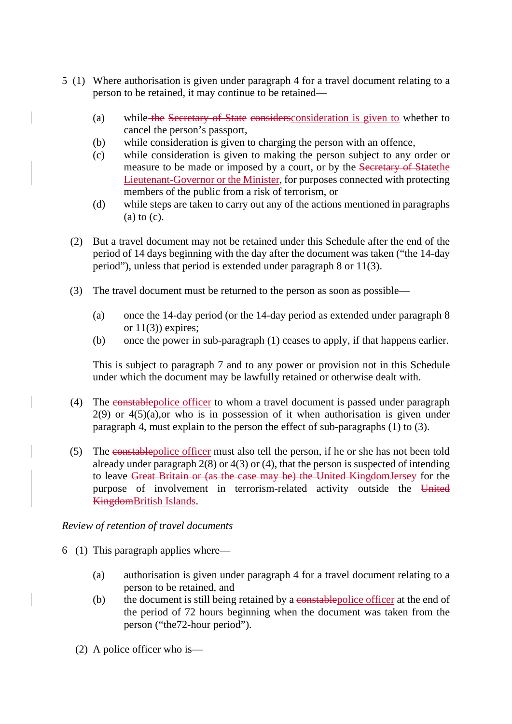- 5 (1) Where authorisation is given under paragraph 4 for a travel document relating to a person to be retained, it may continue to be retained—
	- (a) while the Secretary of State considersconsideration is given to whether to cancel the person's passport,
	- (b) while consideration is given to charging the person with an offence,
	- (c) while consideration is given to making the person subject to any order or measure to be made or imposed by a court, or by the Secretary of Statethe Lieutenant-Governor or the Minister, for purposes connected with protecting members of the public from a risk of terrorism, or
	- (d) while steps are taken to carry out any of the actions mentioned in paragraphs (a) to (c).
	- (2) But a travel document may not be retained under this Schedule after the end of the period of 14 days beginning with the day after the document was taken ("the 14-day period"), unless that period is extended under paragraph 8 or 11(3).
	- (3) The travel document must be returned to the person as soon as possible—
		- (a) once the 14-day period (or the 14-day period as extended under paragraph 8 or  $11(3)$ ) expires;
		- (b) once the power in sub-paragraph (1) ceases to apply, if that happens earlier.

This is subject to paragraph 7 and to any power or provision not in this Schedule under which the document may be lawfully retained or otherwise dealt with.

- (4) The constablepolice officer to whom a travel document is passed under paragraph  $2(9)$  or  $4(5)(a)$ , or who is in possession of it when authorisation is given under paragraph 4, must explain to the person the effect of sub-paragraphs (1) to (3).
- (5) The constablepolice officer must also tell the person, if he or she has not been told already under paragraph 2(8) or 4(3) or (4), that the person is suspected of intending to leave Great Britain or (as the case may be) the United KingdomJersey for the purpose of involvement in terrorism-related activity outside the United KingdomBritish Islands.

#### *Review of retention of travel documents*

- 6 (1) This paragraph applies where—
	- (a) authorisation is given under paragraph 4 for a travel document relating to a person to be retained, and
	- (b) the document is still being retained by a constable police officer at the end of the period of 72 hours beginning when the document was taken from the person ("the72-hour period").
	- (2) A police officer who is—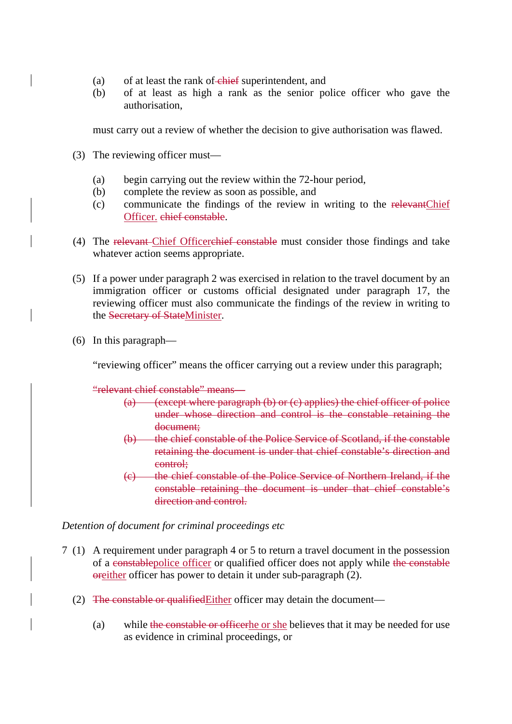- (a) of at least the rank of  $\overline{\text{ehief}}$  superintendent, and
- (b) of at least as high a rank as the senior police officer who gave the authorisation,

must carry out a review of whether the decision to give authorisation was flawed.

- (3) The reviewing officer must—
	- (a) begin carrying out the review within the 72-hour period,
	- (b) complete the review as soon as possible, and
	- (c) communicate the findings of the review in writing to the relevantChief Officer. chief constable.
- (4) The relevant Chief Officerchief constable must consider those findings and take whatever action seems appropriate.
- (5) If a power under paragraph 2 was exercised in relation to the travel document by an immigration officer or customs official designated under paragraph 17, the reviewing officer must also communicate the findings of the review in writing to the Secretary of StateMinister.
- (6) In this paragraph—

"reviewing officer" means the officer carrying out a review under this paragraph;

"relevant chief constable" means—

- (a) (except where paragraph  $(b)$  or  $(c)$  applies) the chief officer of police under whose direction and control is the constable retaining the document;
- (b) the chief constable of the Police Service of Scotland, if the constable retaining the document is under that chief constable's direction and control;
- (c) the chief constable of the Police Service of Northern Ireland, if the constable retaining the document is under that chief constable's direction and control.

*Detention of document for criminal proceedings etc*

- 7 (1) A requirement under paragraph 4 or 5 to return a travel document in the possession of a constablepolice officer or qualified officer does not apply while the constable oreither officer has power to detain it under sub-paragraph (2).
	- (2) The constable or qualifiedEither officer may detain the document—
		- (a) while the constable or officerhe or she believes that it may be needed for use as evidence in criminal proceedings, or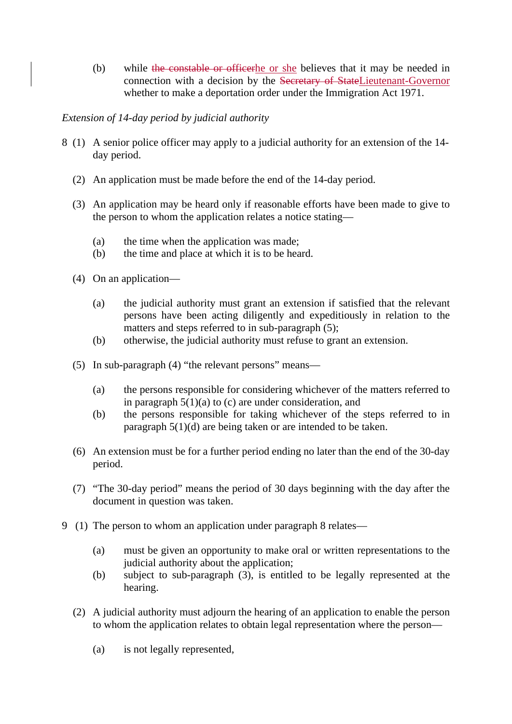(b) while the constable or officerhe or she believes that it may be needed in connection with a decision by the Secretary of StateLieutenant-Governor whether to make a deportation order under the Immigration Act 1971.

### *Extension of 14-day period by judicial authority*

- 8 (1) A senior police officer may apply to a judicial authority for an extension of the 14 day period.
	- (2) An application must be made before the end of the 14-day period.
	- (3) An application may be heard only if reasonable efforts have been made to give to the person to whom the application relates a notice stating—
		- (a) the time when the application was made;
		- (b) the time and place at which it is to be heard.
	- (4) On an application—
		- (a) the judicial authority must grant an extension if satisfied that the relevant persons have been acting diligently and expeditiously in relation to the matters and steps referred to in sub-paragraph (5);
		- (b) otherwise, the judicial authority must refuse to grant an extension.
	- (5) In sub-paragraph (4) "the relevant persons" means—
		- (a) the persons responsible for considering whichever of the matters referred to in paragraph  $5(1)(a)$  to (c) are under consideration, and
		- (b) the persons responsible for taking whichever of the steps referred to in paragraph 5(1)(d) are being taken or are intended to be taken.
	- (6) An extension must be for a further period ending no later than the end of the 30-day period.
	- (7) "The 30-day period" means the period of 30 days beginning with the day after the document in question was taken.
- 9 (1) The person to whom an application under paragraph 8 relates—
	- (a) must be given an opportunity to make oral or written representations to the judicial authority about the application;
	- (b) subject to sub-paragraph (3), is entitled to be legally represented at the hearing.
	- (2) A judicial authority must adjourn the hearing of an application to enable the person to whom the application relates to obtain legal representation where the person—
		- (a) is not legally represented,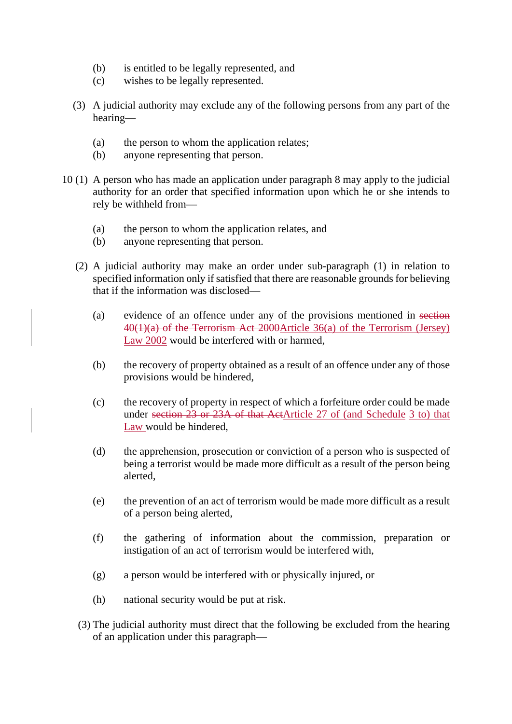- (b) is entitled to be legally represented, and
- (c) wishes to be legally represented.
- (3) A judicial authority may exclude any of the following persons from any part of the hearing—
	- (a) the person to whom the application relates;
	- (b) anyone representing that person.
- 10 (1) A person who has made an application under paragraph 8 may apply to the judicial authority for an order that specified information upon which he or she intends to rely be withheld from—
	- (a) the person to whom the application relates, and
	- (b) anyone representing that person.
	- (2) A judicial authority may make an order under sub-paragraph (1) in relation to specified information only if satisfied that there are reasonable grounds for believing that if the information was disclosed—
		- (a) evidence of an offence under any of the provisions mentioned in section  $40(1)(a)$  of the Terrorism Act 2000Article 36(a) of the Terrorism (Jersey) Law 2002 would be interfered with or harmed,
		- (b) the recovery of property obtained as a result of an offence under any of those provisions would be hindered,
		- (c) the recovery of property in respect of which a forfeiture order could be made under section 23 or 23A of that ActArticle 27 of (and Schedule 3 to) that Law would be hindered,
		- (d) the apprehension, prosecution or conviction of a person who is suspected of being a terrorist would be made more difficult as a result of the person being alerted,
		- (e) the prevention of an act of terrorism would be made more difficult as a result of a person being alerted,
		- (f) the gathering of information about the commission, preparation or instigation of an act of terrorism would be interfered with,
		- (g) a person would be interfered with or physically injured, or
		- (h) national security would be put at risk.
	- (3) The judicial authority must direct that the following be excluded from the hearing of an application under this paragraph—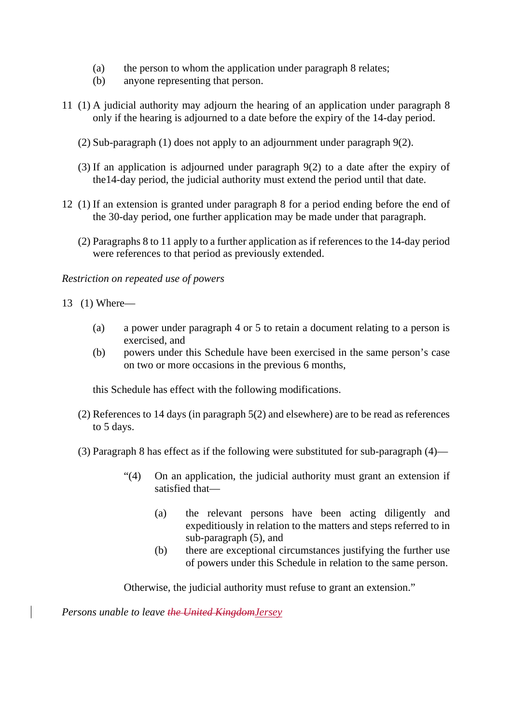- (a) the person to whom the application under paragraph 8 relates;
- (b) anyone representing that person.
- 11 (1) A judicial authority may adjourn the hearing of an application under paragraph 8 only if the hearing is adjourned to a date before the expiry of the 14-day period.
	- (2) Sub-paragraph (1) does not apply to an adjournment under paragraph 9(2).
	- (3) If an application is adjourned under paragraph 9(2) to a date after the expiry of the14-day period, the judicial authority must extend the period until that date.
- 12 (1) If an extension is granted under paragraph 8 for a period ending before the end of the 30-day period, one further application may be made under that paragraph.
	- (2) Paragraphs 8 to 11 apply to a further application as if references to the 14-day period were references to that period as previously extended.

*Restriction on repeated use of powers*

13 (1) Where—

- (a) a power under paragraph 4 or 5 to retain a document relating to a person is exercised, and
- (b) powers under this Schedule have been exercised in the same person's case on two or more occasions in the previous 6 months,

this Schedule has effect with the following modifications.

- (2) References to 14 days (in paragraph 5(2) and elsewhere) are to be read as references to 5 days.
- (3) Paragraph 8 has effect as if the following were substituted for sub-paragraph (4)—
	- "(4) On an application, the judicial authority must grant an extension if satisfied that—
		- (a) the relevant persons have been acting diligently and expeditiously in relation to the matters and steps referred to in sub-paragraph (5), and
		- (b) there are exceptional circumstances justifying the further use of powers under this Schedule in relation to the same person.

Otherwise, the judicial authority must refuse to grant an extension."

*Persons unable to leave the United KingdomJersey*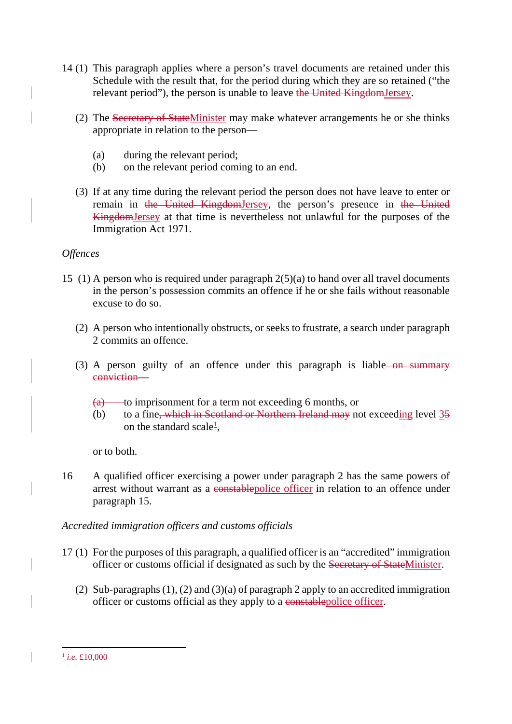- 14 (1) This paragraph applies where a person's travel documents are retained under this Schedule with the result that, for the period during which they are so retained ("the relevant period"), the person is unable to leave the United KingdomJersey.
	- (2) The Secretary of StateMinister may make whatever arrangements he or she thinks appropriate in relation to the person—
		- (a) during the relevant period;
		- (b) on the relevant period coming to an end.
	- (3) If at any time during the relevant period the person does not have leave to enter or remain in the United KingdomJersey, the person's presence in the United KingdomJersey at that time is nevertheless not unlawful for the purposes of the Immigration Act 1971.

### *Offences*

- 15 (1) A person who is required under paragraph 2(5)(a) to hand over all travel documents in the person's possession commits an offence if he or she fails without reasonable excuse to do so.
	- (2) A person who intentionally obstructs, or seeks to frustrate, a search under paragraph 2 commits an offence.
	- (3) A person guilty of an offence under this paragraph is liable- $\overline{on}$  summary conviction—
		- $(a)$  to imprisonment for a term not exceeding 6 months, or
		- (b) to a fine, which in Scotland or Northern Ireland may not exceeding level 35 on the standard scale<sup>1</sup>,

or to both.

16 A qualified officer exercising a power under paragraph 2 has the same powers of arrest without warrant as a constablepolice officer in relation to an offence under paragraph 15.

#### *Accredited immigration officers and customs officials*

- 17 (1) For the purposes of this paragraph, a qualified officer is an "accredited" immigration officer or customs official if designated as such by the Secretary of StateMinister.
	- (2) Sub-paragraphs (1), (2) and (3)(a) of paragraph 2 apply to an accredited immigration officer or customs official as they apply to a constablepolice officer.

 <sup>1</sup> *i.e.* £10,000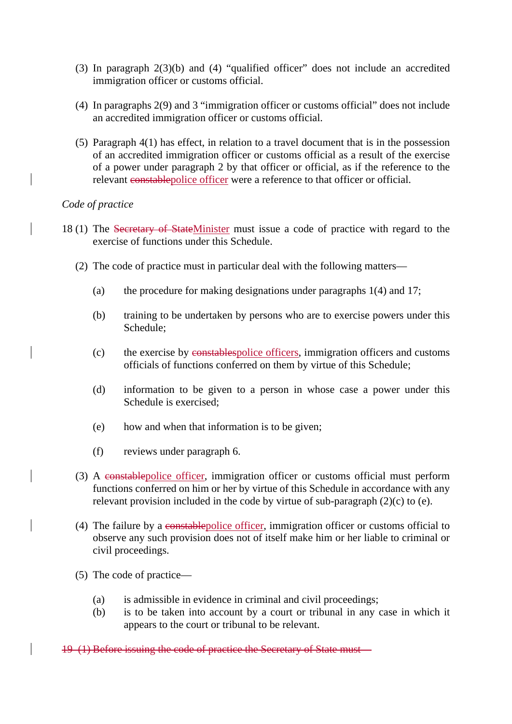- (3) In paragraph 2(3)(b) and (4) "qualified officer" does not include an accredited immigration officer or customs official.
- (4) In paragraphs 2(9) and 3 "immigration officer or customs official" does not include an accredited immigration officer or customs official.
- (5) Paragraph 4(1) has effect, in relation to a travel document that is in the possession of an accredited immigration officer or customs official as a result of the exercise of a power under paragraph 2 by that officer or official, as if the reference to the relevant constablepolice officer were a reference to that officer or official.

#### *Code of practice*

- 18 (1) The Secretary of StateMinister must issue a code of practice with regard to the exercise of functions under this Schedule.
	- (2) The code of practice must in particular deal with the following matters—
		- (a) the procedure for making designations under paragraphs 1(4) and 17;
		- (b) training to be undertaken by persons who are to exercise powers under this Schedule;
		- (c) the exercise by constablespolice officers, immigration officers and customs officials of functions conferred on them by virtue of this Schedule;
		- (d) information to be given to a person in whose case a power under this Schedule is exercised;
		- (e) how and when that information is to be given;
		- (f) reviews under paragraph 6.
	- (3) A constablepolice officer, immigration officer or customs official must perform functions conferred on him or her by virtue of this Schedule in accordance with any relevant provision included in the code by virtue of sub-paragraph (2)(c) to (e).
	- (4) The failure by a constablepolice officer, immigration officer or customs official to observe any such provision does not of itself make him or her liable to criminal or civil proceedings.
	- (5) The code of practice—
		- (a) is admissible in evidence in criminal and civil proceedings;
		- (b) is to be taken into account by a court or tribunal in any case in which it appears to the court or tribunal to be relevant.

19 (1) Before issuing the code of practice the Secretary of State must—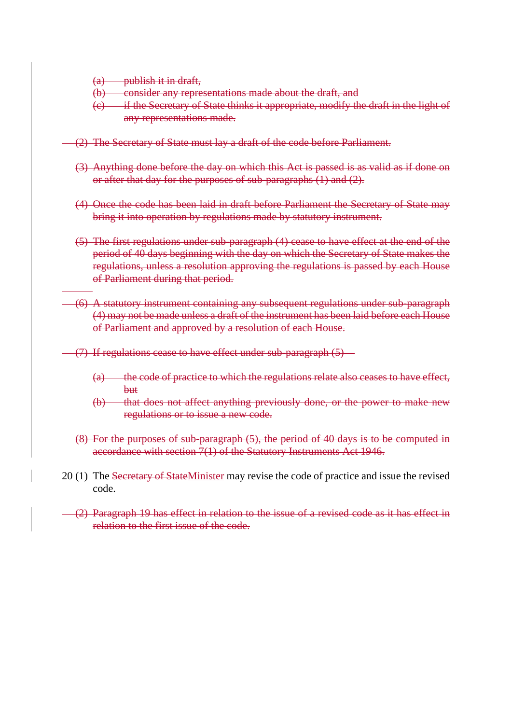(a) publish it in draft,

- (b) consider any representations made about the draft, and
- (c) if the Secretary of State thinks it appropriate, modify the draft in the light of any representations made.
- (2) The Secretary of State must lay a draft of the code before Parliament.
- (3) Anything done before the day on which this Act is passed is as valid as if done on or after that day for the purposes of sub-paragraphs (1) and (2).
- (4) Once the code has been laid in draft before Parliament the Secretary of State may bring it into operation by regulations made by statutory instrument.
- (5) The first regulations under sub-paragraph (4) cease to have effect at the end of the period of 40 days beginning with the day on which the Secretary of State makes the regulations, unless a resolution approving the regulations is passed by each House of Parliament during that period.
- (6) A statutory instrument containing any subsequent regulations under sub-paragraph (4) may not be made unless a draft of the instrument has been laid before each House of Parliament and approved by a resolution of each House.
	- (7) If regulations cease to have effect under sub-paragraph (5)—
		- (a) the code of practice to which the regulations relate also ceases to have effect, but
		- (b) that does not affect anything previously done, or the power to make new regulations or to issue a new code.
		- (8) For the purposes of sub-paragraph (5), the period of 40 days is to be computed in accordance with section 7(1) of the Statutory Instruments Act 1946.
- 20 (1) The Secretary of StateMinister may revise the code of practice and issue the revised code.
- (2) Paragraph 19 has effect in relation to the issue of a revised code as it has effect in relation to the first issue of the code.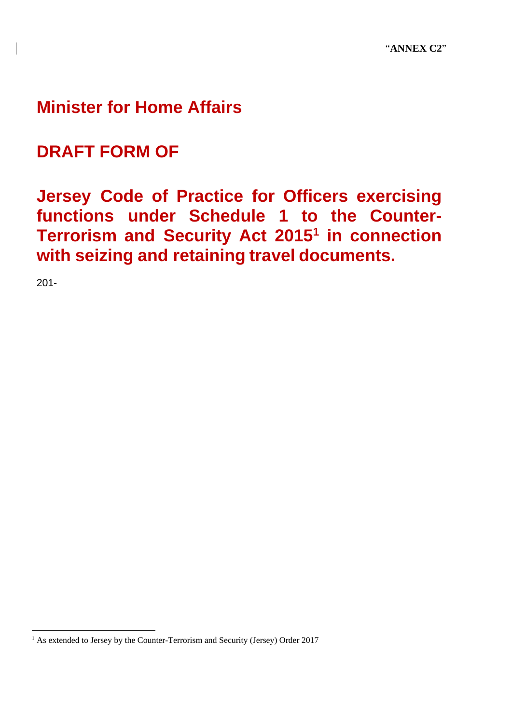# **Minister for Home Affairs**

# **DRAFT FORM OF**

# **Jersey Code of Practice for Officers exercising functions under Schedule 1 to the Counter-Terrorism and Security Act 20151 in connection with seizing and retaining travel documents.**

201-

<sup>&</sup>lt;sup>1</sup> As extended to Jersey by the Counter-Terrorism and Security (Jersey) Order 2017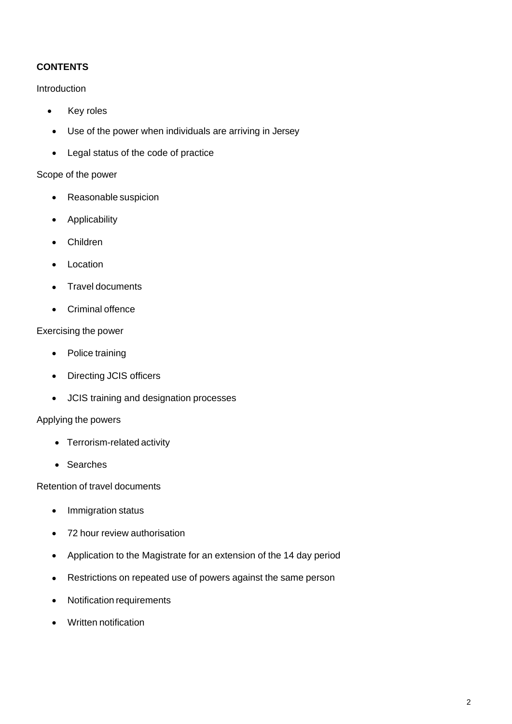## **CONTENTS**

#### Introduction

- Key roles
- Use of the power when individuals are arriving in Jersey
- Legal status of the code of practice

#### Scope of the power

- Reasonable suspicion
- Applicability
- Children
- Location
- Travel documents
- Criminal offence

#### Exercising the power

- Police training
- Directing JCIS officers
- JCIS training and designation processes

#### Applying the powers

- Terrorism-related activity
- Searches

Retention of travel documents

- Immigration status
- 72 hour review authorisation
- Application to the Magistrate for an extension of the 14 day period
- Restrictions on repeated use of powers against the same person
- Notification requirements
- Written notification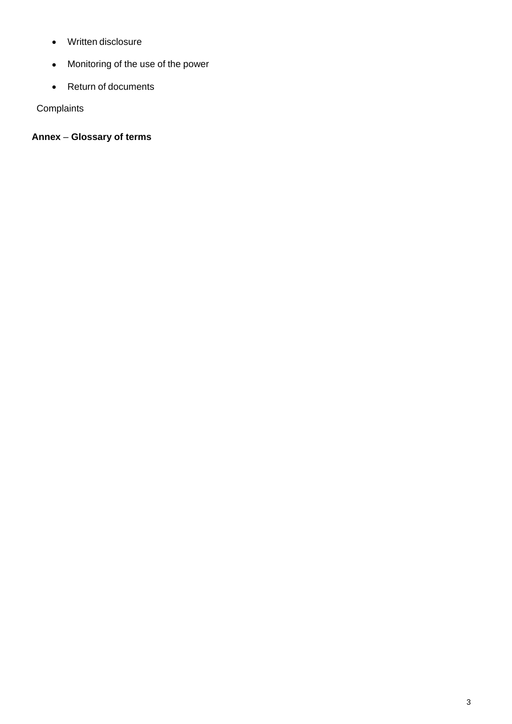- Written disclosure
- Monitoring of the use of the power
- Return of documents

**Complaints** 

**Annex** – **Glossary of terms**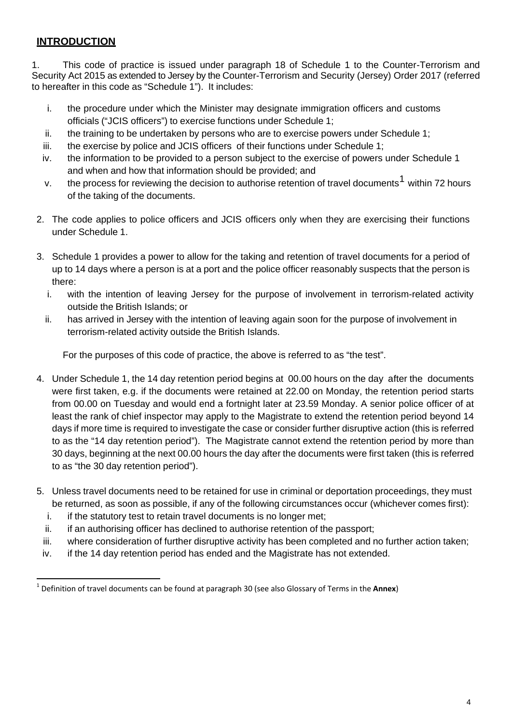# **INTRODUCTION**

1. This code of practice is issued under paragraph 18 of Schedule 1 to the Counter-Terrorism and Security Act 2015 as extended to Jersey by the Counter-Terrorism and Security (Jersey) Order 2017 (referred to hereafter in this code as "Schedule 1"). It includes:

- i. the procedure under which the Minister may designate immigration officers and customs officials ("JCIS officers") to exercise functions under Schedule 1;
- ii. the training to be undertaken by persons who are to exercise powers under Schedule 1;
- iii. the exercise by police and JCIS officers of their functions under Schedule 1;
- iv. the information to be provided to a person subject to the exercise of powers under Schedule 1 and when and how that information should be provided; and
- v. the process for reviewing the decision to authorise retention of travel documents<sup>1</sup> within 72 hours of the taking of the documents.
- 2. The code applies to police officers and JCIS officers only when they are exercising their functions under Schedule 1.
- 3. Schedule 1 provides a power to allow for the taking and retention of travel documents for a period of up to 14 days where a person is at a port and the police officer reasonably suspects that the person is there:
	- i. with the intention of leaving Jersey for the purpose of involvement in terrorism-related activity outside the British Islands; or
	- ii. has arrived in Jersey with the intention of leaving again soon for the purpose of involvement in terrorism-related activity outside the British Islands.

For the purposes of this code of practice, the above is referred to as "the test".

- 4. Under Schedule 1, the 14 day retention period begins at 00.00 hours on the day after the documents were first taken, e.g. if the documents were retained at 22.00 on Monday, the retention period starts from 00.00 on Tuesday and would end a fortnight later at 23.59 Monday. A senior police officer of at least the rank of chief inspector may apply to the Magistrate to extend the retention period beyond 14 days if more time is required to investigate the case or consider further disruptive action (this is referred to as the "14 day retention period"). The Magistrate cannot extend the retention period by more than 30 days, beginning at the next 00.00 hours the day after the documents were first taken (this is referred to as "the 30 day retention period").
- 5. Unless travel documents need to be retained for use in criminal or deportation proceedings, they must be returned, as soon as possible, if any of the following circumstances occur (whichever comes first):
	- i. if the statutory test to retain travel documents is no longer met;
	- ii. if an authorising officer has declined to authorise retention of the passport;
	- iii. where consideration of further disruptive activity has been completed and no further action taken;
	- iv. if the 14 day retention period has ended and the Magistrate has not extended.

<sup>1</sup> Definition of travel documents can be found at paragraph 30 (see also Glossary of Terms in the **Annex**)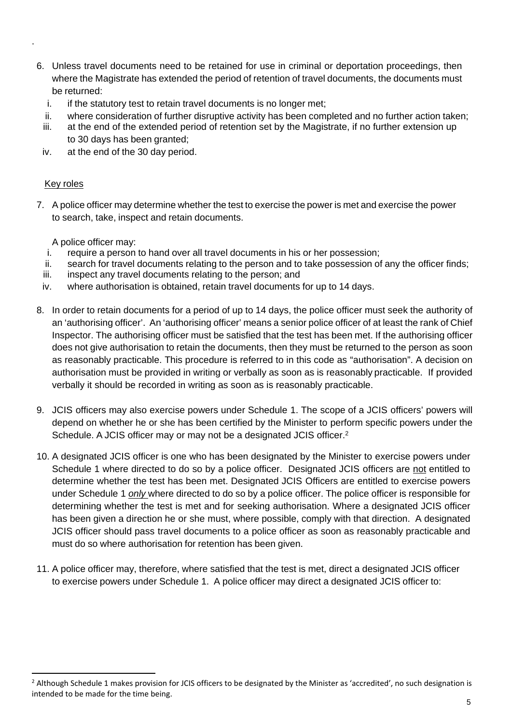- 6. Unless travel documents need to be retained for use in criminal or deportation proceedings, then where the Magistrate has extended the period of retention of travel documents, the documents must be returned:
	- i. if the statutory test to retain travel documents is no longer met;
	- ii. where consideration of further disruptive activity has been completed and no further action taken;
	- iii. at the end of the extended period of retention set by the Magistrate, if no further extension up to 30 days has been granted;
	- iv. at the end of the 30 day period.

#### Key roles

.

7. A police officer may determine whether the test to exercise the power is met and exercise the power to search, take, inspect and retain documents.

A police officer may:

- i. require a person to hand over all travel documents in his or her possession;
- ii. search for travel documents relating to the person and to take possession of any the officer finds;
- iii. inspect any travel documents relating to the person; and
- iv. where authorisation is obtained, retain travel documents for up to 14 days.
- 8. In order to retain documents for a period of up to 14 days, the police officer must seek the authority of an 'authorising officer'. An 'authorising officer' means a senior police officer of at least the rank of Chief Inspector. The authorising officer must be satisfied that the test has been met. If the authorising officer does not give authorisation to retain the documents, then they must be returned to the person as soon as reasonably practicable. This procedure is referred to in this code as "authorisation". A decision on authorisation must be provided in writing or verbally as soon as is reasonably practicable. If provided verbally it should be recorded in writing as soon as is reasonably practicable.
- 9. JCIS officers may also exercise powers under Schedule 1. The scope of a JCIS officers' powers will depend on whether he or she has been certified by the Minister to perform specific powers under the Schedule. A JCIS officer may or may not be a designated JCIS officer.<sup>2</sup>
- 10. A designated JCIS officer is one who has been designated by the Minister to exercise powers under Schedule 1 where directed to do so by a police officer. Designated JCIS officers are not entitled to determine whether the test has been met. Designated JCIS Officers are entitled to exercise powers under Schedule 1 *only* where directed to do so by a police officer. The police officer is responsible for determining whether the test is met and for seeking authorisation. Where a designated JCIS officer has been given a direction he or she must, where possible, comply with that direction. A designated JCIS officer should pass travel documents to a police officer as soon as reasonably practicable and must do so where authorisation for retention has been given.
- 11. A police officer may, therefore, where satisfied that the test is met, direct a designated JCIS officer to exercise powers under Schedule 1. A police officer may direct a designated JCIS officer to:

<sup>&</sup>lt;sup>2</sup> Although Schedule 1 makes provision for JCIS officers to be designated by the Minister as 'accredited', no such designation is intended to be made for the time being.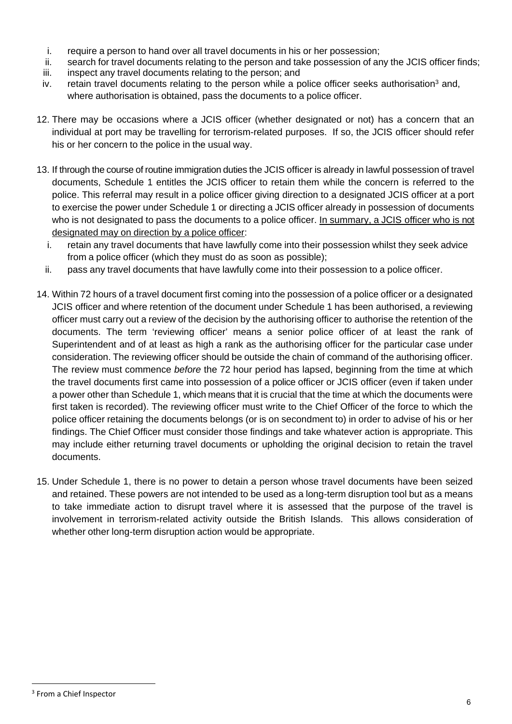- i. require a person to hand over all travel documents in his or her possession;
- ii. search for travel documents relating to the person and take possession of any the JCIS officer finds;
- iii. inspect any travel documents relating to the person; and
- iv. retain travel documents relating to the person while a police officer seeks authorisation<sup>3</sup> and, where authorisation is obtained, pass the documents to a police officer.
- 12. There may be occasions where a JCIS officer (whether designated or not) has a concern that an individual at port may be travelling for terrorism-related purposes. If so, the JCIS officer should refer his or her concern to the police in the usual way.
- 13. If through the course of routine immigration duties the JCIS officer is already in lawful possession of travel documents, Schedule 1 entitles the JCIS officer to retain them while the concern is referred to the police. This referral may result in a police officer giving direction to a designated JCIS officer at a port to exercise the power under Schedule 1 or directing a JCIS officer already in possession of documents who is not designated to pass the documents to a police officer. In summary, a JCIS officer who is not designated may on direction by a police officer:
	- i. retain any travel documents that have lawfully come into their possession whilst they seek advice from a police officer (which they must do as soon as possible);
	- ii. pass any travel documents that have lawfully come into their possession to a police officer.
- 14. Within 72 hours of a travel document first coming into the possession of a police officer or a designated JCIS officer and where retention of the document under Schedule 1 has been authorised, a reviewing officer must carry out a review of the decision by the authorising officer to authorise the retention of the documents. The term 'reviewing officer' means a senior police officer of at least the rank of Superintendent and of at least as high a rank as the authorising officer for the particular case under consideration. The reviewing officer should be outside the chain of command of the authorising officer. The review must commence *before* the 72 hour period has lapsed, beginning from the time at which the travel documents first came into possession of a police officer or JCIS officer (even if taken under a power other than Schedule 1, which means that it is crucial that the time at which the documents were first taken is recorded). The reviewing officer must write to the Chief Officer of the force to which the police officer retaining the documents belongs (or is on secondment to) in order to advise of his or her findings. The Chief Officer must consider those findings and take whatever action is appropriate. This may include either returning travel documents or upholding the original decision to retain the travel documents.
- 15. Under Schedule 1, there is no power to detain a person whose travel documents have been seized and retained. These powers are not intended to be used as a long-term disruption tool but as a means to take immediate action to disrupt travel where it is assessed that the purpose of the travel is involvement in terrorism-related activity outside the British Islands. This allows consideration of whether other long-term disruption action would be appropriate.

 <sup>3</sup> From a Chief Inspector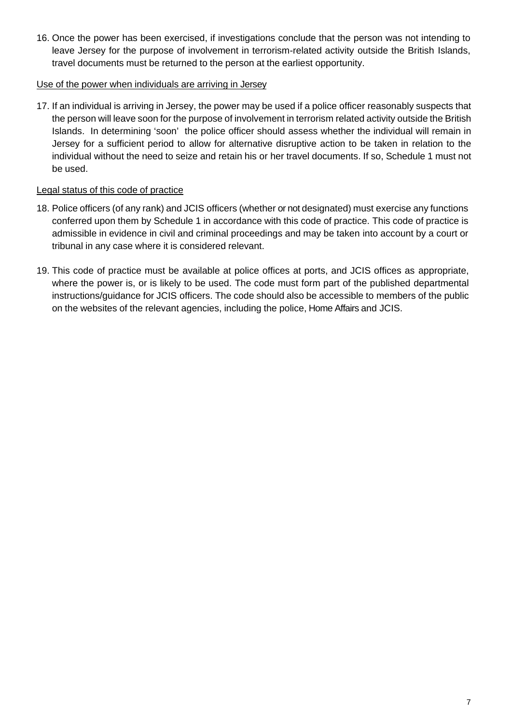16. Once the power has been exercised, if investigations conclude that the person was not intending to leave Jersey for the purpose of involvement in terrorism-related activity outside the British Islands, travel documents must be returned to the person at the earliest opportunity.

#### Use of the power when individuals are arriving in Jersey

17. If an individual is arriving in Jersey, the power may be used if a police officer reasonably suspects that the person will leave soon for the purpose of involvement in terrorism related activity outside the British Islands. In determining 'soon' the police officer should assess whether the individual will remain in Jersey for a sufficient period to allow for alternative disruptive action to be taken in relation to the individual without the need to seize and retain his or her travel documents. If so, Schedule 1 must not be used.

#### Legal status of this code of practice

- 18. Police officers (of any rank) and JCIS officers (whether or not designated) must exercise any functions conferred upon them by Schedule 1 in accordance with this code of practice. This code of practice is admissible in evidence in civil and criminal proceedings and may be taken into account by a court or tribunal in any case where it is considered relevant.
- 19. This code of practice must be available at police offices at ports, and JCIS offices as appropriate, where the power is, or is likely to be used. The code must form part of the published departmental instructions/guidance for JCIS officers. The code should also be accessible to members of the public on the websites of the relevant agencies, including the police, Home Affairs and JCIS.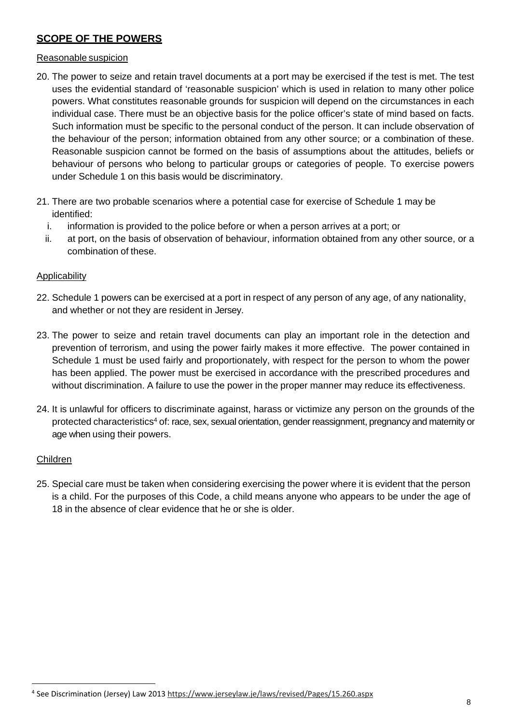## **SCOPE OF THE POWERS**

#### Reasonable suspicion

- 20. The power to seize and retain travel documents at a port may be exercised if the test is met. The test uses the evidential standard of 'reasonable suspicion' which is used in relation to many other police powers. What constitutes reasonable grounds for suspicion will depend on the circumstances in each individual case. There must be an objective basis for the police officer's state of mind based on facts. Such information must be specific to the personal conduct of the person. It can include observation of the behaviour of the person; information obtained from any other source; or a combination of these. Reasonable suspicion cannot be formed on the basis of assumptions about the attitudes, beliefs or behaviour of persons who belong to particular groups or categories of people. To exercise powers under Schedule 1 on this basis would be discriminatory.
- 21. There are two probable scenarios where a potential case for exercise of Schedule 1 may be identified:
	- i. information is provided to the police before or when a person arrives at a port; or
	- ii. at port, on the basis of observation of behaviour, information obtained from any other source, or a combination of these.

#### Applicability

- 22. Schedule 1 powers can be exercised at a port in respect of any person of any age, of any nationality, and whether or not they are resident in Jersey.
- 23. The power to seize and retain travel documents can play an important role in the detection and prevention of terrorism, and using the power fairly makes it more effective. The power contained in Schedule 1 must be used fairly and proportionately, with respect for the person to whom the power has been applied. The power must be exercised in accordance with the prescribed procedures and without discrimination. A failure to use the power in the proper manner may reduce its effectiveness.
- 24. It is unlawful for officers to discriminate against, harass or victimize any person on the grounds of the protected characteristics4 of: race, sex, sexual orientation, gender reassignment, pregnancy and maternity or age when using their powers.

#### Children

25. Special care must be taken when considering exercising the power where it is evident that the person is a child. For the purposes of this Code, a child means anyone who appears to be under the age of 18 in the absence of clear evidence that he or she is older.

<sup>4</sup> See Discrimination (Jersey) Law 2013 https://www.jerseylaw.je/laws/revised/Pages/15.260.aspx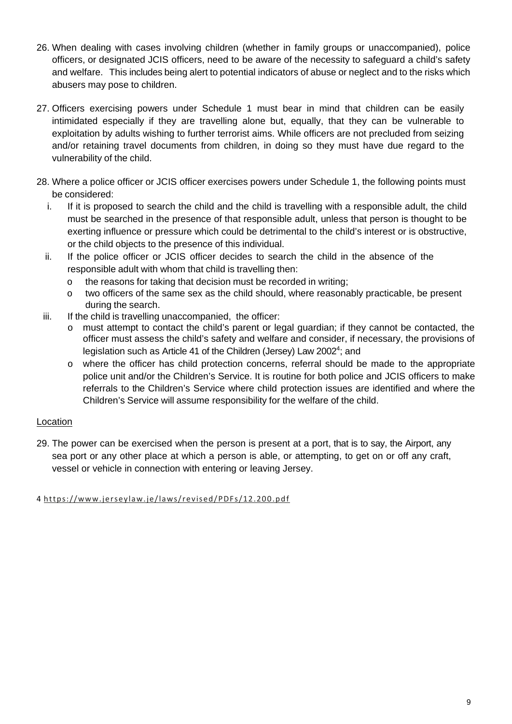- 26. When dealing with cases involving children (whether in family groups or unaccompanied), police officers, or designated JCIS officers, need to be aware of the necessity to safeguard a child's safety and welfare. This includes being alert to potential indicators of abuse or neglect and to the risks which abusers may pose to children.
- 27. Officers exercising powers under Schedule 1 must bear in mind that children can be easily intimidated especially if they are travelling alone but, equally, that they can be vulnerable to exploitation by adults wishing to further terrorist aims. While officers are not precluded from seizing and/or retaining travel documents from children, in doing so they must have due regard to the vulnerability of the child.
- 28. Where a police officer or JCIS officer exercises powers under Schedule 1, the following points must be considered:
	- i. If it is proposed to search the child and the child is travelling with a responsible adult, the child must be searched in the presence of that responsible adult, unless that person is thought to be exerting influence or pressure which could be detrimental to the child's interest or is obstructive, or the child objects to the presence of this individual.
	- ii. If the police officer or JCIS officer decides to search the child in the absence of the responsible adult with whom that child is travelling then:
		- o the reasons for taking that decision must be recorded in writing;
		- o two officers of the same sex as the child should, where reasonably practicable, be present during the search.
	- iii. If the child is travelling unaccompanied, the officer:
		- must attempt to contact the child's parent or legal guardian; if they cannot be contacted, the officer must assess the child's safety and welfare and consider, if necessary, the provisions of legislation such as Article 41 of the Children (Jersey) Law 2002<sup>4</sup>; and
		- o where the officer has child protection concerns, referral should be made to the appropriate police unit and/or the Children's Service. It is routine for both police and JCIS officers to make referrals to the Children's Service where child protection issues are identified and where the Children's Service will assume responsibility for the welfare of the child.

## Location

29. The power can be exercised when the person is present at a port, that is to say, the Airport, any sea port or any other place at which a person is able, or attempting, to get on or off any craft, vessel or vehicle in connection with entering or leaving Jersey.

4 https://www.jerseylaw.je/laws/revised/PDFs/12.200.pdf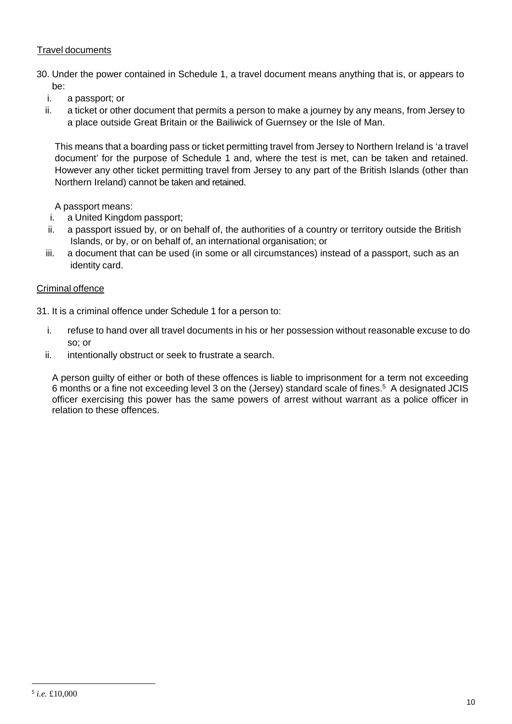#### Travel documents

- 30. Under the power contained in Schedule 1, a travel document means anything that is, or appears to be:
	- i. a passport; or
	- ii. a ticket or other document that permits a person to make a journey by any means, from Jersey to a place outside Great Britain or the Bailiwick of Guernsey or the Isle of Man.

This means that a boarding pass or ticket permitting travel from Jersey to Northern Ireland is 'a travel document' for the purpose of Schedule 1 and, where the test is met, can be taken and retained. However any other ticket permitting travel from Jersey to any part of the British Islands (other than Northern Ireland) cannot be taken and retained.

A passport means:

- i. a United Kingdom passport;
- ii. a passport issued by, or on behalf of, the authorities of a country or territory outside the British Islands, or by, or on behalf of, an international organisation; or
- iii. a document that can be used (in some or all circumstances) instead of a passport, such as an identity card.

#### Criminal offence

- 31. It is a criminal offence under Schedule 1 for a person to:
	- i. refuse to hand over all travel documents in his or her possession without reasonable excuse to do so; or
	- ii. intentionally obstruct or seek to frustrate a search.

A person guilty of either or both of these offences is liable to imprisonment for a term not exceeding 6 months or a fine not exceeding level 3 on the (Jersey) standard scale of fines.5 A designated JCIS officer exercising this power has the same powers of arrest without warrant as a police officer in relation to these offences.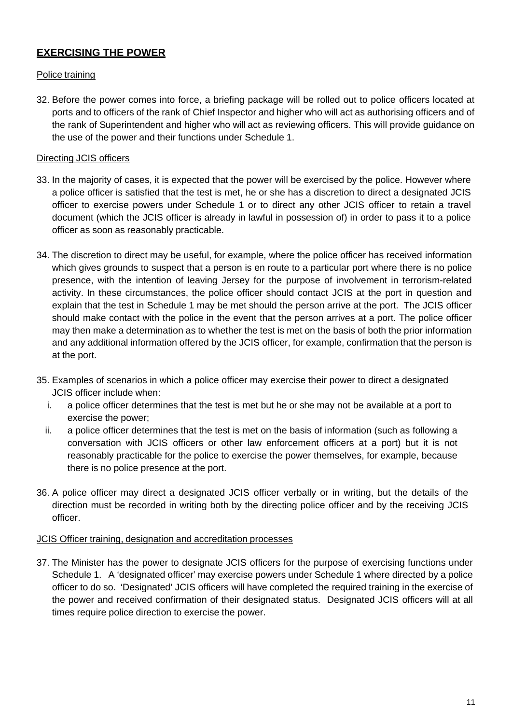# **EXERCISING THE POWER**

#### Police training

32. Before the power comes into force, a briefing package will be rolled out to police officers located at ports and to officers of the rank of Chief Inspector and higher who will act as authorising officers and of the rank of Superintendent and higher who will act as reviewing officers. This will provide guidance on the use of the power and their functions under Schedule 1.

#### Directing JCIS officers

- 33. In the majority of cases, it is expected that the power will be exercised by the police. However where a police officer is satisfied that the test is met, he or she has a discretion to direct a designated JCIS officer to exercise powers under Schedule 1 or to direct any other JCIS officer to retain a travel document (which the JCIS officer is already in lawful in possession of) in order to pass it to a police officer as soon as reasonably practicable.
- 34. The discretion to direct may be useful, for example, where the police officer has received information which gives grounds to suspect that a person is en route to a particular port where there is no police presence, with the intention of leaving Jersey for the purpose of involvement in terrorism-related activity. In these circumstances, the police officer should contact JCIS at the port in question and explain that the test in Schedule 1 may be met should the person arrive at the port. The JCIS officer should make contact with the police in the event that the person arrives at a port. The police officer may then make a determination as to whether the test is met on the basis of both the prior information and any additional information offered by the JCIS officer, for example, confirmation that the person is at the port.
- 35. Examples of scenarios in which a police officer may exercise their power to direct a designated JCIS officer include when:
	- i. a police officer determines that the test is met but he or she may not be available at a port to exercise the power;
	- ii. a police officer determines that the test is met on the basis of information (such as following a conversation with JCIS officers or other law enforcement officers at a port) but it is not reasonably practicable for the police to exercise the power themselves, for example, because there is no police presence at the port.
- 36. A police officer may direct a designated JCIS officer verbally or in writing, but the details of the direction must be recorded in writing both by the directing police officer and by the receiving JCIS officer.

#### JCIS Officer training, designation and accreditation processes

37. The Minister has the power to designate JCIS officers for the purpose of exercising functions under Schedule 1. A 'designated officer' may exercise powers under Schedule 1 where directed by a police officer to do so. 'Designated' JCIS officers will have completed the required training in the exercise of the power and received confirmation of their designated status. Designated JCIS officers will at all times require police direction to exercise the power.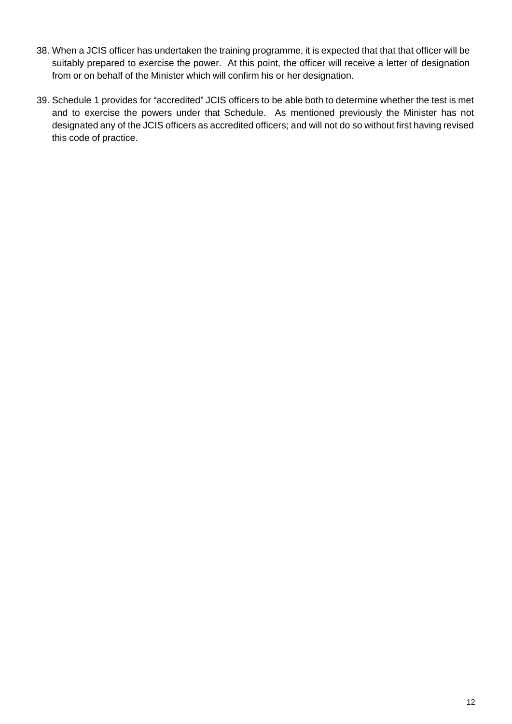- 38. When a JCIS officer has undertaken the training programme, it is expected that that that officer will be suitably prepared to exercise the power. At this point, the officer will receive a letter of designation from or on behalf of the Minister which will confirm his or her designation.
- 39. Schedule 1 provides for "accredited" JCIS officers to be able both to determine whether the test is met and to exercise the powers under that Schedule. As mentioned previously the Minister has not designated any of the JCIS officers as accredited officers; and will not do so without first having revised this code of practice.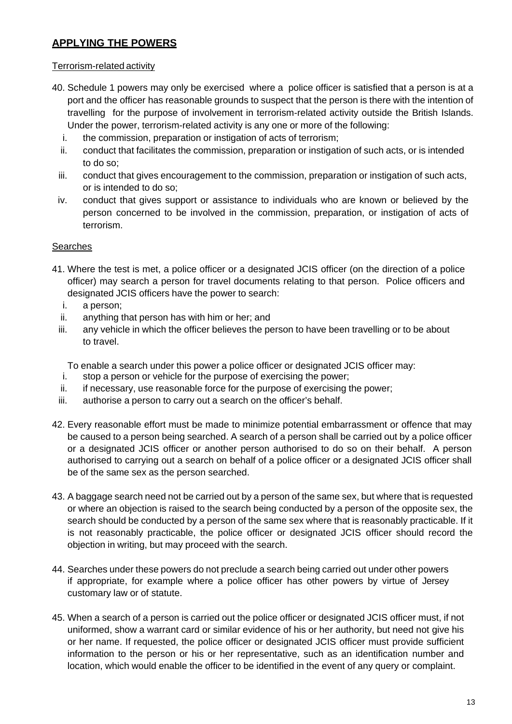## **APPLYING THE POWERS**

#### Terrorism-related activity

- 40. Schedule 1 powers may only be exercised where a police officer is satisfied that a person is at a port and the officer has reasonable grounds to suspect that the person is there with the intention of travelling for the purpose of involvement in terrorism-related activity outside the British Islands. Under the power, terrorism-related activity is any one or more of the following:
	- i. the commission, preparation or instigation of acts of terrorism;
	- ii. conduct that facilitates the commission, preparation or instigation of such acts, or is intended to do so;
	- iii. conduct that gives encouragement to the commission, preparation or instigation of such acts, or is intended to do so;
	- iv. conduct that gives support or assistance to individuals who are known or believed by the person concerned to be involved in the commission, preparation, or instigation of acts of terrorism.

#### **Searches**

- 41. Where the test is met, a police officer or a designated JCIS officer (on the direction of a police officer) may search a person for travel documents relating to that person. Police officers and designated JCIS officers have the power to search:
	- i. a person;
	- ii. anything that person has with him or her; and
	- iii. any vehicle in which the officer believes the person to have been travelling or to be about to travel.

To enable a search under this power a police officer or designated JCIS officer may:

- i. stop a person or vehicle for the purpose of exercising the power;
- ii. if necessary, use reasonable force for the purpose of exercising the power;
- iii. authorise a person to carry out a search on the officer's behalf.
- 42. Every reasonable effort must be made to minimize potential embarrassment or offence that may be caused to a person being searched. A search of a person shall be carried out by a police officer or a designated JCIS officer or another person authorised to do so on their behalf. A person authorised to carrying out a search on behalf of a police officer or a designated JCIS officer shall be of the same sex as the person searched.
- 43. A baggage search need not be carried out by a person of the same sex, but where that is requested or where an objection is raised to the search being conducted by a person of the opposite sex, the search should be conducted by a person of the same sex where that is reasonably practicable. If it is not reasonably practicable, the police officer or designated JCIS officer should record the objection in writing, but may proceed with the search.
- 44. Searches under these powers do not preclude a search being carried out under other powers if appropriate, for example where a police officer has other powers by virtue of Jersey customary law or of statute.
- 45. When a search of a person is carried out the police officer or designated JCIS officer must, if not uniformed, show a warrant card or similar evidence of his or her authority, but need not give his or her name. If requested, the police officer or designated JCIS officer must provide sufficient information to the person or his or her representative, such as an identification number and location, which would enable the officer to be identified in the event of any query or complaint.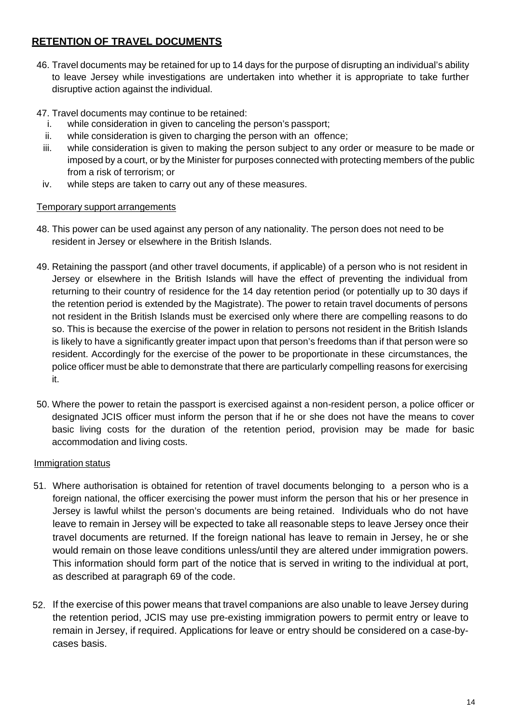# **RETENTION OF TRAVEL DOCUMENTS**

- 46. Travel documents may be retained for up to 14 days for the purpose of disrupting an individual's ability to leave Jersey while investigations are undertaken into whether it is appropriate to take further disruptive action against the individual.
- 47. Travel documents may continue to be retained:
	- i. while consideration in given to canceling the person's passport;
	- ii. while consideration is given to charging the person with an offence;
	- iii. while consideration is given to making the person subject to any order or measure to be made or imposed by a court, or by the Minister for purposes connected with protecting members of the public from a risk of terrorism; or
	- iv. while steps are taken to carry out any of these measures.

### Temporary support arrangements

- 48. This power can be used against any person of any nationality. The person does not need to be resident in Jersey or elsewhere in the British Islands.
- 49. Retaining the passport (and other travel documents, if applicable) of a person who is not resident in Jersey or elsewhere in the British Islands will have the effect of preventing the individual from returning to their country of residence for the 14 day retention period (or potentially up to 30 days if the retention period is extended by the Magistrate). The power to retain travel documents of persons not resident in the British Islands must be exercised only where there are compelling reasons to do so. This is because the exercise of the power in relation to persons not resident in the British Islands is likely to have a significantly greater impact upon that person's freedoms than if that person were so resident. Accordingly for the exercise of the power to be proportionate in these circumstances, the police officer must be able to demonstrate that there are particularly compelling reasons for exercising it.
- 50. Where the power to retain the passport is exercised against a non-resident person, a police officer or designated JCIS officer must inform the person that if he or she does not have the means to cover basic living costs for the duration of the retention period, provision may be made for basic accommodation and living costs.

#### Immigration status

- 51. Where authorisation is obtained for retention of travel documents belonging to a person who is a foreign national, the officer exercising the power must inform the person that his or her presence in Jersey is lawful whilst the person's documents are being retained. Individuals who do not have leave to remain in Jersey will be expected to take all reasonable steps to leave Jersey once their travel documents are returned. If the foreign national has leave to remain in Jersey, he or she would remain on those leave conditions unless/until they are altered under immigration powers. This information should form part of the notice that is served in writing to the individual at port, as described at paragraph 69 of the code.
- 52. If the exercise of this power means that travel companions are also unable to leave Jersey during the retention period, JCIS may use pre-existing immigration powers to permit entry or leave to remain in Jersey, if required. Applications for leave or entry should be considered on a case-bycases basis.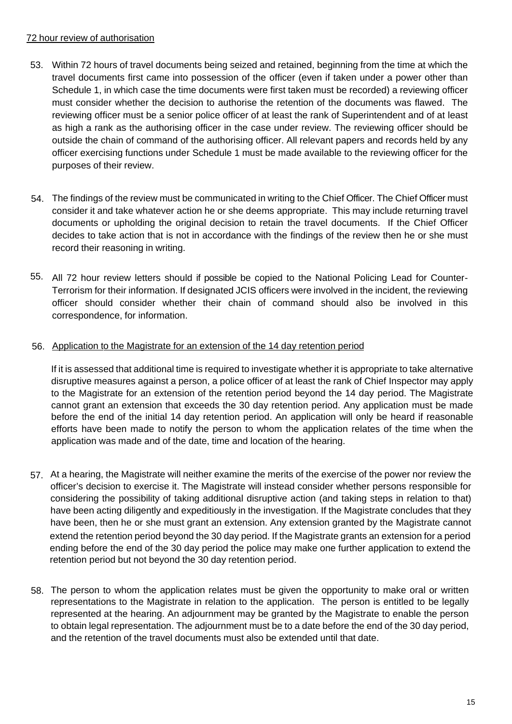#### 72 hour review of authorisation

- 53. Within 72 hours of travel documents being seized and retained, beginning from the time at which the travel documents first came into possession of the officer (even if taken under a power other than Schedule 1, in which case the time documents were first taken must be recorded) a reviewing officer must consider whether the decision to authorise the retention of the documents was flawed. The reviewing officer must be a senior police officer of at least the rank of Superintendent and of at least as high a rank as the authorising officer in the case under review. The reviewing officer should be outside the chain of command of the authorising officer. All relevant papers and records held by any officer exercising functions under Schedule 1 must be made available to the reviewing officer for the purposes of their review.
- 54. The findings of the review must be communicated in writing to the Chief Officer. The Chief Officer must consider it and take whatever action he or she deems appropriate. This may include returning travel documents or upholding the original decision to retain the travel documents. If the Chief Officer decides to take action that is not in accordance with the findings of the review then he or she must record their reasoning in writing.
- 55. All 72 hour review letters should if possible be copied to the National Policing Lead for Counter-Terrorism for their information. If designated JCIS officers were involved in the incident, the reviewing officer should consider whether their chain of command should also be involved in this correspondence, for information.

#### 56. Application to the Magistrate for an extension of the 14 day retention period

If it is assessed that additional time is required to investigate whether it is appropriate to take alternative disruptive measures against a person, a police officer of at least the rank of Chief Inspector may apply to the Magistrate for an extension of the retention period beyond the 14 day period. The Magistrate cannot grant an extension that exceeds the 30 day retention period. Any application must be made before the end of the initial 14 day retention period. An application will only be heard if reasonable efforts have been made to notify the person to whom the application relates of the time when the application was made and of the date, time and location of the hearing.

- 57. At a hearing, the Magistrate will neither examine the merits of the exercise of the power nor review the officer's decision to exercise it. The Magistrate will instead consider whether persons responsible for considering the possibility of taking additional disruptive action (and taking steps in relation to that) have been acting diligently and expeditiously in the investigation. If the Magistrate concludes that they have been, then he or she must grant an extension. Any extension granted by the Magistrate cannot extend the retention period beyond the 30 day period. If the Magistrate grants an extension for a period ending before the end of the 30 day period the police may make one further application to extend the retention period but not beyond the 30 day retention period.
- The person to whom the application relates must be given the opportunity to make oral or written 58.representations to the Magistrate in relation to the application. The person is entitled to be legally represented at the hearing. An adjournment may be granted by the Magistrate to enable the person to obtain legal representation. The adjournment must be to a date before the end of the 30 day period, and the retention of the travel documents must also be extended until that date.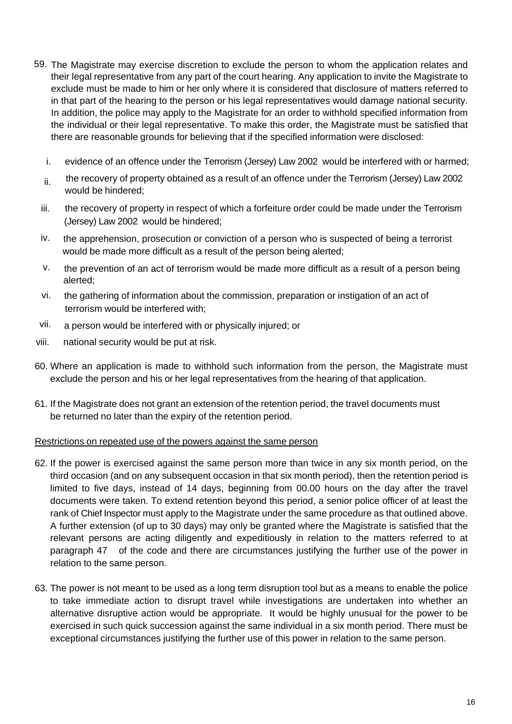- 59. The Magistrate may exercise discretion to exclude the person to whom the application relates and their legal representative from any part of the court hearing. Any application to invite the Magistrate to exclude must be made to him or her only where it is considered that disclosure of matters referred to in that part of the hearing to the person or his legal representatives would damage national security. In addition, the police may apply to the Magistrate for an order to withhold specified information from the individual or their legal representative. To make this order, the Magistrate must be satisfied that there are reasonable grounds for believing that if the specified information were disclosed:
	- i. evidence of an offence under the Terrorism (Jersey) Law 2002 would be interfered with or harmed;
	- $ii$  the recovery of property obtained as a result of an offence under the Terrorism (Jersey) Law 2002 would be hindered;
	- iii. the recovery of property in respect of which a forfeiture order could be made under the Terrorism (Jersey) Law 2002 would be hindered;
	- iv. the apprehension, prosecution or conviction of a person who is suspected of being a terrorist would be made more difficult as a result of the person being alerted;
	- v. the prevention of an act of terrorism would be made more difficult as a result of a person being alerted;
	- vi. the gathering of information about the commission, preparation or instigation of an act of terrorism would be interfered with;
- vii. a person would be interfered with or physically injured; or
- viii. national security would be put at risk.
- 60. Where an application is made to withhold such information from the person, the Magistrate must exclude the person and his or her legal representatives from the hearing of that application.
- 61. If the Magistrate does not grant an extension of the retention period, the travel documents must be returned no later than the expiry of the retention period.

#### Restrictions on repeated use of the powers against the same person

- 62. If the power is exercised against the same person more than twice in any six month period, on the third occasion (and on any subsequent occasion in that six month period), then the retention period is limited to five days, instead of 14 days, beginning from 00.00 hours on the day after the travel documents were taken. To extend retention beyond this period, a senior police officer of at least the rank of Chief Inspector must apply to the Magistrate under the same procedure as that outlined above. A further extension (of up to 30 days) may only be granted where the Magistrate is satisfied that the relevant persons are acting diligently and expeditiously in relation to the matters referred to at paragraph 47 of the code and there are circumstances justifying the further use of the power in relation to the same person.
- 63. The power is not meant to be used as a long term disruption tool but as a means to enable the police to take immediate action to disrupt travel while investigations are undertaken into whether an alternative disruptive action would be appropriate. It would be highly unusual for the power to be exercised in such quick succession against the same individual in a six month period. There must be exceptional circumstances justifying the further use of this power in relation to the same person.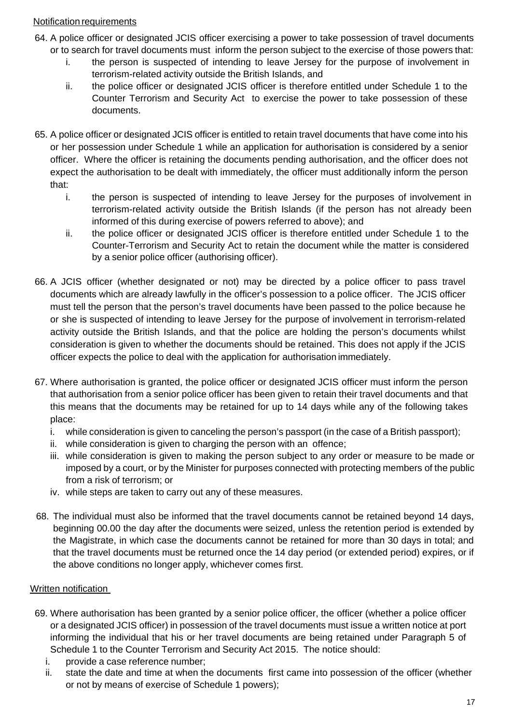#### Notification requirements

- 64. A police officer or designated JCIS officer exercising a power to take possession of travel documents or to search for travel documents must inform the person subject to the exercise of those powers that:
	- i. the person is suspected of intending to leave Jersey for the purpose of involvement in terrorism-related activity outside the British Islands, and
	- ii. the police officer or designated JCIS officer is therefore entitled under Schedule 1 to the Counter Terrorism and Security Act to exercise the power to take possession of these documents.
- 65. A police officer or designated JCIS officer is entitled to retain travel documents that have come into his or her possession under Schedule 1 while an application for authorisation is considered by a senior officer. Where the officer is retaining the documents pending authorisation, and the officer does not expect the authorisation to be dealt with immediately, the officer must additionally inform the person that:
	- i. the person is suspected of intending to leave Jersey for the purposes of involvement in terrorism-related activity outside the British Islands (if the person has not already been informed of this during exercise of powers referred to above); and
	- ii. the police officer or designated JCIS officer is therefore entitled under Schedule 1 to the Counter-Terrorism and Security Act to retain the document while the matter is considered by a senior police officer (authorising officer).
- 66. A JCIS officer (whether designated or not) may be directed by a police officer to pass travel documents which are already lawfully in the officer's possession to a police officer. The JCIS officer must tell the person that the person's travel documents have been passed to the police because he or she is suspected of intending to leave Jersey for the purpose of involvement in terrorism-related activity outside the British Islands, and that the police are holding the person's documents whilst consideration is given to whether the documents should be retained. This does not apply if the JCIS officer expects the police to deal with the application for authorisation immediately.
- 67. Where authorisation is granted, the police officer or designated JCIS officer must inform the person that authorisation from a senior police officer has been given to retain their travel documents and that this means that the documents may be retained for up to 14 days while any of the following takes place:
	- i. while consideration is given to canceling the person's passport (in the case of a British passport);
	- ii. while consideration is given to charging the person with an offence;
	- iii. while consideration is given to making the person subject to any order or measure to be made or imposed by a court, or by the Minister for purposes connected with protecting members of the public from a risk of terrorism; or
	- iv. while steps are taken to carry out any of these measures.
- 68. The individual must also be informed that the travel documents cannot be retained beyond 14 days, beginning 00.00 the day after the documents were seized, unless the retention period is extended by the Magistrate, in which case the documents cannot be retained for more than 30 days in total; and that the travel documents must be returned once the 14 day period (or extended period) expires, or if the above conditions no longer apply, whichever comes first.

#### Written notification

- 69. Where authorisation has been granted by a senior police officer, the officer (whether a police officer or a designated JCIS officer) in possession of the travel documents must issue a written notice at port informing the individual that his or her travel documents are being retained under Paragraph 5 of Schedule 1 to the Counter Terrorism and Security Act 2015. The notice should:
	- i. provide a case reference number;
	- ii. state the date and time at when the documents first came into possession of the officer (whether or not by means of exercise of Schedule 1 powers);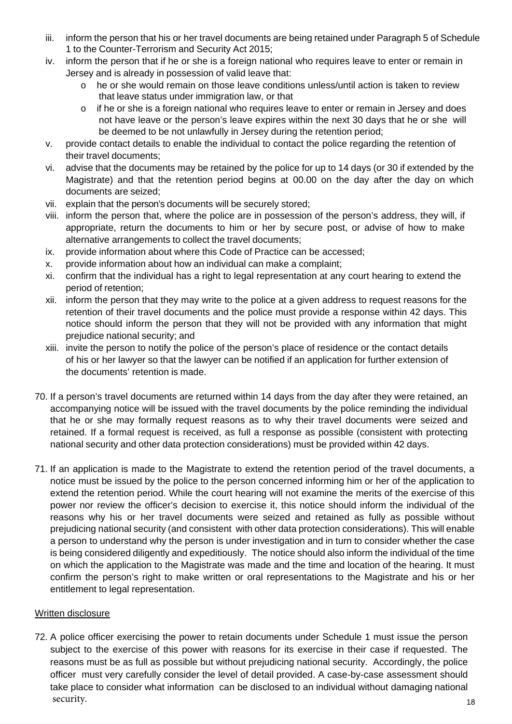- iii. inform the person that his or her travel documents are being retained under Paragraph 5 of Schedule 1 to the Counter-Terrorism and Security Act 2015;
- iv. inform the person that if he or she is a foreign national who requires leave to enter or remain in Jersey and is already in possession of valid leave that:
	- o he or she would remain on those leave conditions unless/until action is taken to review that leave status under immigration law, or that
	- o if he or she is a foreign national who requires leave to enter or remain in Jersey and does not have leave or the person's leave expires within the next 30 days that he or she will be deemed to be not unlawfully in Jersey during the retention period;
- v. provide contact details to enable the individual to contact the police regarding the retention of their travel documents;
- vi. advise that the documents may be retained by the police for up to 14 days (or 30 if extended by the Magistrate) and that the retention period begins at 00.00 on the day after the day on which documents are seized;
- vii. explain that the person's documents will be securely stored;
- viii. inform the person that, where the police are in possession of the person's address, they will, if appropriate, return the documents to him or her by secure post, or advise of how to make alternative arrangements to collect the travel documents;
- ix. provide information about where this Code of Practice can be accessed;
- x. provide information about how an individual can make a complaint;
- xi. confirm that the individual has a right to legal representation at any court hearing to extend the period of retention;
- xii. inform the person that they may write to the police at a given address to request reasons for the retention of their travel documents and the police must provide a response within 42 days. This notice should inform the person that they will not be provided with any information that might prejudice national security; and
- xiii. invite the person to notify the police of the person's place of residence or the contact details of his or her lawyer so that the lawyer can be notified if an application for further extension of the documents' retention is made.
- 70. If a person's travel documents are returned within 14 days from the day after they were retained, an accompanying notice will be issued with the travel documents by the police reminding the individual that he or she may formally request reasons as to why their travel documents were seized and retained. If a formal request is received, as full a response as possible (consistent with protecting national security and other data protection considerations) must be provided within 42 days.
- 71. If an application is made to the Magistrate to extend the retention period of the travel documents, a notice must be issued by the police to the person concerned informing him or her of the application to extend the retention period. While the court hearing will not examine the merits of the exercise of this power nor review the officer's decision to exercise it, this notice should inform the individual of the reasons why his or her travel documents were seized and retained as fully as possible without prejudicing national security (and consistent with other data protection considerations). This will enable a person to understand why the person is under investigation and in turn to consider whether the case is being considered diligently and expeditiously. The notice should also inform the individual of the time on which the application to the Magistrate was made and the time and location of the hearing. It must confirm the person's right to make written or oral representations to the Magistrate and his or her entitlement to legal representation.

#### Written disclosure

72. A police officer exercising the power to retain documents under Schedule 1 must issue the person subject to the exercise of this power with reasons for its exercise in their case if requested. The reasons must be as full as possible but without prejudicing national security. Accordingly, the police officer must very carefully consider the level of detail provided. A case-by-case assessment should take place to consider what information can be disclosed to an individual without damaging national security.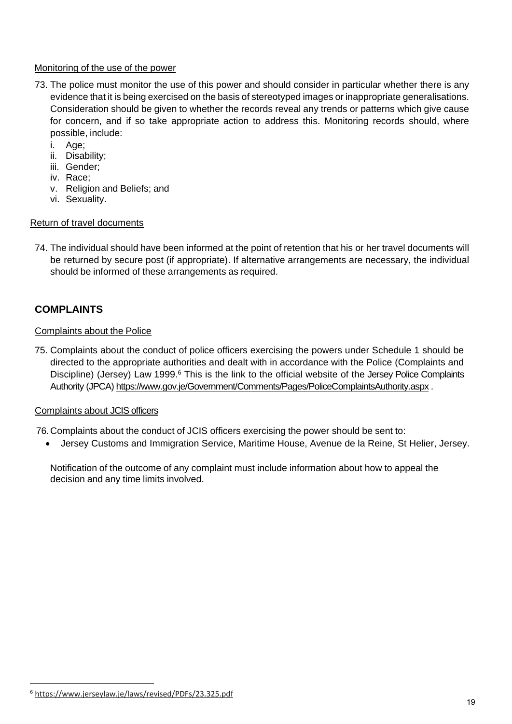#### Monitoring of the use of the power

- 73. The police must monitor the use of this power and should consider in particular whether there is any evidence that it is being exercised on the basis of stereotyped images or inappropriate generalisations. Consideration should be given to whether the records reveal any trends or patterns which give cause for concern, and if so take appropriate action to address this. Monitoring records should, where possible, include:
	- i. Age;
	- ii. Disability;
	- iii. Gender;
	- iv. Race;
	- v. Religion and Beliefs; and
	- vi. Sexuality.

#### Return of travel documents

74. The individual should have been informed at the point of retention that his or her travel documents will be returned by secure post (if appropriate). If alternative arrangements are necessary, the individual should be informed of these arrangements as required.

# **COMPLAINTS**

#### Complaints about the Police

75. Complaints about the conduct of police officers exercising the powers under Schedule 1 should be directed to the appropriate authorities and dealt with in accordance with the Police (Complaints and Discipline) (Jersey) Law 1999.<sup>6</sup> This is the link to the official website of the Jersey Police Complaints Authority (JPCA) https://www.gov.je/Government/Comments/Pages/PoliceComplaintsAuthority.aspx .

#### Complaints about JCIS officers

76. Complaints about the conduct of JCIS officers exercising the power should be sent to:

Jersey Customs and Immigration Service, Maritime House, Avenue de la Reine, St Helier, Jersey.

Notification of the outcome of any complaint must include information about how to appeal the decision and any time limits involved.

<sup>6</sup> https://www.jerseylaw.je/laws/revised/PDFs/23.325.pdf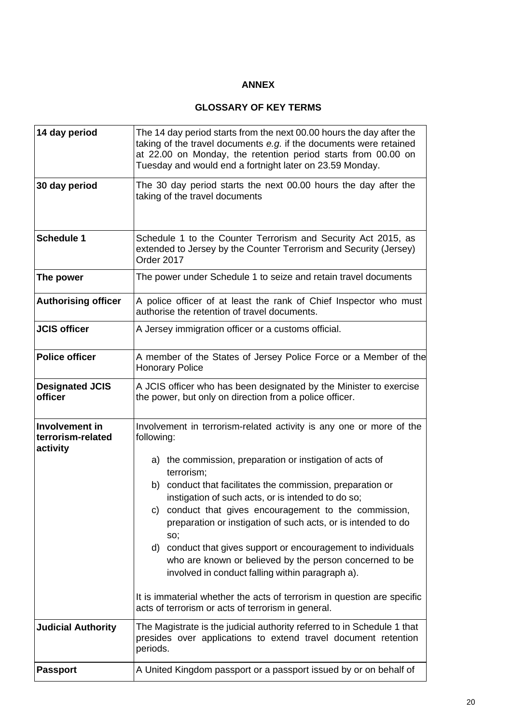## **ANNEX**

#### **GLOSSARY OF KEY TERMS**

| 14 day period<br>30 day period                  | The 14 day period starts from the next 00.00 hours the day after the<br>taking of the travel documents e.g. if the documents were retained<br>at 22.00 on Monday, the retention period starts from 00.00 on<br>Tuesday and would end a fortnight later on 23.59 Monday.<br>The 30 day period starts the next 00.00 hours the day after the<br>taking of the travel documents                                                                                                                                                                                                                                                                                                                                                       |
|-------------------------------------------------|------------------------------------------------------------------------------------------------------------------------------------------------------------------------------------------------------------------------------------------------------------------------------------------------------------------------------------------------------------------------------------------------------------------------------------------------------------------------------------------------------------------------------------------------------------------------------------------------------------------------------------------------------------------------------------------------------------------------------------|
| <b>Schedule 1</b>                               | Schedule 1 to the Counter Terrorism and Security Act 2015, as<br>extended to Jersey by the Counter Terrorism and Security (Jersey)<br>Order 2017                                                                                                                                                                                                                                                                                                                                                                                                                                                                                                                                                                                   |
| The power                                       | The power under Schedule 1 to seize and retain travel documents                                                                                                                                                                                                                                                                                                                                                                                                                                                                                                                                                                                                                                                                    |
| <b>Authorising officer</b>                      | A police officer of at least the rank of Chief Inspector who must<br>authorise the retention of travel documents.                                                                                                                                                                                                                                                                                                                                                                                                                                                                                                                                                                                                                  |
| <b>JCIS officer</b>                             | A Jersey immigration officer or a customs official.                                                                                                                                                                                                                                                                                                                                                                                                                                                                                                                                                                                                                                                                                |
| <b>Police officer</b>                           | A member of the States of Jersey Police Force or a Member of the<br><b>Honorary Police</b>                                                                                                                                                                                                                                                                                                                                                                                                                                                                                                                                                                                                                                         |
| <b>Designated JCIS</b><br>officer               | A JCIS officer who has been designated by the Minister to exercise<br>the power, but only on direction from a police officer.                                                                                                                                                                                                                                                                                                                                                                                                                                                                                                                                                                                                      |
| Involvement in<br>terrorism-related<br>activity | Involvement in terrorism-related activity is any one or more of the<br>following:<br>a) the commission, preparation or instigation of acts of<br>terrorism;<br>b) conduct that facilitates the commission, preparation or<br>instigation of such acts, or is intended to do so;<br>c) conduct that gives encouragement to the commission,<br>preparation or instigation of such acts, or is intended to do<br>SO;<br>d) conduct that gives support or encouragement to individuals<br>who are known or believed by the person concerned to be<br>involved in conduct falling within paragraph a).<br>It is immaterial whether the acts of terrorism in question are specific<br>acts of terrorism or acts of terrorism in general. |
| <b>Judicial Authority</b>                       | The Magistrate is the judicial authority referred to in Schedule 1 that<br>presides over applications to extend travel document retention<br>periods.                                                                                                                                                                                                                                                                                                                                                                                                                                                                                                                                                                              |
| <b>Passport</b>                                 | A United Kingdom passport or a passport issued by or on behalf of                                                                                                                                                                                                                                                                                                                                                                                                                                                                                                                                                                                                                                                                  |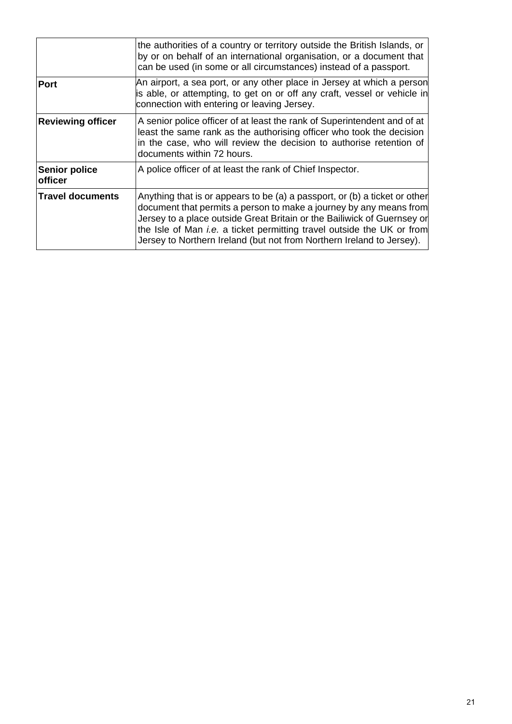|                                        | the authorities of a country or territory outside the British Islands, or<br>by or on behalf of an international organisation, or a document that<br>can be used (in some or all circumstances) instead of a passport.                                                                                                                                                                |
|----------------------------------------|---------------------------------------------------------------------------------------------------------------------------------------------------------------------------------------------------------------------------------------------------------------------------------------------------------------------------------------------------------------------------------------|
| Port                                   | An airport, a sea port, or any other place in Jersey at which a person<br>is able, or attempting, to get on or off any craft, vessel or vehicle in<br>connection with entering or leaving Jersey.                                                                                                                                                                                     |
| <b>Reviewing officer</b>               | A senior police officer of at least the rank of Superintendent and of at<br>least the same rank as the authorising officer who took the decision<br>in the case, who will review the decision to authorise retention of<br>documents within 72 hours.                                                                                                                                 |
| <b>Senior police</b><br><b>officer</b> | A police officer of at least the rank of Chief Inspector.                                                                                                                                                                                                                                                                                                                             |
| <b>Travel documents</b>                | Anything that is or appears to be (a) a passport, or (b) a ticket or other<br>document that permits a person to make a journey by any means from<br>Jersey to a place outside Great Britain or the Bailiwick of Guernsey or<br>the Isle of Man <i>i.e.</i> a ticket permitting travel outside the UK or from<br>Jersey to Northern Ireland (but not from Northern Ireland to Jersey). |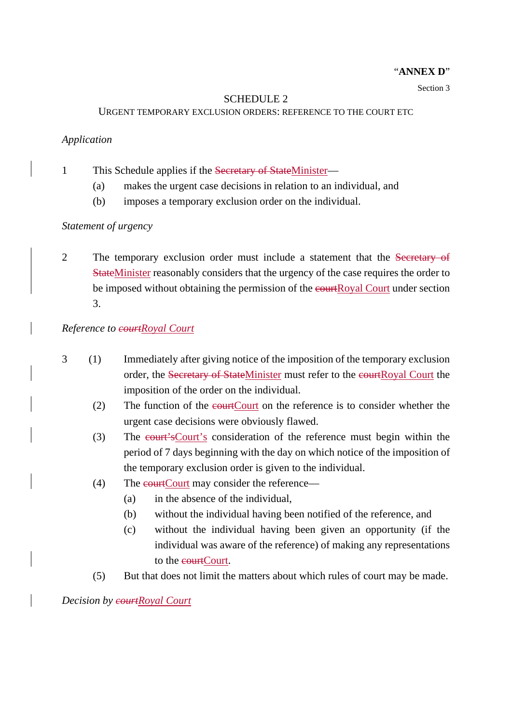#### "**ANNEX D**"

#### Section 3

#### SCHEDULE 2

#### URGENT TEMPORARY EXCLUSION ORDERS: REFERENCE TO THE COURT ETC

#### *Application*

1 This Schedule applies if the Secretary of StateMinister—

- (a) makes the urgent case decisions in relation to an individual, and
- (b) imposes a temporary exclusion order on the individual.

#### *Statement of urgency*

2 The temporary exclusion order must include a statement that the Secretary of StateMinister reasonably considers that the urgency of the case requires the order to be imposed without obtaining the permission of the equation Court under section 3.

#### *Reference to courtRoyal Court*

- 3 (1) Immediately after giving notice of the imposition of the temporary exclusion order, the Secretary of StateMinister must refer to the courtRoyal Court the imposition of the order on the individual.
	- (2) The function of the courtCourt on the reference is to consider whether the urgent case decisions were obviously flawed.
	- (3) The court'sCourt's consideration of the reference must begin within the period of 7 days beginning with the day on which notice of the imposition of the temporary exclusion order is given to the individual.
	- $(4)$  The courtCourt may consider the reference—
		- (a) in the absence of the individual,
		- (b) without the individual having been notified of the reference, and
		- (c) without the individual having been given an opportunity (if the individual was aware of the reference) of making any representations to the courtCourt.
	- (5) But that does not limit the matters about which rules of court may be made.

*Decision by courtRoyal Court*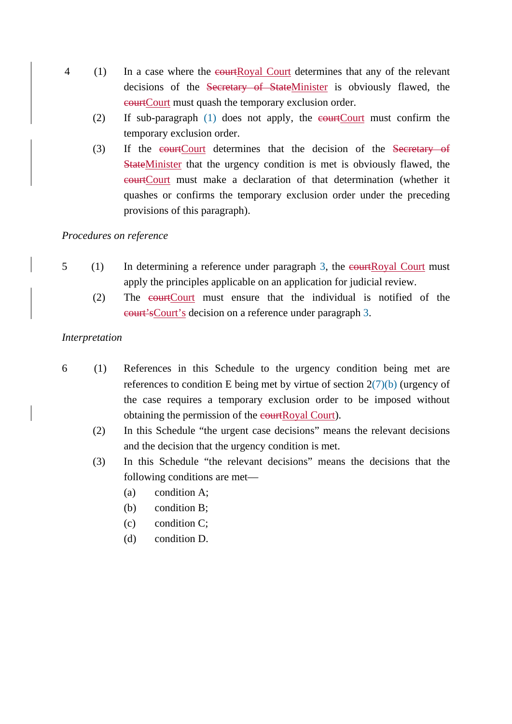- 4 (1) In a case where the courtRoyal Court determines that any of the relevant decisions of the Secretary of StateMinister is obviously flawed, the courtCourt must quash the temporary exclusion order.
	- (2) If sub-paragraph (1) does not apply, the courtCourt must confirm the temporary exclusion order.
	- (3) If the eourtCourt determines that the decision of the Secretary of StateMinister that the urgency condition is met is obviously flawed, the courtCourt must make a declaration of that determination (whether it quashes or confirms the temporary exclusion order under the preceding provisions of this paragraph).

## *Procedures on reference*

- $5$  (1) In determining a reference under paragraph 3, the eourtRoyal Court must apply the principles applicable on an application for judicial review.
	- (2) The courtCourt must ensure that the individual is notified of the court'sCourt's decision on a reference under paragraph 3.

## *Interpretation*

- 6 (1) References in this Schedule to the urgency condition being met are references to condition E being met by virtue of section  $2(7)(b)$  (urgency of the case requires a temporary exclusion order to be imposed without obtaining the permission of the courtRoyal Court).
	- (2) In this Schedule "the urgent case decisions" means the relevant decisions and the decision that the urgency condition is met.
	- (3) In this Schedule "the relevant decisions" means the decisions that the following conditions are met—
		- (a) condition A;
		- (b) condition B;
		- (c) condition C;
		- (d) condition D.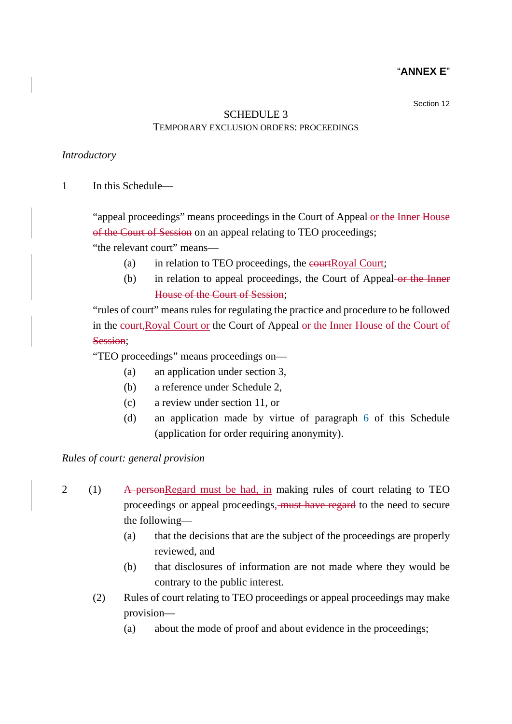### "**ANNEX E**"

Section 12

# SCHEDULE 3 TEMPORARY EXCLUSION ORDERS: PROCEEDINGS

### *Introductory*

1 In this Schedule—

"appeal proceedings" means proceedings in the Court of Appeal or the Inner House of the Court of Session on an appeal relating to TEO proceedings;

"the relevant court" means—

- (a) in relation to TEO proceedings, the  $\epsilon$  ourt; the court;
- (b) in relation to appeal proceedings, the Court of Appeal or the Inner House of the Court of Session;

"rules of court" means rules for regulating the practice and procedure to be followed in the court,Royal Court or the Court of Appeal or the Inner House of the Court of Session;

"TEO proceedings" means proceedings on—

- (a) an application under section 3,
- (b) a reference under Schedule 2,
- (c) a review under section 11, or
- (d) an application made by virtue of paragraph 6 of this Schedule (application for order requiring anonymity).

*Rules of court: general provision* 

- 2 (1) A personRegard must be had, in making rules of court relating to TEO proceedings or appeal proceedings, must have regard to the need to secure the following—
	- (a) that the decisions that are the subject of the proceedings are properly reviewed, and
	- (b) that disclosures of information are not made where they would be contrary to the public interest.
	- (2) Rules of court relating to TEO proceedings or appeal proceedings may make provision—
		- (a) about the mode of proof and about evidence in the proceedings;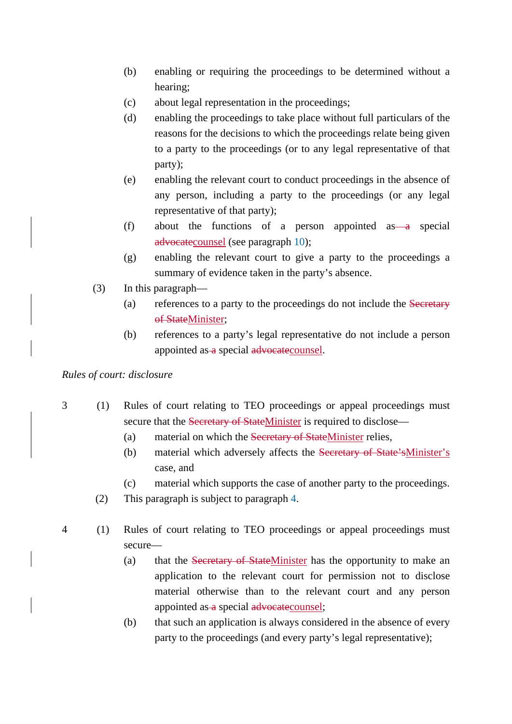- (b) enabling or requiring the proceedings to be determined without a hearing;
- (c) about legal representation in the proceedings;
- (d) enabling the proceedings to take place without full particulars of the reasons for the decisions to which the proceedings relate being given to a party to the proceedings (or to any legal representative of that party);
- (e) enabling the relevant court to conduct proceedings in the absence of any person, including a party to the proceedings (or any legal representative of that party);
- (f) about the functions of a person appointed as a special advocatecounsel (see paragraph 10);
- (g) enabling the relevant court to give a party to the proceedings a summary of evidence taken in the party's absence.
- (3) In this paragraph—
	- (a) references to a party to the proceedings do not include the Secretary of StateMinister:
	- (b) references to a party's legal representative do not include a person appointed as a special advocate counsel.

## *Rules of court: disclosure*

- 3 (1) Rules of court relating to TEO proceedings or appeal proceedings must secure that the Secretary of StateMinister is required to disclose—
	- (a) material on which the Secretary of StateMinister relies,
	- (b) material which adversely affects the Secretary of State'sMinister's case, and
	- (c) material which supports the case of another party to the proceedings.
	- (2) This paragraph is subject to paragraph 4.
- 4 (1) Rules of court relating to TEO proceedings or appeal proceedings must secure—
	- (a) that the Secretary of StateMinister has the opportunity to make an application to the relevant court for permission not to disclose material otherwise than to the relevant court and any person appointed as a special advocate counsel;
	- (b) that such an application is always considered in the absence of every party to the proceedings (and every party's legal representative);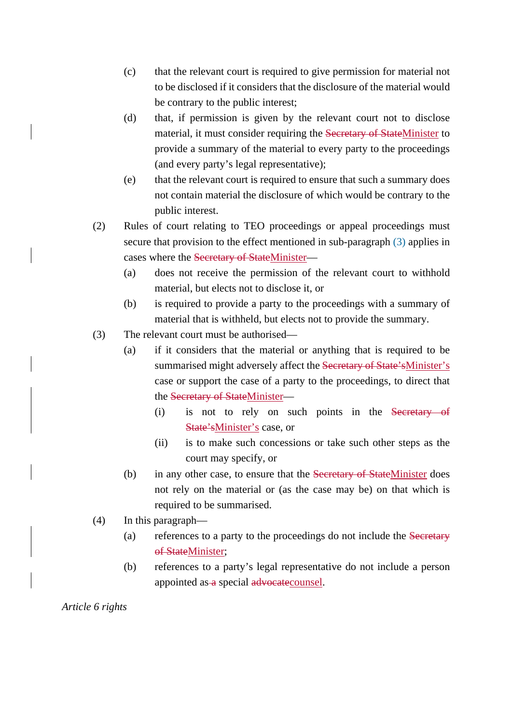- (c) that the relevant court is required to give permission for material not to be disclosed if it considers that the disclosure of the material would be contrary to the public interest;
- (d) that, if permission is given by the relevant court not to disclose material, it must consider requiring the Secretary of StateMinister to provide a summary of the material to every party to the proceedings (and every party's legal representative);
- (e) that the relevant court is required to ensure that such a summary does not contain material the disclosure of which would be contrary to the public interest.
- (2) Rules of court relating to TEO proceedings or appeal proceedings must secure that provision to the effect mentioned in sub-paragraph (3) applies in cases where the Secretary of StateMinister—
	- (a) does not receive the permission of the relevant court to withhold material, but elects not to disclose it, or
	- (b) is required to provide a party to the proceedings with a summary of material that is withheld, but elects not to provide the summary.
- (3) The relevant court must be authorised—
	- (a) if it considers that the material or anything that is required to be summarised might adversely affect the Secretary of State'sMinister's case or support the case of a party to the proceedings, to direct that the Secretary of StateMinister—
		- (i) is not to rely on such points in the Secretary of State'sMinister's case, or
		- (ii) is to make such concessions or take such other steps as the court may specify, or
	- (b) in any other case, to ensure that the Secretary of StateMinister does not rely on the material or (as the case may be) on that which is required to be summarised.
- (4) In this paragraph—
	- (a) references to a party to the proceedings do not include the Secretary of StateMinister:
	- (b) references to a party's legal representative do not include a person appointed as a special advocate counsel.

*Article 6 rights*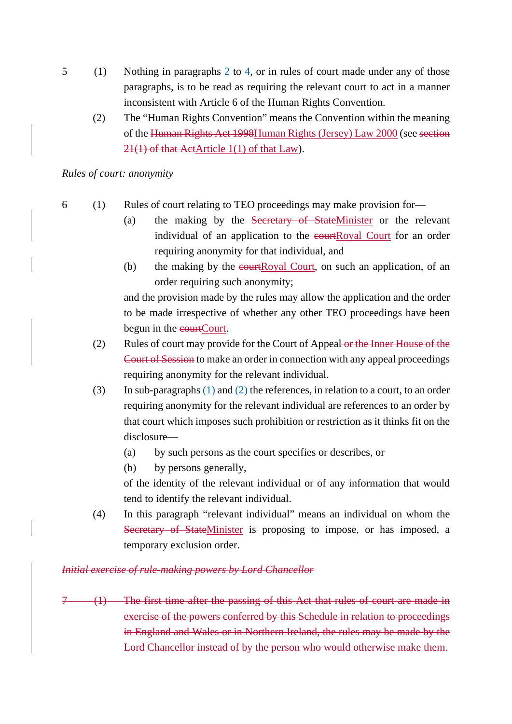- 5 (1) Nothing in paragraphs 2 to 4, or in rules of court made under any of those paragraphs, is to be read as requiring the relevant court to act in a manner inconsistent with Article 6 of the Human Rights Convention.
	- (2) The "Human Rights Convention" means the Convention within the meaning of the Human Rights Act 1998Human Rights (Jersey) Law 2000 (see section 21(1) of that ActArticle 1(1) of that Law).

### *Rules of court: anonymity*

- 6 (1) Rules of court relating to TEO proceedings may make provision for—
	- (a) the making by the Secretary of StateMinister or the relevant individual of an application to the courtRoyal Court for an order requiring anonymity for that individual, and
	- (b) the making by the  $\epsilon$ **ourtRoyal Court, on such an application**, of an order requiring such anonymity;

and the provision made by the rules may allow the application and the order to be made irrespective of whether any other TEO proceedings have been begun in the courtCourt.

- (2) Rules of court may provide for the Court of Appeal or the Inner House of the Court of Session to make an order in connection with any appeal proceedings requiring anonymity for the relevant individual.
- (3) In sub-paragraphs (1) and (2) the references, in relation to a court, to an order requiring anonymity for the relevant individual are references to an order by that court which imposes such prohibition or restriction as it thinks fit on the disclosure—
	- (a) by such persons as the court specifies or describes, or
	- (b) by persons generally,

of the identity of the relevant individual or of any information that would tend to identify the relevant individual.

(4) In this paragraph "relevant individual" means an individual on whom the Secretary of StateMinister is proposing to impose, or has imposed, a temporary exclusion order.

## *Initial exercise of rule-making powers by Lord Chancellor*

(1) The first time after the passing of this Act that rules of court are made in exercise of the powers conferred by this Schedule in relation to proceedings in England and Wales or in Northern Ireland, the rules may be made by the Lord Chancellor instead of by the person who would otherwise make them.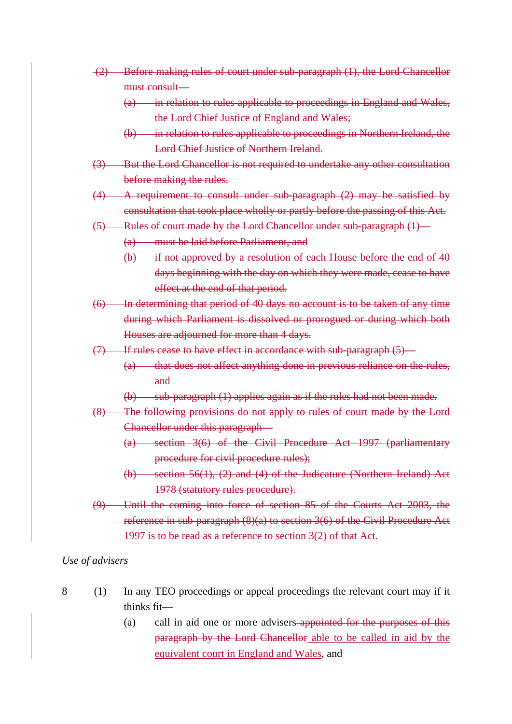- (2) Before making rules of court under sub-paragraph (1), the Lord Chancellor must consult—
	- (a) in relation to rules applicable to proceedings in England and Wales, the Lord Chief Justice of England and Wales;
	- (b) in relation to rules applicable to proceedings in Northern Ireland, the Lord Chief Justice of Northern Ireland.
- (3) But the Lord Chancellor is not required to undertake any other consultation before making the rules.
- (4) A requirement to consult under sub-paragraph (2) may be satisfied by consultation that took place wholly or partly before the passing of this Act.
- (5) Rules of court made by the Lord Chancellor under sub-paragraph (1)—

(a) must be laid before Parliament, and

- (b) if not approved by a resolution of each House before the end of 40 days beginning with the day on which they were made, cease to have effect at the end of that period.
- (6) In determining that period of 40 days no account is to be taken of any time during which Parliament is dissolved or prorogued or during which both Houses are adjourned for more than 4 days.
- (7) If rules cease to have effect in accordance with sub-paragraph (5)—
	- (a) that does not affect anything done in previous reliance on the rules, and
	- (b) sub-paragraph (1) applies again as if the rules had not been made.
- (8) The following provisions do not apply to rules of court made by the Lord Chancellor under this paragraph—
	- (a) section 3(6) of the Civil Procedure Act 1997 (parliamentary procedure for civil procedure rules);
	- (b) section 56(1), (2) and (4) of the Judicature (Northern Ireland) Act 1978 (statutory rules procedure).
- (9) Until the coming into force of section 85 of the Courts Act 2003, the reference in sub-paragraph (8)(a) to section 3(6) of the Civil Procedure Act 1997 is to be read as a reference to section 3(2) of that Act.

### *Use of advisers*

- 8 (1) In any TEO proceedings or appeal proceedings the relevant court may if it thinks fit—
	- (a) call in aid one or more advisers appointed for the purposes of this paragraph by the Lord Chancellor able to be called in aid by the equivalent court in England and Wales, and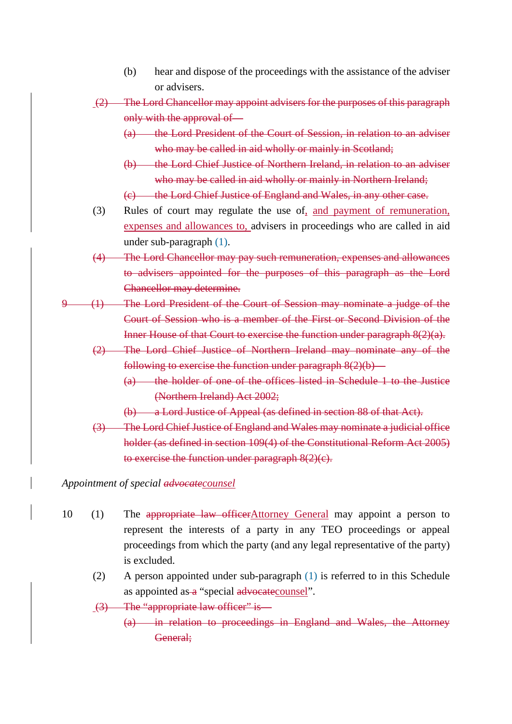- (b) hear and dispose of the proceedings with the assistance of the adviser or advisers.
- (2) The Lord Chancellor may appoint advisers for the purposes of this paragraph only with the approval of—
	- (a) the Lord President of the Court of Session, in relation to an adviser who may be called in aid wholly or mainly in Scotland;
	- (b) the Lord Chief Justice of Northern Ireland, in relation to an adviser who may be called in aid wholly or mainly in Northern Ireland;
	- (c) the Lord Chief Justice of England and Wales, in any other case.
- (3) Rules of court may regulate the use of, and payment of remuneration, expenses and allowances to, advisers in proceedings who are called in aid under sub-paragraph (1).
- (4) The Lord Chancellor may pay such remuneration, expenses and allowances to advisers appointed for the purposes of this paragraph as the Lord Chancellor may determine.
- 9 (1) The Lord President of the Court of Session may nominate a judge of the Court of Session who is a member of the First or Second Division of the Inner House of that Court to exercise the function under paragraph 8(2)(a).
	- (2) The Lord Chief Justice of Northern Ireland may nominate any of the following to exercise the function under paragraph  $8(2)(b)$ —
		- (a) the holder of one of the offices listed in Schedule 1 to the Justice (Northern Ireland) Act 2002;
		- (b) a Lord Justice of Appeal (as defined in section 88 of that Act).
	- (3) The Lord Chief Justice of England and Wales may nominate a judicial office holder (as defined in section 109(4) of the Constitutional Reform Act 2005) to exercise the function under paragraph 8(2)(c).

*Appointment of special advocatecounsel*

- 10 (1) The appropriate law officerAttorney General may appoint a person to represent the interests of a party in any TEO proceedings or appeal proceedings from which the party (and any legal representative of the party) is excluded.
	- (2) A person appointed under sub-paragraph (1) is referred to in this Schedule as appointed as  $\alpha$  "special advocate counsel".
	- (3) The "appropriate law officer" is—
		- (a) in relation to proceedings in England and Wales, the Attorney General;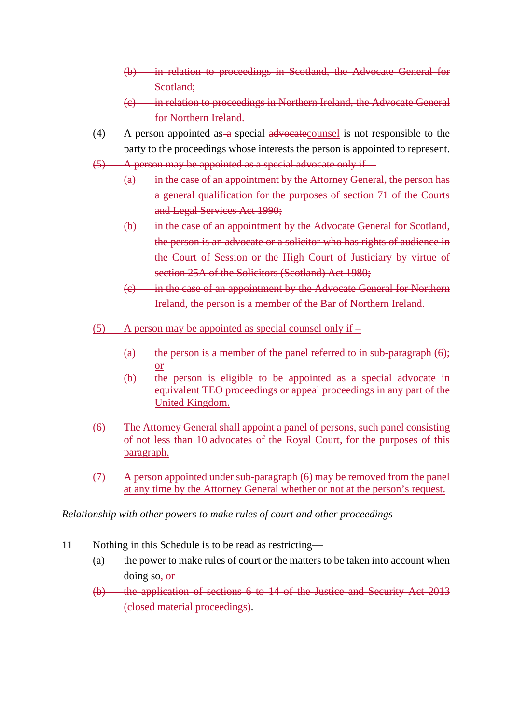- (b) in relation to proceedings in Scotland, the Advocate General for Scotland:
- (c) in relation to proceedings in Northern Ireland, the Advocate General for Northern Ireland.
- (4) A person appointed as a special advocate counsel is not responsible to the party to the proceedings whose interests the person is appointed to represent.
- (5) A person may be appointed as a special advocate only if—
	- (a) in the case of an appointment by the Attorney General, the person has a general qualification for the purposes of section 71 of the Courts and Legal Services Act 1990;
	- (b) in the case of an appointment by the Advocate General for Scotland, the person is an advocate or a solicitor who has rights of audience in the Court of Session or the High Court of Justiciary by virtue of section 25A of the Solicitors (Scotland) Act 1980;
	- (c) in the case of an appointment by the Advocate General for Northern Ireland, the person is a member of the Bar of Northern Ireland.
- (5) A person may be appointed as special counsel only if  $-$ 
	- (a) the person is a member of the panel referred to in sub-paragraph (6); or
	- (b) the person is eligible to be appointed as a special advocate in equivalent TEO proceedings or appeal proceedings in any part of the United Kingdom.
- (6) The Attorney General shall appoint a panel of persons, such panel consisting of not less than 10 advocates of the Royal Court, for the purposes of this paragraph.
- (7) A person appointed under sub-paragraph (6) may be removed from the panel at any time by the Attorney General whether or not at the person's request.

## *Relationship with other powers to make rules of court and other proceedings*

- 11 Nothing in this Schedule is to be read as restricting—
	- (a) the power to make rules of court or the matters to be taken into account when doing so,  $-$ or
	- (b) the application of sections 6 to 14 of the Justice and Security Act 2013 (closed material proceedings).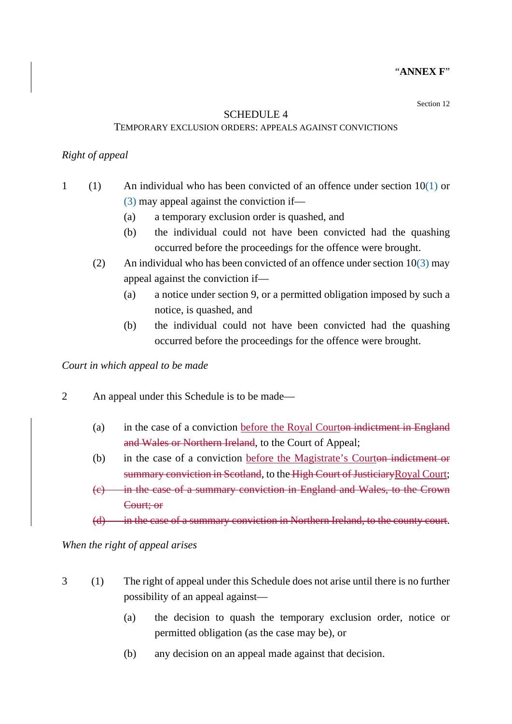### "**ANNEX F**"

Section 12

#### SCHEDULE 4

#### TEMPORARY EXCLUSION ORDERS: APPEALS AGAINST CONVICTIONS

### *Right of appeal*

- 1 (1) An individual who has been convicted of an offence under section  $10(1)$  or (3) may appeal against the conviction if—
	- (a) a temporary exclusion order is quashed, and
	- (b) the individual could not have been convicted had the quashing occurred before the proceedings for the offence were brought.
	- (2) An individual who has been convicted of an offence under section  $10(3)$  may appeal against the conviction if—
		- (a) a notice under section 9, or a permitted obligation imposed by such a notice, is quashed, and
		- (b) the individual could not have been convicted had the quashing occurred before the proceedings for the offence were brought.

*Court in which appeal to be made* 

- 2 An appeal under this Schedule is to be made—
	- (a) in the case of a conviction before the Royal Courton indictment in England and Wales or Northern Ireland, to the Court of Appeal;
	- (b) in the case of a conviction before the Magistrate's Courton indictment or summary conviction in Scotland, to the High Court of Justiciary Royal Court;
	- (c) in the case of a summary conviction in England and Wales, to the Crown Court; or
	- (d) in the case of a summary conviction in Northern Ireland, to the county court.

*When the right of appeal arises* 

- 3 (1) The right of appeal under this Schedule does not arise until there is no further possibility of an appeal against—
	- (a) the decision to quash the temporary exclusion order, notice or permitted obligation (as the case may be), or
	- (b) any decision on an appeal made against that decision.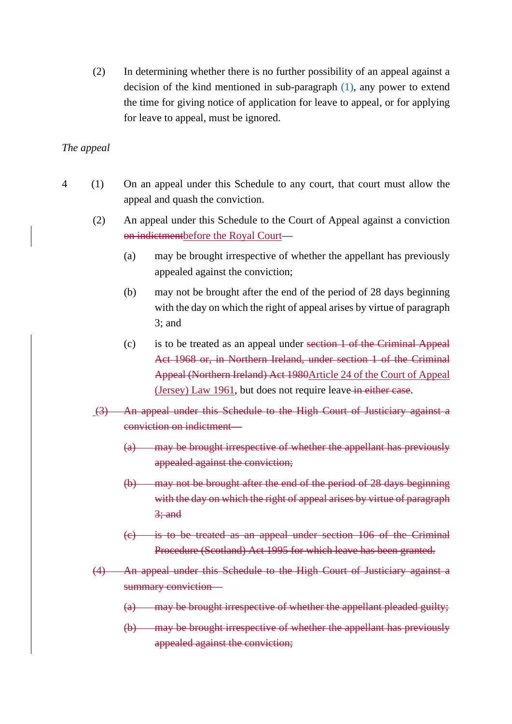(2) In determining whether there is no further possibility of an appeal against a decision of the kind mentioned in sub-paragraph (1), any power to extend the time for giving notice of application for leave to appeal, or for applying for leave to appeal, must be ignored.

## *The appeal*

- 4 (1) On an appeal under this Schedule to any court, that court must allow the appeal and quash the conviction.
	- (2) An appeal under this Schedule to the Court of Appeal against a conviction on indictmentbefore the Royal Court—
		- (a) may be brought irrespective of whether the appellant has previously appealed against the conviction;
		- (b) may not be brought after the end of the period of 28 days beginning with the day on which the right of appeal arises by virtue of paragraph 3; and
		- (c) is to be treated as an appeal under section 1 of the Criminal Appeal Act 1968 or, in Northern Ireland, under section 1 of the Criminal Appeal (Northern Ireland) Act 1980Article 24 of the Court of Appeal (Jersey) Law 1961, but does not require leave in either case.
	- (3) An appeal under this Schedule to the High Court of Justiciary against a conviction on indictment—
		- (a) may be brought irrespective of whether the appellant has previously appealed against the conviction;
		- (b) may not be brought after the end of the period of 28 days beginning with the day on which the right of appeal arises by virtue of paragraph  $3$ ; and
		- (c) is to be treated as an appeal under section 106 of the Criminal Procedure (Scotland) Act 1995 for which leave has been granted.
	- (4) An appeal under this Schedule to the High Court of Justiciary against a summary conviction—
		- (a) may be brought irrespective of whether the appellant pleaded guilty;
		- (b) may be brought irrespective of whether the appellant has previously appealed against the conviction;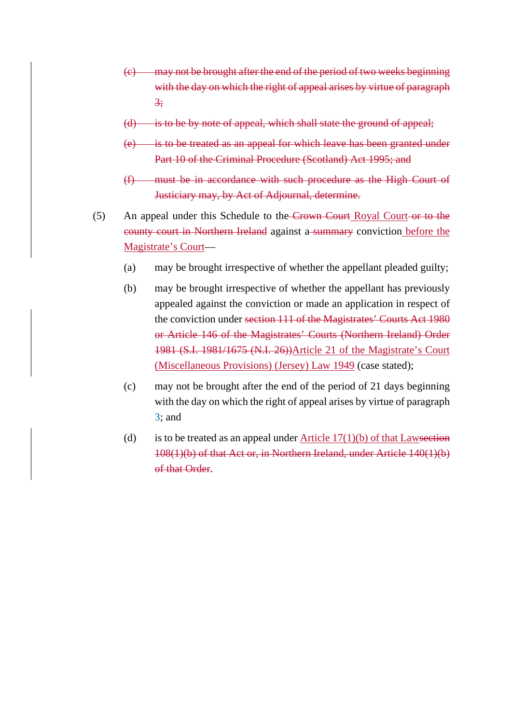- (c) may not be brought after the end of the period of two weeks beginning with the day on which the right of appeal arises by virtue of paragraph 3;
- (d) is to be by note of appeal, which shall state the ground of appeal;
- (e) is to be treated as an appeal for which leave has been granted under Part 10 of the Criminal Procedure (Scotland) Act 1995; and
- (f) must be in accordance with such procedure as the High Court of Justiciary may, by Act of Adjournal, determine.
- (5) An appeal under this Schedule to the Crown Court Royal Court or to the county court in Northern Ireland against a summary conviction before the Magistrate's Court—
	- (a) may be brought irrespective of whether the appellant pleaded guilty;
	- (b) may be brought irrespective of whether the appellant has previously appealed against the conviction or made an application in respect of the conviction under section 111 of the Magistrates' Courts Act 1980 or Article 146 of the Magistrates' Courts (Northern Ireland) Order 1981 (S.I. 1981/1675 (N.I. 26))Article 21 of the Magistrate's Court (Miscellaneous Provisions) (Jersey) Law 1949 (case stated);
	- (c) may not be brought after the end of the period of 21 days beginning with the day on which the right of appeal arises by virtue of paragraph 3; and
	- (d) is to be treated as an appeal under Article  $17(1)(b)$  of that Lawsection 108(1)(b) of that Act or, in Northern Ireland, under Article 140(1)(b) of that Order.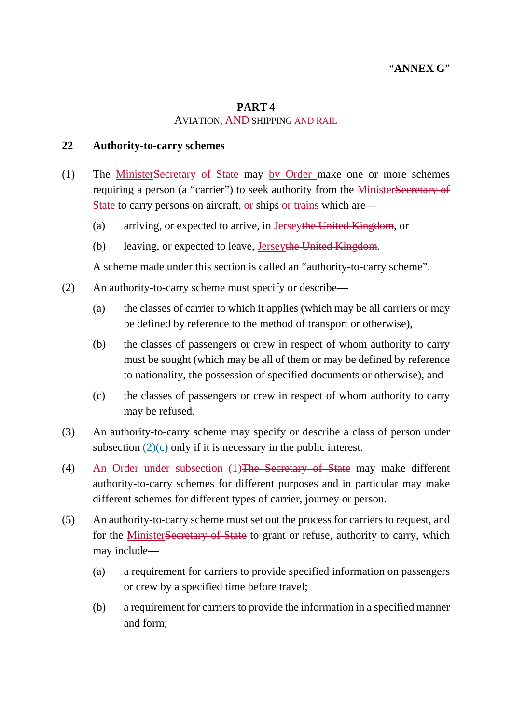## **PART 4**  AVIATION, AND SHIPPING AND RAIL

## **22 Authority-to-carry schemes**

- (1) The MinisterSecretary of State may by Order make one or more schemes requiring a person (a "carrier") to seek authority from the MinisterSecretary of State to carry persons on aircraft, or ships-or trains which are—
	- (a) arriving, or expected to arrive, in Jerseythe United Kingdom, or
	- (b) leaving, or expected to leave, Jerseythe United Kingdom.

A scheme made under this section is called an "authority-to-carry scheme".

- (2) An authority-to-carry scheme must specify or describe—
	- (a) the classes of carrier to which it applies (which may be all carriers or may be defined by reference to the method of transport or otherwise),
	- (b) the classes of passengers or crew in respect of whom authority to carry must be sought (which may be all of them or may be defined by reference to nationality, the possession of specified documents or otherwise), and
	- (c) the classes of passengers or crew in respect of whom authority to carry may be refused.
- (3) An authority-to-carry scheme may specify or describe a class of person under subsection  $(2)(c)$  only if it is necessary in the public interest.
- (4) An Order under subsection (1)The Secretary of State may make different authority-to-carry schemes for different purposes and in particular may make different schemes for different types of carrier, journey or person.
- (5) An authority-to-carry scheme must set out the process for carriers to request, and for the MinisterSecretary of State to grant or refuse, authority to carry, which may include—
	- (a) a requirement for carriers to provide specified information on passengers or crew by a specified time before travel;
	- (b) a requirement for carriers to provide the information in a specified manner and form;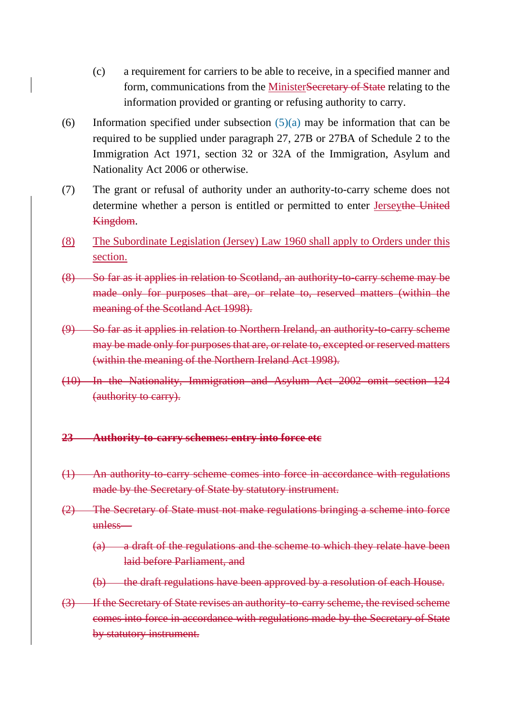- (c) a requirement for carriers to be able to receive, in a specified manner and form, communications from the MinisterSecretary of State relating to the information provided or granting or refusing authority to carry.
- (6) Information specified under subsection  $(5)(a)$  may be information that can be required to be supplied under paragraph 27, 27B or 27BA of Schedule 2 to the Immigration Act 1971, section 32 or 32A of the Immigration, Asylum and Nationality Act 2006 or otherwise.
- (7) The grant or refusal of authority under an authority-to-carry scheme does not determine whether a person is entitled or permitted to enter Jerseythe United Kingdom.
- (8) The Subordinate Legislation (Jersey) Law 1960 shall apply to Orders under this section.
- (8) So far as it applies in relation to Scotland, an authority-to-carry scheme may be made only for purposes that are, or relate to, reserved matters (within the meaning of the Scotland Act 1998).
- (9) So far as it applies in relation to Northern Ireland, an authority-to-carry scheme may be made only for purposes that are, or relate to, excepted or reserved matters (within the meaning of the Northern Ireland Act 1998).
- (10) In the Nationality, Immigration and Asylum Act 2002 omit section 124 (authority to carry).

### **23 Authority-to-carry schemes: entry into force etc**

- (1) An authority-to-carry scheme comes into force in accordance with regulations made by the Secretary of State by statutory instrument.
- (2) The Secretary of State must not make regulations bringing a scheme into force unless—
	- (a) a draft of the regulations and the scheme to which they relate have been laid before Parliament, and
	- (b) the draft regulations have been approved by a resolution of each House.
- (3) If the Secretary of State revises an authority-to-carry scheme, the revised scheme comes into force in accordance with regulations made by the Secretary of State by statutory instrument.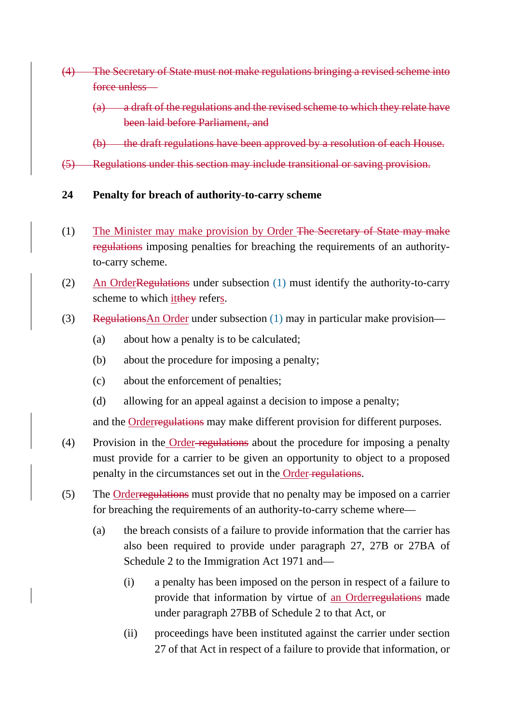- (4) The Secretary of State must not make regulations bringing a revised scheme into force unless—
	- (a) a draft of the regulations and the revised scheme to which they relate have been laid before Parliament, and
	- (b) the draft regulations have been approved by a resolution of each House.
- (5) Regulations under this section may include transitional or saving provision.
- **24 Penalty for breach of authority-to-carry scheme**
- (1) The Minister may make provision by Order The Secretary of State may make regulations imposing penalties for breaching the requirements of an authorityto-carry scheme.
- (2) An OrderRegulations under subsection (1) must identify the authority-to-carry scheme to which it they refers.
- (3) RegulationsAn Order under subsection (1) may in particular make provision—
	- (a) about how a penalty is to be calculated;
	- (b) about the procedure for imposing a penalty;
	- (c) about the enforcement of penalties;
	- (d) allowing for an appeal against a decision to impose a penalty;

and the Orderregulations may make different provision for different purposes.

- (4) Provision in the Order regulations about the procedure for imposing a penalty must provide for a carrier to be given an opportunity to object to a proposed penalty in the circumstances set out in the Order regulations.
- (5) The Orderregulations must provide that no penalty may be imposed on a carrier for breaching the requirements of an authority-to-carry scheme where—
	- (a) the breach consists of a failure to provide information that the carrier has also been required to provide under paragraph 27, 27B or 27BA of Schedule 2 to the Immigration Act 1971 and—
		- (i) a penalty has been imposed on the person in respect of a failure to provide that information by virtue of an Orderregulations made under paragraph 27BB of Schedule 2 to that Act, or
		- (ii) proceedings have been instituted against the carrier under section 27 of that Act in respect of a failure to provide that information, or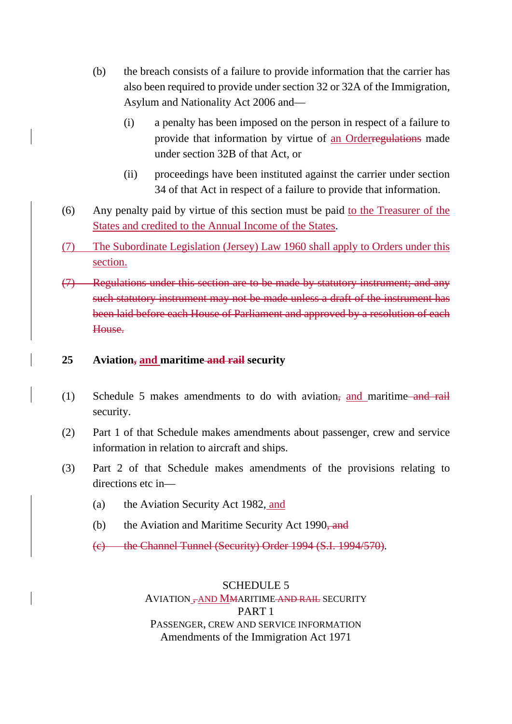- (b) the breach consists of a failure to provide information that the carrier has also been required to provide under section 32 or 32A of the Immigration, Asylum and Nationality Act 2006 and—
	- (i) a penalty has been imposed on the person in respect of a failure to provide that information by virtue of an Orderregulations made under section 32B of that Act, or
	- (ii) proceedings have been instituted against the carrier under section 34 of that Act in respect of a failure to provide that information.
- (6) Any penalty paid by virtue of this section must be paid to the Treasurer of the States and credited to the Annual Income of the States.
- (7) The Subordinate Legislation (Jersey) Law 1960 shall apply to Orders under this section.
- (7) Regulations under this section are to be made by statutory instrument; and any such statutory instrument may not be made unless a draft of the instrument has been laid before each House of Parliament and approved by a resolution of each House.

# **25 Aviation, and maritime and rail security**

- (1) Schedule 5 makes amendments to do with aviation, and maritime and rail security.
- (2) Part 1 of that Schedule makes amendments about passenger, crew and service information in relation to aircraft and ships.
- (3) Part 2 of that Schedule makes amendments of the provisions relating to directions etc in—
	- (a) the Aviation Security Act 1982, and
	- (b) the Aviation and Maritime Security Act 1990, and
	- (c) the Channel Tunnel (Security) Order 1994 (S.I. 1994/570).

# SCHEDULE 5

AVIATION , AND MMARITIME AND RAIL SECURITY PART 1 PASSENGER, CREW AND SERVICE INFORMATION Amendments of the Immigration Act 1971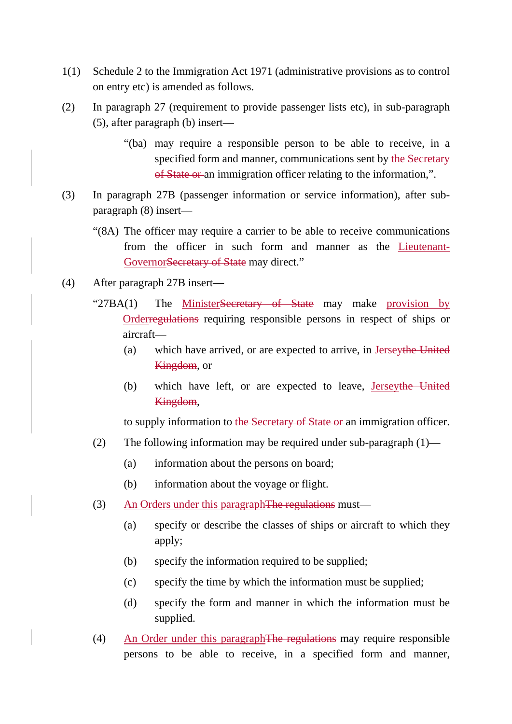- 1(1) Schedule 2 to the Immigration Act 1971 (administrative provisions as to control on entry etc) is amended as follows.
- (2) In paragraph 27 (requirement to provide passenger lists etc), in sub-paragraph (5), after paragraph (b) insert—
	- "(ba) may require a responsible person to be able to receive, in a specified form and manner, communications sent by the Secretary of State or an immigration officer relating to the information,".
- (3) In paragraph 27B (passenger information or service information), after subparagraph (8) insert—
	- "(8A) The officer may require a carrier to be able to receive communications from the officer in such form and manner as the Lieutenant-GovernorSecretary of State may direct."
- (4) After paragraph 27B insert—
	- "27BA(1) The MinisterSecretary of State may make provision by Orderregulations requiring responsible persons in respect of ships or aircraft—
		- (a) which have arrived, or are expected to arrive, in Jerseythe United **Kingdom**, or
		- (b) which have left, or are expected to leave, Jerseythe United Kingdom,

to supply information to the Secretary of State or an immigration officer.

- (2) The following information may be required under sub-paragraph  $(1)$ 
	- (a) information about the persons on board;
	- (b) information about the voyage or flight.
- (3) An Orders under this paragraph The regulations must—
	- (a) specify or describe the classes of ships or aircraft to which they apply;
	- (b) specify the information required to be supplied;
	- (c) specify the time by which the information must be supplied;
	- (d) specify the form and manner in which the information must be supplied.
- (4) An Order under this paragraphThe regulations may require responsible persons to be able to receive, in a specified form and manner,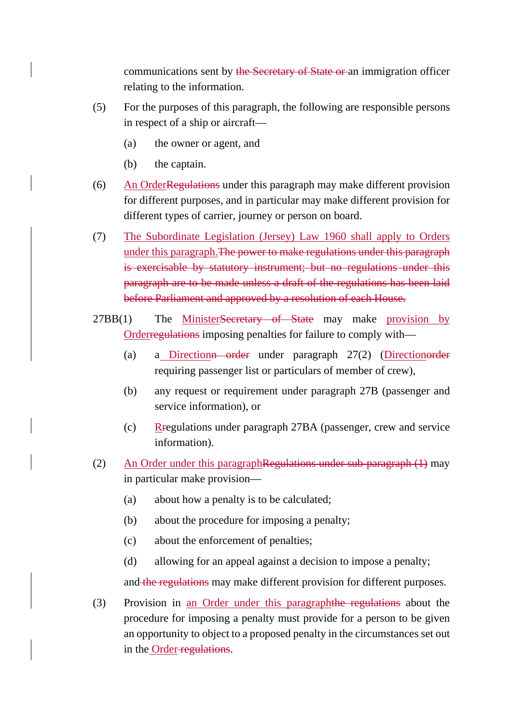communications sent by the Secretary of State or an immigration officer relating to the information.

- (5) For the purposes of this paragraph, the following are responsible persons in respect of a ship or aircraft—
	- (a) the owner or agent, and
	- (b) the captain.
- (6) An OrderRegulations under this paragraph may make different provision for different purposes, and in particular may make different provision for different types of carrier, journey or person on board.
- (7) The Subordinate Legislation (Jersey) Law 1960 shall apply to Orders under this paragraph.The power to make regulations under this paragraph is exercisable by statutory instrument; but no regulations under this paragraph are to be made unless a draft of the regulations has been laid before Parliament and approved by a resolution of each House.
- 27BB(1) The MinisterSecretary of State may make provision by Orderregulations imposing penalties for failure to comply with—
	- (a) a Directionn order under paragraph 27(2) (Directionorder requiring passenger list or particulars of member of crew),
	- (b) any request or requirement under paragraph 27B (passenger and service information), or
	- (c)  $R$ regulations under paragraph 27BA (passenger, crew and service information).
- (2) An Order under this paragraphRegulations under sub-paragraph (1) may in particular make provision—
	- (a) about how a penalty is to be calculated;
	- (b) about the procedure for imposing a penalty;
	- (c) about the enforcement of penalties;
	- (d) allowing for an appeal against a decision to impose a penalty;

and the regulations may make different provision for different purposes.

(3) Provision in an Order under this paragraphthe regulations about the procedure for imposing a penalty must provide for a person to be given an opportunity to object to a proposed penalty in the circumstances set out in the Order-regulations.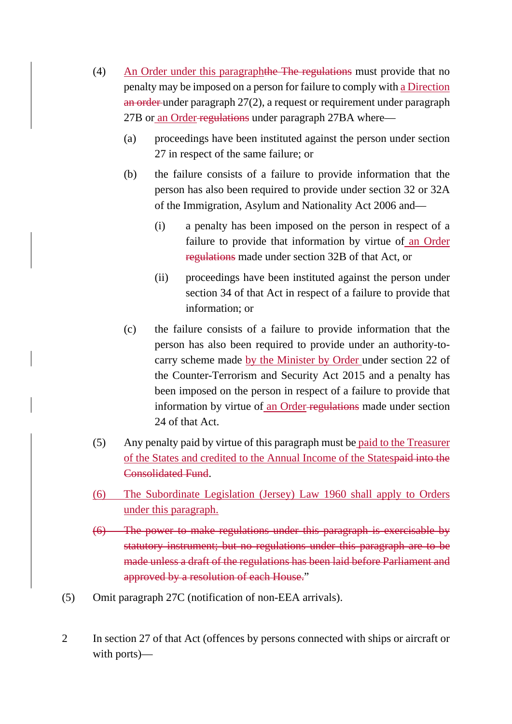- (4) An Order under this paragraphthe The regulations must provide that no penalty may be imposed on a person for failure to comply with a Direction an order under paragraph 27(2), a request or requirement under paragraph 27B or an Order-regulations under paragraph 27BA where—
	- (a) proceedings have been instituted against the person under section 27 in respect of the same failure; or
	- (b) the failure consists of a failure to provide information that the person has also been required to provide under section 32 or 32A of the Immigration, Asylum and Nationality Act 2006 and—
		- (i) a penalty has been imposed on the person in respect of a failure to provide that information by virtue of an Order regulations made under section 32B of that Act, or
		- (ii) proceedings have been instituted against the person under section 34 of that Act in respect of a failure to provide that information; or
	- (c) the failure consists of a failure to provide information that the person has also been required to provide under an authority-tocarry scheme made by the Minister by Order under section 22 of the Counter-Terrorism and Security Act 2015 and a penalty has been imposed on the person in respect of a failure to provide that information by virtue of an Order regulations made under section 24 of that Act.
- (5) Any penalty paid by virtue of this paragraph must be paid to the Treasurer of the States and credited to the Annual Income of the Statespaid into the Consolidated Fund.
- (6) The Subordinate Legislation (Jersey) Law 1960 shall apply to Orders under this paragraph.
- (6) The power to make regulations under this paragraph is exercisable by statutory instrument; but no regulations under this paragraph are to be made unless a draft of the regulations has been laid before Parliament and approved by a resolution of each House."
- (5) Omit paragraph 27C (notification of non-EEA arrivals).
- 2 In section 27 of that Act (offences by persons connected with ships or aircraft or with ports)—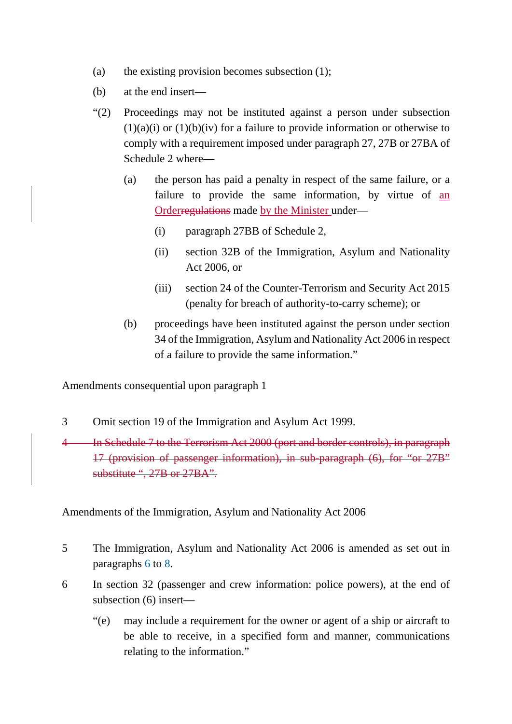- (a) the existing provision becomes subsection (1);
- (b) at the end insert—
- "(2) Proceedings may not be instituted against a person under subsection  $(1)(a)(i)$  or  $(1)(b)(iv)$  for a failure to provide information or otherwise to comply with a requirement imposed under paragraph 27, 27B or 27BA of Schedule 2 where—
	- (a) the person has paid a penalty in respect of the same failure, or a failure to provide the same information, by virtue of an Orderregulations made by the Minister under—
		- (i) paragraph 27BB of Schedule 2,
		- (ii) section 32B of the Immigration, Asylum and Nationality Act 2006, or
		- (iii) section 24 of the Counter-Terrorism and Security Act 2015 (penalty for breach of authority-to-carry scheme); or
	- (b) proceedings have been instituted against the person under section 34 of the Immigration, Asylum and Nationality Act 2006 in respect of a failure to provide the same information."

Amendments consequential upon paragraph 1

3 Omit section 19 of the Immigration and Asylum Act 1999.

4 In Schedule 7 to the Terrorism Act 2000 (port and border controls), in paragraph 17 (provision of passenger information), in sub-paragraph (6), for "or 27B" substitute ", 27B or 27BA".

Amendments of the Immigration, Asylum and Nationality Act 2006

- 5 The Immigration, Asylum and Nationality Act 2006 is amended as set out in paragraphs 6 to 8.
- 6 In section 32 (passenger and crew information: police powers), at the end of subsection (6) insert—
	- "(e) may include a requirement for the owner or agent of a ship or aircraft to be able to receive, in a specified form and manner, communications relating to the information."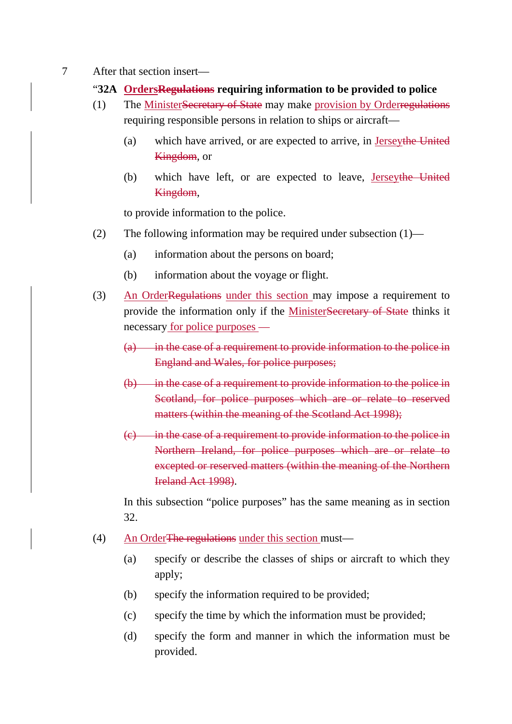- 7 After that section insert—
	- "**32A OrdersRegulations requiring information to be provided to police**
	- (1) The MinisterSecretary of State may make provision by Orderregulations requiring responsible persons in relation to ships or aircraft—
		- (a) which have arrived, or are expected to arrive, in Jerseythe United **Kingdom**, or
		- (b) which have left, or are expected to leave, Jerseythe United Kingdom,

to provide information to the police.

- (2) The following information may be required under subsection (1)—
	- (a) information about the persons on board;
	- (b) information about the voyage or flight.
- (3) An OrderRegulations under this section may impose a requirement to provide the information only if the MinisterSecretary of State thinks it necessary for police purposes —
	- $(a)$  in the case of a requirement to provide information to the police in England and Wales, for police purposes;
	- (b) in the case of a requirement to provide information to the police in Scotland, for police purposes which are or relate to reserved matters (within the meaning of the Scotland Act 1998);
	- $(c)$  in the case of a requirement to provide information to the police in Northern Ireland, for police purposes which are or relate to excepted or reserved matters (within the meaning of the Northern Ireland Act 1998).

In this subsection "police purposes" has the same meaning as in section 32.

- (4) An OrderThe regulations under this section must—
	- (a) specify or describe the classes of ships or aircraft to which they apply;
	- (b) specify the information required to be provided;
	- (c) specify the time by which the information must be provided;
	- (d) specify the form and manner in which the information must be provided.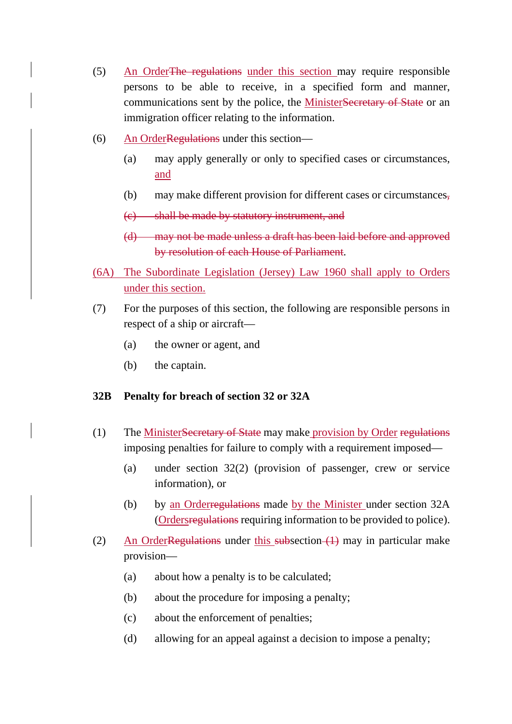- (5) An OrderThe regulations under this section may require responsible persons to be able to receive, in a specified form and manner, communications sent by the police, the MinisterSecretary of State or an immigration officer relating to the information.
- (6) An OrderRegulations under this section—
	- (a) may apply generally or only to specified cases or circumstances, and
	- (b) may make different provision for different cases or circumstances,
	- (c) shall be made by statutory instrument, and
	- (d) may not be made unless a draft has been laid before and approved by resolution of each House of Parliament.
- (6A) The Subordinate Legislation (Jersey) Law 1960 shall apply to Orders under this section.
- (7) For the purposes of this section, the following are responsible persons in respect of a ship or aircraft—
	- (a) the owner or agent, and
	- (b) the captain.

# **32B Penalty for breach of section 32 or 32A**

- (1) The MinisterSecretary of State may make provision by Order regulations imposing penalties for failure to comply with a requirement imposed—
	- (a) under section 32(2) (provision of passenger, crew or service information), or
	- (b) by an Orderregulations made by the Minister under section 32A (Ordersregulations requiring information to be provided to police).
- (2) An OrderRegulations under this subsection  $(1)$  may in particular make provision—
	- (a) about how a penalty is to be calculated;
	- (b) about the procedure for imposing a penalty;
	- (c) about the enforcement of penalties;
	- (d) allowing for an appeal against a decision to impose a penalty;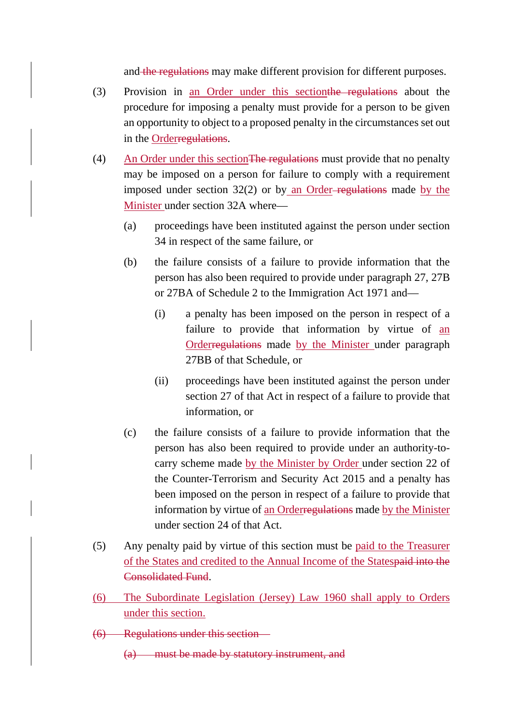and the regulations may make different provision for different purposes.

- (3) Provision in an Order under this sectionthe regulations about the procedure for imposing a penalty must provide for a person to be given an opportunity to object to a proposed penalty in the circumstances set out in the Orderregulations.
- (4) An Order under this sectionThe regulations must provide that no penalty may be imposed on a person for failure to comply with a requirement imposed under section  $32(2)$  or by an Order-regulations made by the Minister under section 32A where—
	- (a) proceedings have been instituted against the person under section 34 in respect of the same failure, or
	- (b) the failure consists of a failure to provide information that the person has also been required to provide under paragraph 27, 27B or 27BA of Schedule 2 to the Immigration Act 1971 and—
		- (i) a penalty has been imposed on the person in respect of a failure to provide that information by virtue of an Orderregulations made by the Minister under paragraph 27BB of that Schedule, or
		- (ii) proceedings have been instituted against the person under section 27 of that Act in respect of a failure to provide that information, or
	- (c) the failure consists of a failure to provide information that the person has also been required to provide under an authority-tocarry scheme made by the Minister by Order under section 22 of the Counter-Terrorism and Security Act 2015 and a penalty has been imposed on the person in respect of a failure to provide that information by virtue of an Orderregulations made by the Minister under section 24 of that Act.
- (5) Any penalty paid by virtue of this section must be paid to the Treasurer of the States and credited to the Annual Income of the Statespaid into the Consolidated Fund.
- (6) The Subordinate Legislation (Jersey) Law 1960 shall apply to Orders under this section.
- (6) Regulations under this section—
	- (a) must be made by statutory instrument, and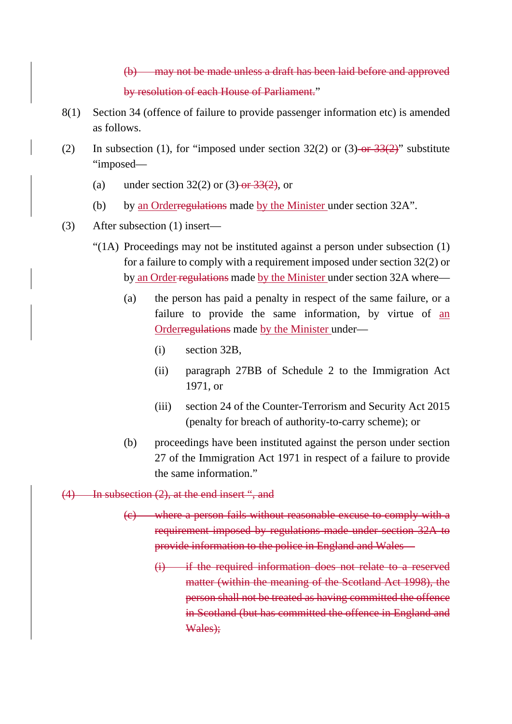(b) may not be made unless a draft has been laid before and approved by resolution of each House of Parliament."

- 8(1) Section 34 (offence of failure to provide passenger information etc) is amended as follows.
- (2) In subsection (1), for "imposed under section  $32(2)$  or  $(3)$ -or  $33(2)$ " substitute "imposed—
	- (a) under section  $32(2)$  or  $(3)$ -or  $33(2)$ , or
	- (b) by an Orderregulations made by the Minister under section 32A".
- (3) After subsection (1) insert—
	- "(1A) Proceedings may not be instituted against a person under subsection (1) for a failure to comply with a requirement imposed under section 32(2) or by an Order regulations made by the Minister under section 32A where—
		- (a) the person has paid a penalty in respect of the same failure, or a failure to provide the same information, by virtue of an Orderregulations made by the Minister under—
			- (i) section 32B,
			- (ii) paragraph 27BB of Schedule 2 to the Immigration Act 1971, or
			- (iii) section 24 of the Counter-Terrorism and Security Act 2015 (penalty for breach of authority-to-carry scheme); or
		- (b) proceedings have been instituted against the person under section 27 of the Immigration Act 1971 in respect of a failure to provide the same information."
- (4) In subsection (2), at the end insert ", and
	- (c) where a person fails without reasonable excuse to comply with a requirement imposed by regulations made under section 32A to provide information to the police in England and Wales—
		- (i) if the required information does not relate to a reserved matter (within the meaning of the Scotland Act 1998), the person shall not be treated as having committed the offence in Scotland (but has committed the offence in England and Wales);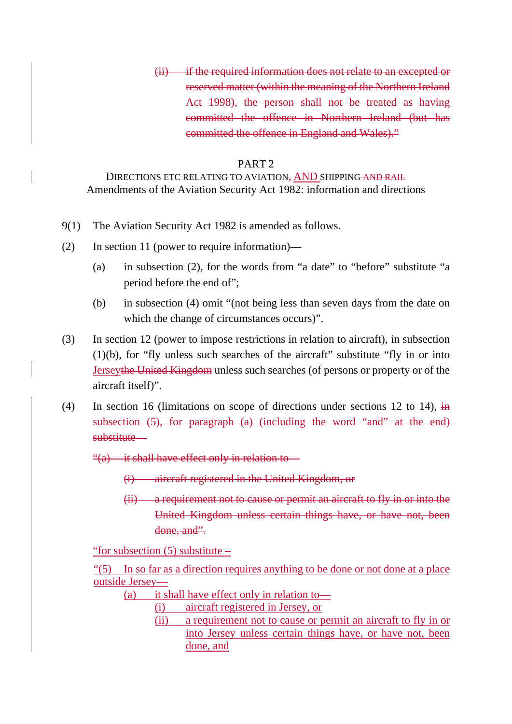(ii) if the required information does not relate to an excepted or reserved matter (within the meaning of the Northern Ireland Act 1998), the person shall not be treated as having committed the offence in Northern Ireland (but has committed the offence in England and Wales)."

### PART 2

DIRECTIONS ETC RELATING TO AVIATION, AND SHIPPING AND RAIL Amendments of the Aviation Security Act 1982: information and directions

- 9(1) The Aviation Security Act 1982 is amended as follows.
- (2) In section 11 (power to require information)—
	- (a) in subsection (2), for the words from "a date" to "before" substitute "a period before the end of";
	- (b) in subsection (4) omit "(not being less than seven days from the date on which the change of circumstances occurs)".
- (3) In section 12 (power to impose restrictions in relation to aircraft), in subsection (1)(b), for "fly unless such searches of the aircraft" substitute "fly in or into Jerseythe United Kingdom unless such searches (of persons or property or of the aircraft itself)".
- (4) In section 16 (limitations on scope of directions under sections 12 to 14),  $\frac{1}{2}$ subsection (5), for paragraph (a) (including the word "and" at the end) substitute—

"(a) it shall have effect only in relation to—

- (i) aircraft registered in the United Kingdom, or
- (ii) a requirement not to cause or permit an aircraft to fly in or into the United Kingdom unless certain things have, or have not, been done, and".

"for subsection (5) substitute –

"(5) In so far as a direction requires anything to be done or not done at a place outside Jersey—

- (a) it shall have effect only in relation to—
	- (i) aircraft registered in Jersey, or
		- (ii) a requirement not to cause or permit an aircraft to fly in or into Jersey unless certain things have, or have not, been done, and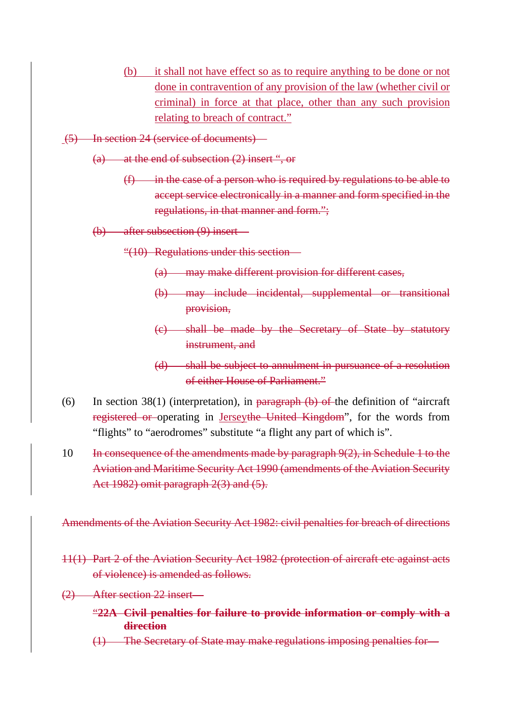- (b) it shall not have effect so as to require anything to be done or not done in contravention of any provision of the law (whether civil or criminal) in force at that place, other than any such provision relating to breach of contract."
- (5) In section 24 (service of documents)—
	- (a) at the end of subsection (2) insert ", or
		- $(f)$  in the case of a person who is required by regulations to be able to accept service electronically in a manner and form specified in the regulations, in that manner and form.";
	- (b) after subsection (9) insert—
		- "(10) Regulations under this section—
			- (a) may make different provision for different cases,
			- (b) may include incidental, supplemental or transitional provision,
			- (c) shall be made by the Secretary of State by statutory instrument, and
			- (d) shall be subject to annulment in pursuance of a resolution of either House of Parliament."
- (6) In section 38(1) (interpretation), in paragraph  $(b)$  of the definition of "aircraft" registered or operating in Jerseythe United Kingdom", for the words from "flights" to "aerodromes" substitute "a flight any part of which is".
- 10 In consequence of the amendments made by paragraph 9(2), in Schedule 1 to the Aviation and Maritime Security Act 1990 (amendments of the Aviation Security Act 1982) omit paragraph 2(3) and (5).

Amendments of the Aviation Security Act 1982: civil penalties for breach of directions

- 11(1) Part 2 of the Aviation Security Act 1982 (protection of aircraft etc against acts of violence) is amended as follows.
- (2) After section 22 insert—
	- "**22A Civil penalties for failure to provide information or comply with a direction**
	- (1) The Secretary of State may make regulations imposing penalties for—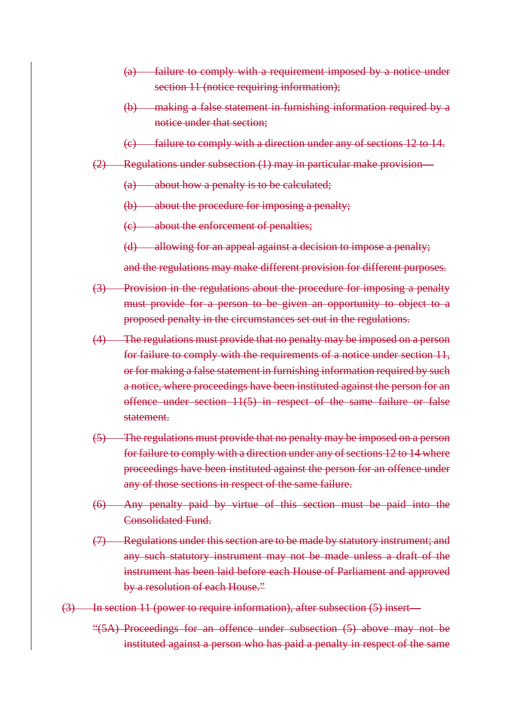- (a) failure to comply with a requirement imposed by a notice under section 11 (notice requiring information);
- (b) making a false statement in furnishing information required by a notice under that section;
- (c) failure to comply with a direction under any of sections 12 to 14.
- (2) Regulations under subsection (1) may in particular make provision—
	- (a) about how a penalty is to be calculated;
	- (b) about the procedure for imposing a penalty;
	- (c) about the enforcement of penalties;
	- (d) allowing for an appeal against a decision to impose a penalty;

and the regulations may make different provision for different purposes.

- (3) Provision in the regulations about the procedure for imposing a penalty must provide for a person to be given an opportunity to object to a proposed penalty in the circumstances set out in the regulations.
- (4) The regulations must provide that no penalty may be imposed on a person for failure to comply with the requirements of a notice under section 11, or for making a false statement in furnishing information required by such a notice, where proceedings have been instituted against the person for an offence under section 11(5) in respect of the same failure or false statement.
- (5) The regulations must provide that no penalty may be imposed on a person for failure to comply with a direction under any of sections 12 to 14 where proceedings have been instituted against the person for an offence under any of those sections in respect of the same failure.
- (6) Any penalty paid by virtue of this section must be paid into the Consolidated Fund.
- (7) Regulations under this section are to be made by statutory instrument; and any such statutory instrument may not be made unless a draft of the instrument has been laid before each House of Parliament and approved by a resolution of each House."
- (3) In section 11 (power to require information), after subsection (5) insert—
	- "(5A) Proceedings for an offence under subsection (5) above may not be instituted against a person who has paid a penalty in respect of the same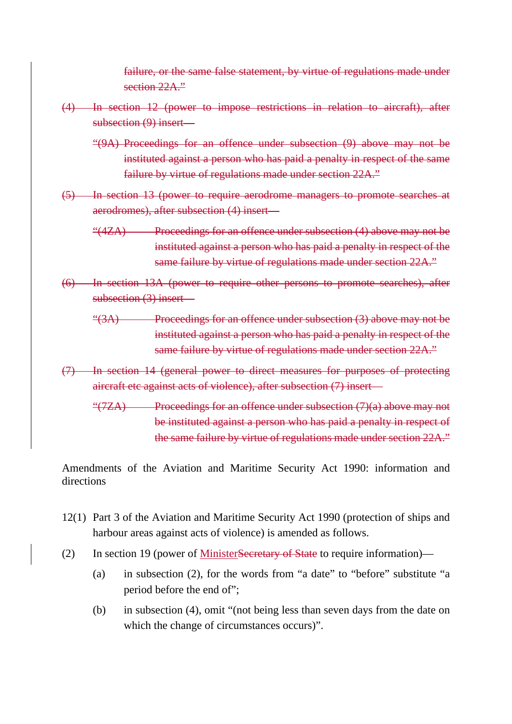failure, or the same false statement, by virtue of regulations made under section 22A."

- (4) In section 12 (power to impose restrictions in relation to aircraft), after subsection (9) insert—
	- "(9A) Proceedings for an offence under subsection (9) above may not be instituted against a person who has paid a penalty in respect of the same failure by virtue of regulations made under section 22A."
- (5) In section 13 (power to require aerodrome managers to promote searches at aerodromes), after subsection (4) insert—

"(4ZA) Proceedings for an offence under subsection (4) above may not be instituted against a person who has paid a penalty in respect of the same failure by virtue of regulations made under section 22A."

- (6) In section 13A (power to require other persons to promote searches), after subsection (3) insert—
	- "(3A) Proceedings for an offence under subsection (3) above may not be instituted against a person who has paid a penalty in respect of the same failure by virtue of regulations made under section 22A."
- (7) In section 14 (general power to direct measures for purposes of protecting aircraft etc against acts of violence), after subsection (7) insert—
	- "( $7ZA$ ) Proceedings for an offence under subsection  $(7)(a)$  above may not be instituted against a person who has paid a penalty in respect of the same failure by virtue of regulations made under section 22A."

Amendments of the Aviation and Maritime Security Act 1990: information and directions

- 12(1) Part 3 of the Aviation and Maritime Security Act 1990 (protection of ships and harbour areas against acts of violence) is amended as follows.
- (2) In section 19 (power of MinisterSecretary of State to require information)—
	- (a) in subsection (2), for the words from "a date" to "before" substitute "a period before the end of";
	- (b) in subsection (4), omit "(not being less than seven days from the date on which the change of circumstances occurs)".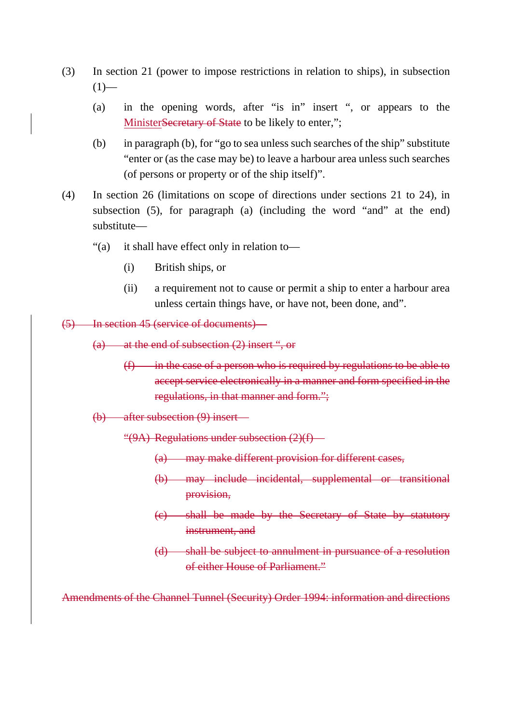- (3) In section 21 (power to impose restrictions in relation to ships), in subsection  $(1)$ —
	- (a) in the opening words, after "is in" insert ", or appears to the MinisterSecretary of State to be likely to enter,";
	- (b) in paragraph (b), for "go to sea unless such searches of the ship" substitute "enter or (as the case may be) to leave a harbour area unless such searches (of persons or property or of the ship itself)".
- (4) In section 26 (limitations on scope of directions under sections 21 to 24), in subsection (5), for paragraph (a) (including the word "and" at the end) substitute—
	- "(a) it shall have effect only in relation to—
		- (i) British ships, or
		- (ii) a requirement not to cause or permit a ship to enter a harbour area unless certain things have, or have not, been done, and".
- (5) In section 45 (service of documents)—
	- (a) at the end of subsection (2) insert ", or
		- $(f)$  in the case of a person who is required by regulations to be able to accept service electronically in a manner and form specified in the regulations, in that manner and form.";
	- (b) after subsection (9) insert—
		- "(9A) Regulations under subsection (2)(f)—
			- (a) may make different provision for different cases,
			- (b) may include incidental, supplemental or transitional provision,
			- (c) shall be made by the Secretary of State by statutory instrument, and
			- (d) shall be subject to annulment in pursuance of a resolution of either House of Parliament."

Amendments of the Channel Tunnel (Security) Order 1994: information and directions